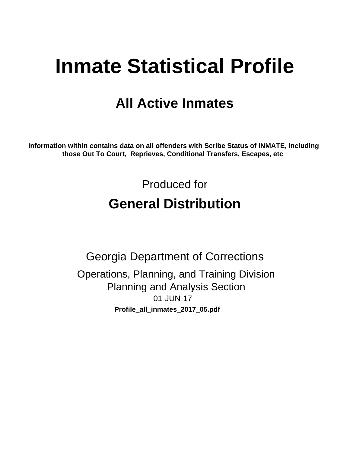# **Inmate Statistical Profile**

## **All Active Inmates**

Information within contains data on all offenders with Scribe Status of INMATE, including those Out To Court, Reprieves, Conditional Transfers, Escapes, etc

> Produced for **General Distribution**

**Georgia Department of Corrections** Operations, Planning, and Training Division **Planning and Analysis Section** 01-JUN-17 Profile\_all\_inmates\_2017\_05.pdf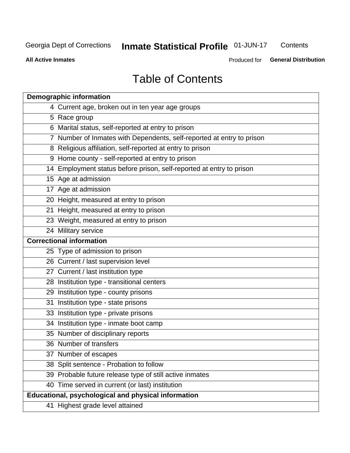## Inmate Statistical Profile 01-JUN-17

Contents

**All Active Inmates** 

Produced for General Distribution

## **Table of Contents**

| <b>Demographic information</b>                                        |
|-----------------------------------------------------------------------|
| 4 Current age, broken out in ten year age groups                      |
| 5 Race group                                                          |
| 6 Marital status, self-reported at entry to prison                    |
| 7 Number of Inmates with Dependents, self-reported at entry to prison |
| 8 Religious affiliation, self-reported at entry to prison             |
| 9 Home county - self-reported at entry to prison                      |
| 14 Employment status before prison, self-reported at entry to prison  |
| 15 Age at admission                                                   |
| 17 Age at admission                                                   |
| 20 Height, measured at entry to prison                                |
| 21 Height, measured at entry to prison                                |
| 23 Weight, measured at entry to prison                                |
| 24 Military service                                                   |
| <b>Correctional information</b>                                       |
| 25 Type of admission to prison                                        |
| 26 Current / last supervision level                                   |
| 27 Current / last institution type                                    |
| 28 Institution type - transitional centers                            |
| 29 Institution type - county prisons                                  |
| 31 Institution type - state prisons                                   |
| 33 Institution type - private prisons                                 |
| 34 Institution type - inmate boot camp                                |
| 35 Number of disciplinary reports                                     |
| 36 Number of transfers                                                |
| 37 Number of escapes                                                  |
| 38 Split sentence - Probation to follow                               |
| 39 Probable future release type of still active inmates               |
| 40 Time served in current (or last) institution                       |
| Educational, psychological and physical information                   |
| 41 Highest grade level attained                                       |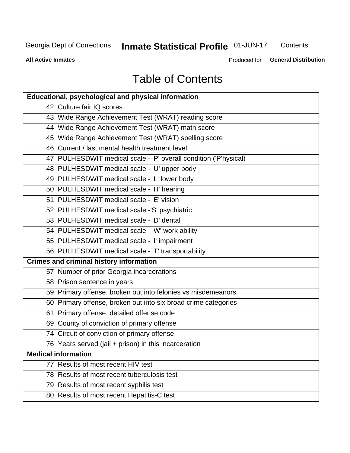## Inmate Statistical Profile 01-JUN-17

Contents

**All Active Inmates** 

Produced for General Distribution

## **Table of Contents**

| <b>Educational, psychological and physical information</b>       |
|------------------------------------------------------------------|
| 42 Culture fair IQ scores                                        |
| 43 Wide Range Achievement Test (WRAT) reading score              |
| 44 Wide Range Achievement Test (WRAT) math score                 |
| 45 Wide Range Achievement Test (WRAT) spelling score             |
| 46 Current / last mental health treatment level                  |
| 47 PULHESDWIT medical scale - 'P' overall condition ('P'hysical) |
| 48 PULHESDWIT medical scale - 'U' upper body                     |
| 49 PULHESDWIT medical scale - 'L' lower body                     |
| 50 PULHESDWIT medical scale - 'H' hearing                        |
| 51 PULHESDWIT medical scale - 'E' vision                         |
| 52 PULHESDWIT medical scale -'S' psychiatric                     |
| 53 PULHESDWIT medical scale - 'D' dental                         |
| 54 PULHESDWIT medical scale - 'W' work ability                   |
| 55 PULHESDWIT medical scale - 'I' impairment                     |
| 56 PULHESDWIT medical scale - 'T' transportability               |
| <b>Crimes and criminal history information</b>                   |
| 57 Number of prior Georgia incarcerations                        |
| 58 Prison sentence in years                                      |
| 59 Primary offense, broken out into felonies vs misdemeanors     |
| 60 Primary offense, broken out into six broad crime categories   |
| 61 Primary offense, detailed offense code                        |
| 69 County of conviction of primary offense                       |
| 74 Circuit of conviction of primary offense                      |
| 76 Years served (jail + prison) in this incarceration            |
| <b>Medical information</b>                                       |
| 77 Results of most recent HIV test                               |
| 78 Results of most recent tuberculosis test                      |
| 79 Results of most recent syphilis test                          |
| 80 Results of most recent Hepatitis-C test                       |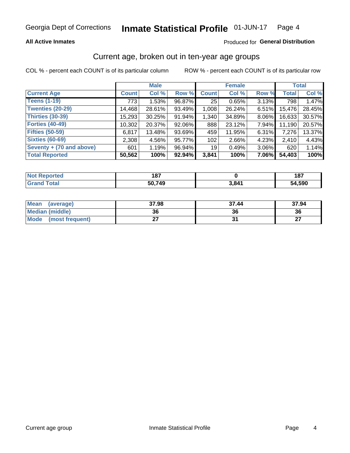#### **All Active Inmates**

#### Produced for General Distribution

## Current age, broken out in ten-year age groups

COL % - percent each COUNT is of its particular column

|                          | <b>Male</b>  |        |        | <b>Female</b>   |        |          | <b>Total</b> |        |
|--------------------------|--------------|--------|--------|-----------------|--------|----------|--------------|--------|
| <b>Current Age</b>       | <b>Count</b> | Col %  | Row %  | <b>Count</b>    | Col %  | Row %    | <b>Total</b> | Col %  |
| <b>Teens (1-19)</b>      | 773          | 1.53%  | 96.87% | 25              | 0.65%  | 3.13%    | 798          | 1.47%  |
| <b>Twenties (20-29)</b>  | 14,468       | 28.61% | 93.49% | 1,008           | 26.24% | 6.51%    | 15,476       | 28.45% |
| Thirties (30-39)         | 15,293       | 30.25% | 91.94% | 1,340           | 34.89% | 8.06%    | 16,633       | 30.57% |
| <b>Forties (40-49)</b>   | 10,302       | 20.37% | 92.06% | 888             | 23.12% | 7.94%    | 11,190       | 20.57% |
| <b>Fifties (50-59)</b>   | 6,817        | 13.48% | 93.69% | 459             | 11.95% | 6.31%    | 7,276        | 13.37% |
| <b>Sixties (60-69)</b>   | 2,308        | 4.56%  | 95.77% | 102             | 2.66%  | 4.23%    | 2,410        | 4.43%  |
| Seventy + (70 and above) | 601          | 1.19%  | 96.94% | 19 <sup>1</sup> | 0.49%  | $3.06\%$ | 620          | 1.14%  |
| <b>Total Reported</b>    | 50,562       | 100%   | 92.94% | 3,841           | 100%   | 7.06%    | 54,403       | 100%   |

| <b>Not Repo</b><br><b>Enorted</b> | 407<br>107 |       | 187    |
|-----------------------------------|------------|-------|--------|
| Total                             | 50 740     | 3 ጸ41 | 54,590 |

| Mean<br>(average)    | 37.98 | 37.44 | 37.94     |
|----------------------|-------|-------|-----------|
| Median (middle)      | 36    |       | 36        |
| Mode (most frequent) | ິ     |       | ^¬<br>. . |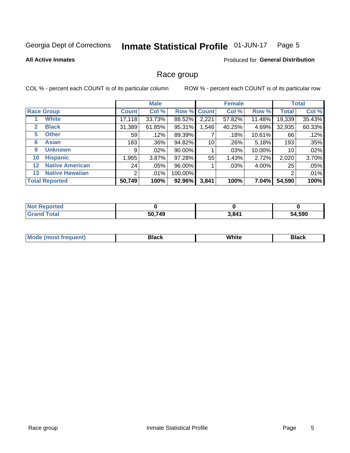#### Inmate Statistical Profile 01-JUN-17 Page 5

#### **All Active Inmates**

#### **Produced for General Distribution**

### Race group

COL % - percent each COUNT is of its particular column

|                   |                        |              | <b>Male</b> |         |             | <b>Female</b> |           |              | <b>Total</b> |  |
|-------------------|------------------------|--------------|-------------|---------|-------------|---------------|-----------|--------------|--------------|--|
|                   | <b>Race Group</b>      | <b>Count</b> | Col %       |         | Row % Count | Col %         | Row %     | <b>Total</b> | Col %        |  |
|                   | <b>White</b>           | 17,118       | 33.73%      | 88.52%  | 2,221       | 57.82%        | 11.48%    | 19,339       | 35.43%       |  |
| $\mathbf{2}$      | <b>Black</b>           | 31,389       | 61.85%      | 95.31%  | 1,546       | 40.25%        | 4.69%     | 32,935       | 60.33%       |  |
| 5.                | <b>Other</b>           | 59           | .12%        | 89.39%  |             | .18%          | $10.61\%$ | 66           | .12%         |  |
| 6                 | <b>Asian</b>           | 183          | $.36\%$     | 94.82%  | 10          | .26%          | 5.18%     | 193          | .35%         |  |
| 9                 | <b>Unknown</b>         | 9            | $.02\%$     | 90.00%  |             | .03%          | 10.00%    | 10           | .02%         |  |
| 10                | <b>Hispanic</b>        | 1,965        | 3.87%       | 97.28%  | 55          | 1.43%         | 2.72%     | 2,020        | 3.70%        |  |
| $12 \overline{ }$ | <b>Native American</b> | 24           | $.05\%$     | 96.00%  |             | .03%          | 4.00%     | 25           | .05%         |  |
| 13                | <b>Native Hawaiian</b> | 2            | .01%        | 100.00% |             |               |           | 2            | .01%         |  |
|                   | <b>Total Reported</b>  | 50,749       | 100%        | 92.96%  | 3,841       | 100%          | 7.04%     | 54,590       | 100%         |  |

| <b>Not Reported</b> |        |       |        |
|---------------------|--------|-------|--------|
| <b>Grand Total</b>  | 50,749 | 3,841 | 54,590 |

| <b>Mode</b><br>---<br>most frequent) | Black | White | <b>Black</b> |
|--------------------------------------|-------|-------|--------------|
|                                      |       |       |              |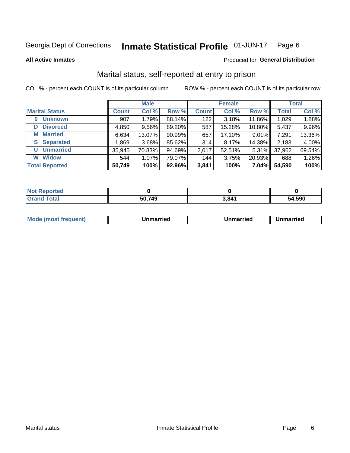#### **Inmate Statistical Profile 01-JUN-17** Page 6

**All Active Inmates** 

#### Produced for General Distribution

## Marital status, self-reported at entry to prison

COL % - percent each COUNT is of its particular column

|                            | <b>Male</b>  |        |        |              | <b>Female</b> | <b>Total</b> |              |        |
|----------------------------|--------------|--------|--------|--------------|---------------|--------------|--------------|--------|
| <b>Marital Status</b>      | <b>Count</b> | Col %  | Row %  | <b>Count</b> | Col %         | Row %        | <b>Total</b> | Col %  |
| <b>Unknown</b><br>$\bf{0}$ | 907          | 1.79%  | 88.14% | 122          | 3.18%         | 11.86%       | 1,029        | 1.88%  |
| <b>Divorced</b><br>D       | 4,850        | 9.56%  | 89.20% | 587          | 15.28%        | 10.80%       | 5,437        | 9.96%  |
| <b>Married</b><br>М        | 6,634        | 13.07% | 90.99% | 657          | 17.10%        | 9.01%        | 7,291        | 13.36% |
| <b>Separated</b><br>S.     | 1,869        | 3.68%  | 85.62% | 314          | 8.17%         | 14.38%       | 2,183        | 4.00%  |
| <b>Unmarried</b><br>U      | 35,945       | 70.83% | 94.69% | 2,017        | 52.51%        | 5.31%        | 37,962       | 69.54% |
| <b>Widow</b><br>W          | 544          | 1.07%  | 79.07% | 144          | 3.75%         | 20.93%       | 688          | 1.26%  |
| <b>Total Reported</b>      | 50,749       | 100%   | 92.96% | 3,841        | 100%          | 7.04%        | 54,590       | 100%   |

| <b>Not Reported</b> |     |                |        |
|---------------------|-----|----------------|--------|
| Total               | 749 | $3.84^{\circ}$ | 54,590 |

|--|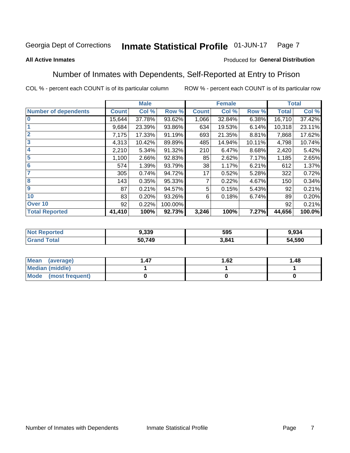#### Inmate Statistical Profile 01-JUN-17 Page 7

#### **All Active Inmates**

#### Produced for General Distribution

## Number of Inmates with Dependents, Self-Reported at Entry to Prison

COL % - percent each COUNT is of its particular column

|                             |              | <b>Male</b> |         |              | <b>Female</b> | <b>Total</b> |              |        |
|-----------------------------|--------------|-------------|---------|--------------|---------------|--------------|--------------|--------|
| <b>Number of dependents</b> | <b>Count</b> | Col %       | Row %   | <b>Count</b> | Col %         | Row %        | <b>Total</b> | Col %  |
| l 0                         | 15,644       | 37.78%      | 93.62%  | 1,066        | 32.84%        | 6.38%        | 16,710       | 37.42% |
|                             | 9,684        | 23.39%      | 93.86%  | 634          | 19.53%        | 6.14%        | 10,318       | 23.11% |
| $\overline{2}$              | 7,175        | 17.33%      | 91.19%  | 693          | 21.35%        | 8.81%        | 7,868        | 17.62% |
| $\overline{\mathbf{3}}$     | 4,313        | 10.42%      | 89.89%  | 485          | 14.94%        | 10.11%       | 4,798        | 10.74% |
| 4                           | 2,210        | 5.34%       | 91.32%  | 210          | 6.47%         | 8.68%        | 2,420        | 5.42%  |
| 5                           | 1,100        | 2.66%       | 92.83%  | 85           | 2.62%         | 7.17%        | 1,185        | 2.65%  |
| 6                           | 574          | 1.39%       | 93.79%  | 38           | 1.17%         | 6.21%        | 612          | 1.37%  |
| 7                           | 305          | 0.74%       | 94.72%  | 17           | 0.52%         | 5.28%        | 322          | 0.72%  |
| 8                           | 143          | 0.35%       | 95.33%  |              | 0.22%         | 4.67%        | 150          | 0.34%  |
| 9                           | 87           | 0.21%       | 94.57%  | 5            | 0.15%         | 5.43%        | 92           | 0.21%  |
| 10                          | 83           | 0.20%       | 93.26%  | 6            | 0.18%         | 6.74%        | 89           | 0.20%  |
| Over 10                     | 92           | 0.22%       | 100.00% |              |               |              | 92           | 0.21%  |
| <b>Total Reported</b>       | 41,410       | 100%        | 92.73%  | 3,246        | 100%          | 7.27%        | 44,656       | 100.0% |

| m. | 9,339  | 595   | 934.ر  |
|----|--------|-------|--------|
|    | 50,749 | 3 841 | 54,590 |

| Mean (average)         | 1.62 | 1.48 |
|------------------------|------|------|
| <b>Median (middle)</b> |      |      |
| Mode (most frequent)   |      |      |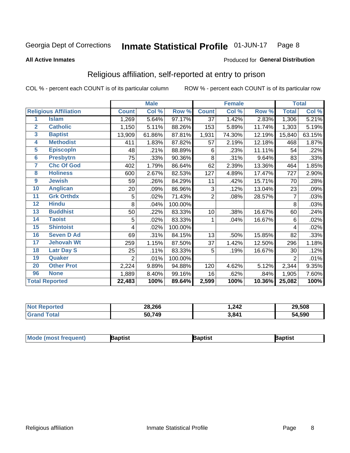#### Inmate Statistical Profile 01-JUN-17 Page 8

#### **All Active Inmates**

#### Produced for General Distribution

## Religious affiliation, self-reported at entry to prison

COL % - percent each COUNT is of its particular column

|                |                              |                | <b>Male</b> |         |                 | <b>Female</b>             |        |                | <b>Total</b> |
|----------------|------------------------------|----------------|-------------|---------|-----------------|---------------------------|--------|----------------|--------------|
|                | <b>Religious Affiliation</b> | <b>Count</b>   | Col %       | Row %   | <b>Count</b>    | $\overline{\text{Col}}$ % | Row %  | <b>Total</b>   | Col %        |
| 1              | <b>Islam</b>                 | 1,269          | 5.64%       | 97.17%  | $\overline{37}$ | 1.42%                     | 2.83%  | 1,306          | 5.21%        |
| $\overline{2}$ | <b>Catholic</b>              | 1,150          | 5.11%       | 88.26%  | 153             | 5.89%                     | 11.74% | 1,303          | 5.19%        |
| 3              | <b>Baptist</b>               | 13,909         | 61.86%      | 87.81%  | 1,931           | 74.30%                    | 12.19% | 15,840         | 63.15%       |
| 4              | <b>Methodist</b>             | 411            | 1.83%       | 87.82%  | 57              | 2.19%                     | 12.18% | 468            | 1.87%        |
| 5              | <b>EpiscopIn</b>             | 48             | .21%        | 88.89%  | 6               | .23%                      | 11.11% | 54             | .22%         |
| $6\phantom{a}$ | <b>Presbytrn</b>             | 75             | .33%        | 90.36%  | 8               | .31%                      | 9.64%  | 83             | .33%         |
| 7              | <b>Chc Of God</b>            | 402            | 1.79%       | 86.64%  | 62              | 2.39%                     | 13.36% | 464            | 1.85%        |
| 8              | <b>Holiness</b>              | 600            | 2.67%       | 82.53%  | 127             | 4.89%                     | 17.47% | 727            | 2.90%        |
| 9              | <b>Jewish</b>                | 59             | .26%        | 84.29%  | 11              | .42%                      | 15.71% | 70             | .28%         |
| 10             | <b>Anglican</b>              | 20             | .09%        | 86.96%  | 3               | .12%                      | 13.04% | 23             | .09%         |
| 11             | <b>Grk Orthdx</b>            | 5              | .02%        | 71.43%  | $\overline{2}$  | .08%                      | 28.57% | 7              | .03%         |
| 12             | <b>Hindu</b>                 | 8              | .04%        | 100.00% |                 |                           |        | 8              | .03%         |
| 13             | <b>Buddhist</b>              | 50             | .22%        | 83.33%  | 10              | .38%                      | 16.67% | 60             | .24%         |
| 14             | <b>Taoist</b>                | 5              | .02%        | 83.33%  | 1               | .04%                      | 16.67% | 6              | .02%         |
| 15             | <b>Shintoist</b>             | 4              | .02%        | 100.00% |                 |                           |        | 4              | .02%         |
| 16             | <b>Seven D Ad</b>            | 69             | .31%        | 84.15%  | 13              | .50%                      | 15.85% | 82             | .33%         |
| 17             | <b>Jehovah Wt</b>            | 259            | 1.15%       | 87.50%  | 37              | 1.42%                     | 12.50% | 296            | 1.18%        |
| 18             | <b>Latr Day S</b>            | 25             | .11%        | 83.33%  | 5               | .19%                      | 16.67% | 30             | .12%         |
| 19             | Quaker                       | $\overline{2}$ | .01%        | 100.00% |                 |                           |        | $\overline{2}$ | .01%         |
| 20             | <b>Other Prot</b>            | 2,224          | 9.89%       | 94.88%  | 120             | 4.62%                     | 5.12%  | 2,344          | 9.35%        |
| 96             | <b>None</b>                  | 1,889          | 8.40%       | 99.16%  | 16              | .62%                      | .84%   | 1,905          | 7.60%        |
|                | <b>Total Reported</b>        | 22,483         | 100%        | 89.64%  | 2,599           | 100%                      | 10.36% | 25,082         | 100%         |

| Reported<br><b>N</b> | 28,266 | .242  | 29,508 |
|----------------------|--------|-------|--------|
| `otal                | 50,749 | 3,841 | 54,590 |

|  | Moc<br>de (most frequent) | aptist | 3aptist | 3aptist |
|--|---------------------------|--------|---------|---------|
|--|---------------------------|--------|---------|---------|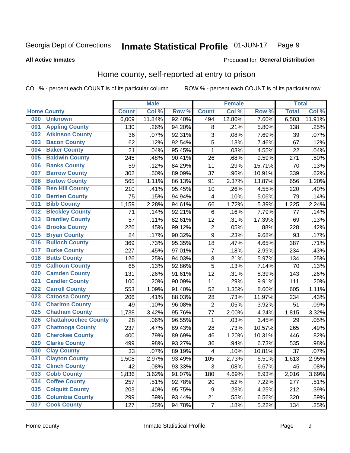#### Inmate Statistical Profile 01-JUN-17 Page 9

#### **All Active Inmates**

#### Produced for General Distribution

## Home county, self-reported at entry to prison

COL % - percent each COUNT is of its particular column

|     |                             |              | <b>Male</b> |                  |                  | <b>Female</b> |        | <b>Total</b> |        |
|-----|-----------------------------|--------------|-------------|------------------|------------------|---------------|--------|--------------|--------|
|     | <b>Home County</b>          | <b>Count</b> | Col %       | Row <sup>%</sup> | <b>Count</b>     | Col %         | Row %  | <b>Total</b> | Col %  |
| 000 | <b>Unknown</b>              | 6,009        | 11.84%      | 92.40%           | 494              | 12.86%        | 7.60%  | 6,503        | 11.91% |
| 001 | <b>Appling County</b>       | 130          | .26%        | 94.20%           | 8                | .21%          | 5.80%  | 138          | .25%   |
| 002 | <b>Atkinson County</b>      | 36           | .07%        | 92.31%           | 3                | .08%          | 7.69%  | 39           | .07%   |
| 003 | <b>Bacon County</b>         | 62           | .12%        | 92.54%           | 5                | .13%          | 7.46%  | 67           | .12%   |
| 004 | <b>Baker County</b>         | 21           | .04%        | 95.45%           | $\mathbf 1$      | .03%          | 4.55%  | 22           | .04%   |
| 005 | <b>Baldwin County</b>       | 245          | .48%        | 90.41%           | 26               | .68%          | 9.59%  | 271          | .50%   |
| 006 | <b>Banks County</b>         | 59           | .12%        | 84.29%           | 11               | .29%          | 15.71% | 70           | .13%   |
| 007 | <b>Barrow County</b>        | 302          | .60%        | 89.09%           | 37               | .96%          | 10.91% | 339          | .62%   |
| 008 | <b>Bartow County</b>        | 565          | 1.11%       | 86.13%           | 91               | 2.37%         | 13.87% | 656          | 1.20%  |
| 009 | <b>Ben Hill County</b>      | 210          | .41%        | 95.45%           | 10               | .26%          | 4.55%  | 220          | .40%   |
| 010 | <b>Berrien County</b>       | 75           | .15%        | 94.94%           | 4                | .10%          | 5.06%  | 79           | .14%   |
| 011 | <b>Bibb County</b>          | 1,159        | 2.28%       | 94.61%           | 66               | 1.72%         | 5.39%  | 1,225        | 2.24%  |
| 012 | <b>Bleckley County</b>      | 71           | .14%        | 92.21%           | $\,6$            | .16%          | 7.79%  | 77           | .14%   |
| 013 | <b>Brantley County</b>      | 57           | .11%        | 82.61%           | 12               | .31%          | 17.39% | 69           | .13%   |
| 014 | <b>Brooks County</b>        | 226          | .45%        | 99.12%           | $\overline{2}$   | .05%          | .88%   | 228          | .42%   |
| 015 | <b>Bryan County</b>         | 84           | .17%        | 90.32%           | 9                | .23%          | 9.68%  | 93           | .17%   |
| 016 | <b>Bulloch County</b>       | 369          | .73%        | 95.35%           | 18               | .47%          | 4.65%  | 387          | .71%   |
| 017 | <b>Burke County</b>         | 227          | .45%        | 97.01%           | $\overline{7}$   | .18%          | 2.99%  | 234          | .43%   |
| 018 | <b>Butts County</b>         | 126          | .25%        | 94.03%           | 8                | .21%          | 5.97%  | 134          | .25%   |
| 019 | <b>Calhoun County</b>       | 65           | .13%        | 92.86%           | 5                | .13%          | 7.14%  | 70           | .13%   |
| 020 | <b>Camden County</b>        | 131          | .26%        | 91.61%           | 12               | .31%          | 8.39%  | 143          | .26%   |
| 021 | <b>Candler County</b>       | 100          | .20%        | 90.09%           | 11               | .29%          | 9.91%  | 111          | .20%   |
| 022 | <b>Carroll County</b>       | 553          | 1.09%       | 91.40%           | 52               | 1.35%         | 8.60%  | 605          | 1.11%  |
| 023 | <b>Catoosa County</b>       | 206          | .41%        | 88.03%           | 28               | .73%          | 11.97% | 234          | .43%   |
| 024 | <b>Charlton County</b>      | 49           | .10%        | 96.08%           | $\overline{2}$   | .05%          | 3.92%  | 51           | .09%   |
| 025 | <b>Chatham County</b>       | 1,738        | 3.42%       | 95.76%           | 77               | 2.00%         | 4.24%  | 1,815        | 3.32%  |
| 026 | <b>Chattahoochee County</b> | 28           | .06%        | 96.55%           | $\mathbf{1}$     | .03%          | 3.45%  | 29           | .05%   |
| 027 | <b>Chattooga County</b>     | 237          | .47%        | 89.43%           | 28               | .73%          | 10.57% | 265          | .49%   |
| 028 | <b>Cherokee County</b>      | 400          | .79%        | 89.69%           | 46               | 1.20%         | 10.31% | 446          | .82%   |
| 029 | <b>Clarke County</b>        | 499          | .98%        | 93.27%           | 36               | .94%          | 6.73%  | 535          | .98%   |
| 030 | <b>Clay County</b>          | 33           | .07%        | 89.19%           | 4                | .10%          | 10.81% | 37           | .07%   |
| 031 | <b>Clayton County</b>       | 1,508        | 2.97%       | 93.49%           | 105              | 2.73%         | 6.51%  | 1,613        | 2.95%  |
| 032 | <b>Clinch County</b>        | 42           | .08%        | 93.33%           | 3                | .08%          | 6.67%  | 45           | .08%   |
| 033 | <b>Cobb County</b>          | 1,836        | 3.62%       | 91.07%           | 180              | 4.69%         | 8.93%  | 2,016        | 3.69%  |
| 034 | <b>Coffee County</b>        | 257          | .51%        | 92.78%           | 20               | .52%          | 7.22%  | 277          | .51%   |
| 035 | <b>Colquitt County</b>      | 203          | .40%        | 95.75%           | $\boldsymbol{9}$ | .23%          | 4.25%  | 212          | .39%   |
| 036 | <b>Columbia County</b>      | 299          | .59%        | 93.44%           | 21               | .55%          | 6.56%  | 320          | .59%   |
| 037 | <b>Cook County</b>          | 127          | .25%        | 94.78%           | $\overline{7}$   | .18%          | 5.22%  | 134          | .25%   |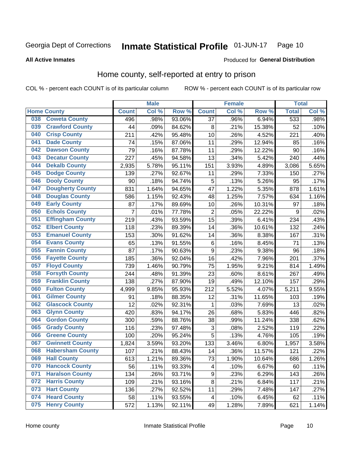#### Inmate Statistical Profile 01-JUN-17 Page 10

#### **All Active Inmates**

#### Produced for General Distribution

### Home county, self-reported at entry to prison

COL % - percent each COUNT is of its particular column

|     |                         |                | <b>Male</b> |        |                         | <b>Female</b> |        | <b>Total</b> |       |
|-----|-------------------------|----------------|-------------|--------|-------------------------|---------------|--------|--------------|-------|
|     | <b>Home County</b>      | <b>Count</b>   | Col %       | Row %  | <b>Count</b>            | Col %         | Row %  | <b>Total</b> | Col % |
| 038 | <b>Coweta County</b>    | 496            | .98%        | 93.06% | $\overline{37}$         | .96%          | 6.94%  | 533          | .98%  |
| 039 | <b>Crawford County</b>  | 44             | .09%        | 84.62% | 8                       | .21%          | 15.38% | 52           | .10%  |
| 040 | <b>Crisp County</b>     | 211            | .42%        | 95.48% | 10                      | .26%          | 4.52%  | 221          | .40%  |
| 041 | <b>Dade County</b>      | 74             | .15%        | 87.06% | 11                      | .29%          | 12.94% | 85           | .16%  |
| 042 | <b>Dawson County</b>    | 79             | .16%        | 87.78% | 11                      | .29%          | 12.22% | 90           | .16%  |
| 043 | <b>Decatur County</b>   | 227            | .45%        | 94.58% | 13                      | .34%          | 5.42%  | 240          | .44%  |
| 044 | <b>Dekalb County</b>    | 2,935          | 5.78%       | 95.11% | 151                     | 3.93%         | 4.89%  | 3,086        | 5.65% |
| 045 | <b>Dodge County</b>     | 139            | .27%        | 92.67% | 11                      | .29%          | 7.33%  | 150          | .27%  |
| 046 | <b>Dooly County</b>     | 90             | .18%        | 94.74% | 5                       | .13%          | 5.26%  | 95           | .17%  |
| 047 | <b>Dougherty County</b> | 831            | 1.64%       | 94.65% | 47                      | 1.22%         | 5.35%  | 878          | 1.61% |
| 048 | <b>Douglas County</b>   | 586            | 1.15%       | 92.43% | 48                      | 1.25%         | 7.57%  | 634          | 1.16% |
| 049 | <b>Early County</b>     | 87             | .17%        | 89.69% | 10                      | .26%          | 10.31% | 97           | .18%  |
| 050 | <b>Echols County</b>    | $\overline{7}$ | .01%        | 77.78% | $\overline{2}$          | .05%          | 22.22% | 9            | .02%  |
| 051 | <b>Effingham County</b> | 219            | .43%        | 93.59% | 15                      | .39%          | 6.41%  | 234          | .43%  |
| 052 | <b>Elbert County</b>    | 118            | .23%        | 89.39% | 14                      | .36%          | 10.61% | 132          | .24%  |
| 053 | <b>Emanuel County</b>   | 153            | .30%        | 91.62% | 14                      | .36%          | 8.38%  | 167          | .31%  |
| 054 | <b>Evans County</b>     | 65             | .13%        | 91.55% | $\,6$                   | .16%          | 8.45%  | 71           | .13%  |
| 055 | <b>Fannin County</b>    | 87             | .17%        | 90.63% | 9                       | .23%          | 9.38%  | 96           | .18%  |
| 056 | <b>Fayette County</b>   | 185            | .36%        | 92.04% | 16                      | .42%          | 7.96%  | 201          | .37%  |
| 057 | <b>Floyd County</b>     | 739            | 1.46%       | 90.79% | 75                      | 1.95%         | 9.21%  | 814          | 1.49% |
| 058 | <b>Forsyth County</b>   | 244            | .48%        | 91.39% | 23                      | .60%          | 8.61%  | 267          | .49%  |
| 059 | <b>Franklin County</b>  | 138            | .27%        | 87.90% | 19                      | .49%          | 12.10% | 157          | .29%  |
| 060 | <b>Fulton County</b>    | 4,999          | 9.85%       | 95.93% | 212                     | 5.52%         | 4.07%  | 5,211        | 9.55% |
| 061 | <b>Gilmer County</b>    | 91             | .18%        | 88.35% | 12                      | .31%          | 11.65% | 103          | .19%  |
| 062 | <b>Glascock County</b>  | 12             | .02%        | 92.31% | 1                       | .03%          | 7.69%  | 13           | .02%  |
| 063 | <b>Glynn County</b>     | 420            | .83%        | 94.17% | 26                      | .68%          | 5.83%  | 446          | .82%  |
| 064 | <b>Gordon County</b>    | 300            | .59%        | 88.76% | 38                      | .99%          | 11.24% | 338          | .62%  |
| 065 | <b>Grady County</b>     | 116            | .23%        | 97.48% | 3                       | .08%          | 2.52%  | 119          | .22%  |
| 066 | <b>Greene County</b>    | 100            | .20%        | 95.24% | 5                       | .13%          | 4.76%  | 105          | .19%  |
| 067 | <b>Gwinnett County</b>  | 1,824          | 3.59%       | 93.20% | 133                     | 3.46%         | 6.80%  | 1,957        | 3.58% |
| 068 | <b>Habersham County</b> | 107            | .21%        | 88.43% | 14                      | .36%          | 11.57% | 121          | .22%  |
| 069 | <b>Hall County</b>      | 613            | 1.21%       | 89.36% | 73                      | 1.90%         | 10.64% | 686          | 1.26% |
| 070 | <b>Hancock County</b>   | 56             | .11%        | 93.33% | 4                       | .10%          | 6.67%  | 60           | .11%  |
| 071 | <b>Haralson County</b>  | 134            | .26%        | 93.71% | 9                       | .23%          | 6.29%  | 143          | .26%  |
| 072 | <b>Harris County</b>    | 109            | .21%        | 93.16% | $\bf 8$                 | .21%          | 6.84%  | 117          | .21%  |
| 073 | <b>Hart County</b>      | 136            | .27%        | 92.52% | 11                      | .29%          | 7.48%  | 147          | .27%  |
| 074 | <b>Heard County</b>     | 58             | .11%        | 93.55% | $\overline{\mathbf{4}}$ | .10%          | 6.45%  | 62           | .11%  |
| 075 | <b>Henry County</b>     | 572            | 1.13%       | 92.11% | 49                      | 1.28%         | 7.89%  | 621          | 1.14% |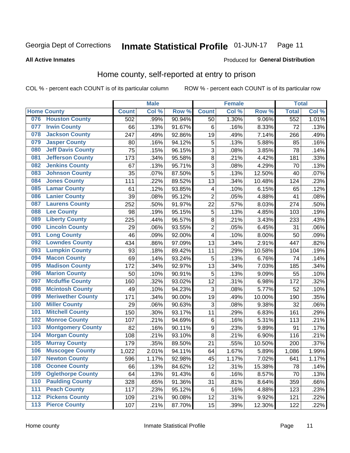#### Inmate Statistical Profile 01-JUN-17 Page 11

#### **All Active Inmates**

### Produced for General Distribution

## Home county, self-reported at entry to prison

COL % - percent each COUNT is of its particular column

|     |                          |              | <b>Male</b> |                  |                           | <b>Female</b> |        | <b>Total</b> |       |
|-----|--------------------------|--------------|-------------|------------------|---------------------------|---------------|--------|--------------|-------|
|     | <b>Home County</b>       | <b>Count</b> | Col %       | Row <sup>%</sup> | <b>Count</b>              | Col %         | Row %  | <b>Total</b> | Col % |
| 076 | <b>Houston County</b>    | 502          | .99%        | 90.94%           | 50                        | 1.30%         | 9.06%  | 552          | 1.01% |
| 077 | <b>Irwin County</b>      | 66           | .13%        | 91.67%           | 6                         | .16%          | 8.33%  | 72           | .13%  |
| 078 | <b>Jackson County</b>    | 247          | .49%        | 92.86%           | 19                        | .49%          | 7.14%  | 266          | .49%  |
| 079 | <b>Jasper County</b>     | 80           | .16%        | 94.12%           | 5                         | .13%          | 5.88%  | 85           | .16%  |
| 080 | <b>Jeff Davis County</b> | 75           | .15%        | 96.15%           | 3                         | .08%          | 3.85%  | 78           | .14%  |
| 081 | <b>Jefferson County</b>  | 173          | .34%        | 95.58%           | 8                         | .21%          | 4.42%  | 181          | .33%  |
| 082 | <b>Jenkins County</b>    | 67           | .13%        | 95.71%           | $\overline{3}$            | .08%          | 4.29%  | 70           | .13%  |
| 083 | <b>Johnson County</b>    | 35           | .07%        | 87.50%           | 5                         | .13%          | 12.50% | 40           | .07%  |
| 084 | <b>Jones County</b>      | 111          | .22%        | 89.52%           | 13                        | .34%          | 10.48% | 124          | .23%  |
| 085 | <b>Lamar County</b>      | 61           | .12%        | 93.85%           | 4                         | .10%          | 6.15%  | 65           | .12%  |
| 086 | <b>Lanier County</b>     | 39           | .08%        | 95.12%           | $\overline{2}$            | .05%          | 4.88%  | 41           | .08%  |
| 087 | <b>Laurens County</b>    | 252          | .50%        | 91.97%           | 22                        | .57%          | 8.03%  | 274          | .50%  |
| 088 | <b>Lee County</b>        | 98           | .19%        | 95.15%           | $\mathbf 5$               | .13%          | 4.85%  | 103          | .19%  |
| 089 | <b>Liberty County</b>    | 225          | .44%        | 96.57%           | 8                         | .21%          | 3.43%  | 233          | .43%  |
| 090 | <b>Lincoln County</b>    | 29           | .06%        | 93.55%           | $\overline{2}$            | .05%          | 6.45%  | 31           | .06%  |
| 091 | <b>Long County</b>       | 46           | .09%        | 92.00%           | 4                         | .10%          | 8.00%  | 50           | .09%  |
| 092 | <b>Lowndes County</b>    | 434          | .86%        | 97.09%           | 13                        | .34%          | 2.91%  | 447          | .82%  |
| 093 | <b>Lumpkin County</b>    | 93           | .18%        | 89.42%           | 11                        | .29%          | 10.58% | 104          | .19%  |
| 094 | <b>Macon County</b>      | 69           | .14%        | 93.24%           | 5                         | .13%          | 6.76%  | 74           | .14%  |
| 095 | <b>Madison County</b>    | 172          | .34%        | 92.97%           | 13                        | .34%          | 7.03%  | 185          | .34%  |
| 096 | <b>Marion County</b>     | 50           | .10%        | 90.91%           | 5                         | .13%          | 9.09%  | 55           | .10%  |
| 097 | <b>Mcduffie County</b>   | 160          | .32%        | 93.02%           | 12                        | .31%          | 6.98%  | 172          | .32%  |
| 098 | <b>Mcintosh County</b>   | 49           | .10%        | 94.23%           | 3                         | .08%          | 5.77%  | 52           | .10%  |
| 099 | <b>Meriwether County</b> | 171          | .34%        | 90.00%           | 19                        | .49%          | 10.00% | 190          | .35%  |
| 100 | <b>Miller County</b>     | 29           | .06%        | 90.63%           | $\ensuremath{\mathsf{3}}$ | .08%          | 9.38%  | 32           | .06%  |
| 101 | <b>Mitchell County</b>   | 150          | .30%        | 93.17%           | 11                        | .29%          | 6.83%  | 161          | .29%  |
| 102 | <b>Monroe County</b>     | 107          | .21%        | 94.69%           | $\,6$                     | .16%          | 5.31%  | 113          | .21%  |
| 103 | <b>Montgomery County</b> | 82           | .16%        | 90.11%           | 9                         | .23%          | 9.89%  | 91           | .17%  |
| 104 | <b>Morgan County</b>     | 108          | .21%        | 93.10%           | 8                         | .21%          | 6.90%  | 116          | .21%  |
| 105 | <b>Murray County</b>     | 179          | .35%        | 89.50%           | 21                        | .55%          | 10.50% | 200          | .37%  |
| 106 | <b>Muscogee County</b>   | 1,022        | 2.01%       | 94.11%           | 64                        | 1.67%         | 5.89%  | 1,086        | 1.99% |
| 107 | <b>Newton County</b>     | 596          | 1.17%       | 92.98%           | 45                        | 1.17%         | 7.02%  | 641          | 1.17% |
| 108 | <b>Oconee County</b>     | 66           | .13%        | 84.62%           | 12                        | .31%          | 15.38% | 78           | .14%  |
| 109 | <b>Oglethorpe County</b> | 64           | .13%        | 91.43%           | $\,6$                     | .16%          | 8.57%  | 70           | .13%  |
| 110 | <b>Paulding County</b>   | 328          | .65%        | 91.36%           | 31                        | .81%          | 8.64%  | 359          | .66%  |
| 111 | <b>Peach County</b>      | 117          | .23%        | 95.12%           | 6                         | .16%          | 4.88%  | 123          | .23%  |
| 112 | <b>Pickens County</b>    | 109          | .21%        | 90.08%           | 12                        | .31%          | 9.92%  | 121          | .22%  |
| 113 | <b>Pierce County</b>     | 107          | .21%        | 87.70%           | 15                        | .39%          | 12.30% | 122          | .22%  |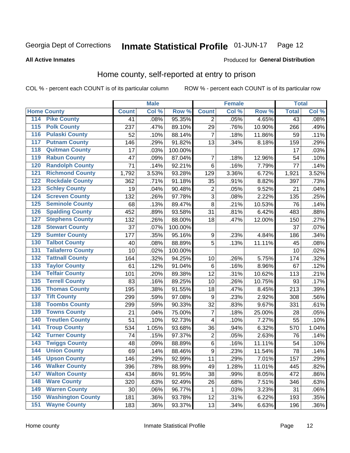#### Inmate Statistical Profile 01-JUN-17 Page 12

**All Active Inmates** 

#### Produced for General Distribution

## Home county, self-reported at entry to prison

COL % - percent each COUNT is of its particular column

|                  |                          |              | <b>Male</b> |                  |                | <b>Female</b> |        | <b>Total</b> |         |
|------------------|--------------------------|--------------|-------------|------------------|----------------|---------------|--------|--------------|---------|
|                  | <b>Home County</b>       | <b>Count</b> | Col %       | Row <sup>%</sup> | <b>Count</b>   | Col %         | Row %  | <b>Total</b> | Col %   |
| 114              | <b>Pike County</b>       | 41           | .08%        | 95.35%           | 2              | .05%          | 4.65%  | 43           | .08%    |
| 115              | <b>Polk County</b>       | 237          | .47%        | 89.10%           | 29             | .76%          | 10.90% | 266          | .49%    |
| 116              | <b>Pulaski County</b>    | 52           | .10%        | 88.14%           | $\overline{7}$ | .18%          | 11.86% | 59           | .11%    |
| 117              | <b>Putnam County</b>     | 146          | .29%        | 91.82%           | 13             | .34%          | 8.18%  | 159          | .29%    |
| 118              | <b>Quitman County</b>    | 17           | .03%        | 100.00%          |                |               |        | 17           | .03%    |
| 119              | <b>Rabun County</b>      | 47           | .09%        | 87.04%           | $\overline{7}$ | .18%          | 12.96% | 54           | .10%    |
| 120              | <b>Randolph County</b>   | 71           | .14%        | 92.21%           | $\,6$          | .16%          | 7.79%  | 77           | .14%    |
| 121              | <b>Richmond County</b>   | 1,792        | 3.53%       | 93.28%           | 129            | 3.36%         | 6.72%  | 1,921        | 3.52%   |
| 122              | <b>Rockdale County</b>   | 362          | .71%        | 91.18%           | 35             | .91%          | 8.82%  | 397          | .73%    |
| 123              | <b>Schley County</b>     | 19           | .04%        | 90.48%           | $\overline{2}$ | .05%          | 9.52%  | 21           | .04%    |
| 124              | <b>Screven County</b>    | 132          | .26%        | 97.78%           | $\overline{3}$ | .08%          | 2.22%  | 135          | .25%    |
| 125              | <b>Seminole County</b>   | 68           | .13%        | 89.47%           | 8              | .21%          | 10.53% | 76           | .14%    |
| 126              | <b>Spalding County</b>   | 452          | .89%        | 93.58%           | 31             | .81%          | 6.42%  | 483          | .88%    |
| 127              | <b>Stephens County</b>   | 132          | .26%        | 88.00%           | 18             | .47%          | 12.00% | 150          | .27%    |
| 128              | <b>Stewart County</b>    | 37           | .07%        | 100.00%          |                |               |        | 37           | .07%    |
| 129              | <b>Sumter County</b>     | 177          | .35%        | 95.16%           | 9              | .23%          | 4.84%  | 186          | .34%    |
| 130              | <b>Talbot County</b>     | 40           | .08%        | 88.89%           | 5              | .13%          | 11.11% | 45           | .08%    |
| 131              | <b>Taliaferro County</b> | 10           | .02%        | 100.00%          |                |               |        | 10           | .02%    |
| 132              | <b>Tattnall County</b>   | 164          | .32%        | 94.25%           | 10             | .26%          | 5.75%  | 174          | .32%    |
| 133              | <b>Taylor County</b>     | 61           | .12%        | 91.04%           | 6              | .16%          | 8.96%  | 67           | .12%    |
| 134              | <b>Telfair County</b>    | 101          | .20%        | 89.38%           | 12             | .31%          | 10.62% | 113          | .21%    |
| $\overline{135}$ | <b>Terrell County</b>    | 83           | .16%        | 89.25%           | 10             | .26%          | 10.75% | 93           | .17%    |
| 136              | <b>Thomas County</b>     | 195          | .38%        | 91.55%           | 18             | .47%          | 8.45%  | 213          | .39%    |
| 137              | <b>Tift County</b>       | 299          | .59%        | 97.08%           | 9              | .23%          | 2.92%  | 308          | .56%    |
| 138              | <b>Toombs County</b>     | 299          | .59%        | 90.33%           | 32             | .83%          | 9.67%  | 331          | .61%    |
| 139              | <b>Towns County</b>      | 21           | .04%        | 75.00%           | $\overline{7}$ | .18%          | 25.00% | 28           | .05%    |
| 140              | <b>Treutlen County</b>   | 51           | .10%        | 92.73%           | 4              | .10%          | 7.27%  | 55           | .10%    |
| 141              | <b>Troup County</b>      | 534          | 1.05%       | 93.68%           | 36             | .94%          | 6.32%  | 570          | 1.04%   |
| $\overline{142}$ | <b>Turner County</b>     | 74           | .15%        | 97.37%           | $\overline{c}$ | .05%          | 2.63%  | 76           | .14%    |
| 143              | <b>Twiggs County</b>     | 48           | .09%        | 88.89%           | $\,6$          | .16%          | 11.11% | 54           | .10%    |
| 144              | <b>Union County</b>      | 69           | .14%        | 88.46%           | $\overline{9}$ | .23%          | 11.54% | 78           | .14%    |
| 145              | <b>Upson County</b>      | 146          | .29%        | 92.99%           | 11             | .29%          | 7.01%  | 157          | .29%    |
| 146              | <b>Walker County</b>     | 396          | .78%        | 88.99%           | 49             | 1.28%         | 11.01% | 445          | .82%    |
| 147              | <b>Walton County</b>     | 434          | .86%        | 91.95%           | 38             | .99%          | 8.05%  | 472          | .86%    |
| 148              | <b>Ware County</b>       | 320          | .63%        | 92.49%           | 26             | .68%          | 7.51%  | 346          | .63%    |
| 149              | <b>Warren County</b>     | 30           | .06%        | 96.77%           | 1              | .03%          | 3.23%  | 31           | .06%    |
| 150              | <b>Washington County</b> | 181          | .36%        | 93.78%           | 12             | .31%          | 6.22%  | 193          | .35%    |
| 151              | <b>Wayne County</b>      | 183          | .36%        | 93.37%           | 13             | .34%          | 6.63%  | 196          | $.36\%$ |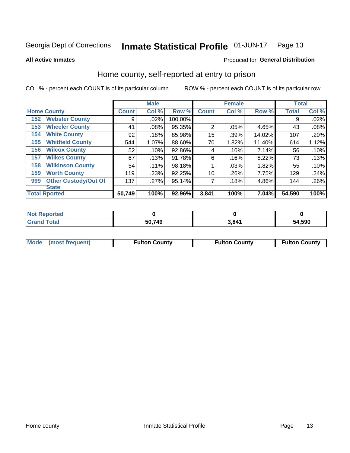#### Inmate Statistical Profile 01-JUN-17 Page 13

#### **All Active Inmates**

#### Produced for General Distribution

## Home county, self-reported at entry to prison

COL % - percent each COUNT is of its particular column

|     |                             |              | <b>Male</b> |         |                 | <b>Female</b> |        | <b>Total</b> |       |
|-----|-----------------------------|--------------|-------------|---------|-----------------|---------------|--------|--------------|-------|
|     | <b>Home County</b>          | <b>Count</b> | Col %       | Row %   | <b>Count</b>    | Col %         | Row %  | <b>Total</b> | Col % |
| 152 | <b>Webster County</b>       | 9            | .02%        | 100.00% |                 |               |        | 9            | .02%  |
| 153 | <b>Wheeler County</b>       | 41           | .08%        | 95.35%  | $\overline{2}$  | .05%          | 4.65%  | 43           | .08%  |
| 154 | <b>White County</b>         | 92           | .18%        | 85.98%  | 15              | .39%          | 14.02% | 107          | .20%  |
| 155 | <b>Whitfield County</b>     | 544          | 1.07%       | 88.60%  | 70              | 1.82%         | 11.40% | 614          | 1.12% |
| 156 | <b>Wilcox County</b>        | 52           | .10%        | 92.86%  | 4               | .10%          | 7.14%  | 56           | .10%  |
| 157 | <b>Wilkes County</b>        | 67           | .13%        | 91.78%  | 6               | .16%          | 8.22%  | 73           | .13%  |
| 158 | <b>Wilkinson County</b>     | 54           | .11%        | 98.18%  |                 | .03%          | 1.82%  | 55           | .10%  |
| 159 | <b>Worth County</b>         | 119          | .23%        | 92.25%  | 10 <sup>1</sup> | .26%          | 7.75%  | 129          | .24%  |
| 999 | <b>Other Custody/Out Of</b> | 137          | .27%        | 95.14%  | 7               | .18%          | 4.86%  | 144          | .26%  |
|     | <b>State</b>                |              |             |         |                 |               |        |              |       |
|     | <b>Total Rported</b>        | 50,749       | 100%        | 92.96%  | 3,841           | 100%          | 7.04%  | 54,590       | 100%  |

| <b>Not</b><br>Reported |        |       |        |
|------------------------|--------|-------|--------|
| <b>Total</b>           | 50,749 | 3.841 | 54,590 |

|  | Mode (most frequent) | <b>Fulton County</b> | <b>Fulton County</b> | <b>Fulton County</b> |
|--|----------------------|----------------------|----------------------|----------------------|
|--|----------------------|----------------------|----------------------|----------------------|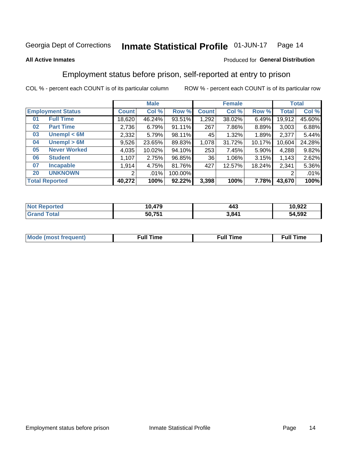#### **Inmate Statistical Profile 01-JUN-17** Page 14

#### **All Active Inmates**

#### Produced for General Distribution

## Employment status before prison, self-reported at entry to prison

COL % - percent each COUNT is of its particular column

|                           |              | <b>Male</b> |         |              | <b>Female</b> |        |        | <b>Total</b> |
|---------------------------|--------------|-------------|---------|--------------|---------------|--------|--------|--------------|
| <b>Employment Status</b>  | <b>Count</b> | Col %       | Row %   | <b>Count</b> | Col %         | Row %  | Total  | Col %        |
| <b>Full Time</b><br>01    | 18,620       | 46.24%      | 93.51%  | 1,292        | 38.02%        | 6.49%  | 19,912 | 45.60%       |
| <b>Part Time</b><br>02    | 2,736        | 6.79%       | 91.11%  | 267          | 7.86%         | 8.89%  | 3,003  | 6.88%        |
| Unempl $<$ 6M<br>03       | 2,332        | 5.79%       | 98.11%  | 45           | 1.32%         | 1.89%  | 2,377  | 5.44%        |
| Unempl > 6M<br>04         | 9,526        | 23.65%      | 89.83%  | 1,078        | 31.72%        | 10.17% | 10,604 | 24.28%       |
| <b>Never Worked</b><br>05 | 4,035        | 10.02%      | 94.10%  | 253          | 7.45%         | 5.90%  | 4,288  | 9.82%        |
| <b>Student</b><br>06      | .107         | 2.75%       | 96.85%  | 36           | 1.06%         | 3.15%  | 1,143  | 2.62%        |
| 07<br><b>Incapable</b>    | 1,914        | 4.75%       | 81.76%  | 427          | 12.57%        | 18.24% | 2,341  | 5.36%        |
| <b>UNKNOWN</b><br>20      | 2            | .01%        | 100.00% |              |               |        | 2      | .01%         |
| <b>Total Reported</b>     | 40,272       | 100%        | 92.22%  | 3,398        | 100%          | 7.78%  | 43,670 | 100%         |

| <b>Not Reported</b> | 10,479 | 443   | 10,922 |
|---------------------|--------|-------|--------|
| <b>Grand Total</b>  | 50,751 | 3,841 | 54,592 |

| <b>Mode (most frequent)</b> | $^{\prime\prime}$ Time | <b>Time</b><br>rull i |
|-----------------------------|------------------------|-----------------------|
|                             |                        |                       |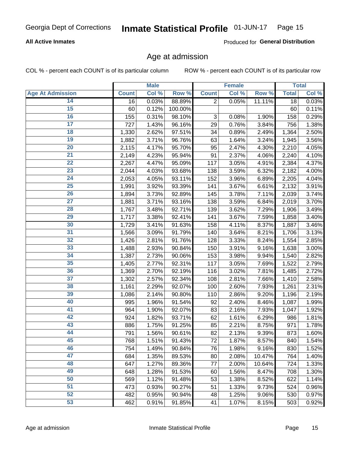#### **All Active Inmates**

Produced for General Distribution

## Age at admission

COL % - percent each COUNT is of its particular column

|                         |              | <b>Male</b> |         |                           | <b>Female</b> |        |              | <b>Total</b> |
|-------------------------|--------------|-------------|---------|---------------------------|---------------|--------|--------------|--------------|
| <b>Age At Admission</b> | <b>Count</b> | Col %       | Row %   | <b>Count</b>              | Col %         | Row %  | <b>Total</b> | Col %        |
| 14                      | 16           | 0.03%       | 88.89%  | $\overline{2}$            | 0.05%         | 11.11% | 18           | 0.03%        |
| 15                      | 60           | 0.12%       | 100.00% |                           |               |        | 60           | 0.11%        |
| 16                      | 155          | 0.31%       | 98.10%  | $\ensuremath{\mathsf{3}}$ | 0.08%         | 1.90%  | 158          | 0.29%        |
| $\overline{17}$         | 727          | 1.43%       | 96.16%  | 29                        | 0.76%         | 3.84%  | 756          | 1.38%        |
| $\overline{18}$         | 1,330        | 2.62%       | 97.51%  | 34                        | 0.89%         | 2.49%  | 1,364        | 2.50%        |
| 19                      | 1,882        | 3.71%       | 96.76%  | 63                        | 1.64%         | 3.24%  | 1,945        | 3.56%        |
| 20                      | 2,115        | 4.17%       | 95.70%  | 95                        | 2.47%         | 4.30%  | 2,210        | 4.05%        |
| $\overline{21}$         | 2,149        | 4.23%       | 95.94%  | 91                        | 2.37%         | 4.06%  | 2,240        | 4.10%        |
| $\overline{22}$         | 2,267        | 4.47%       | 95.09%  | 117                       | 3.05%         | 4.91%  | 2,384        | 4.37%        |
| $\overline{23}$         | 2,044        | 4.03%       | 93.68%  | 138                       | 3.59%         | 6.32%  | 2,182        | 4.00%        |
| 24                      | 2,053        | 4.05%       | 93.11%  | 152                       | 3.96%         | 6.89%  | 2,205        | 4.04%        |
| $\overline{25}$         | 1,991        | 3.92%       | 93.39%  | 141                       | 3.67%         | 6.61%  | 2,132        | 3.91%        |
| $\overline{26}$         | 1,894        | 3.73%       | 92.89%  | 145                       | 3.78%         | 7.11%  | 2,039        | 3.74%        |
| $\overline{27}$         | 1,881        | 3.71%       | 93.16%  | 138                       | 3.59%         | 6.84%  | 2,019        | 3.70%        |
| 28                      | 1,767        | 3.48%       | 92.71%  | 139                       | 3.62%         | 7.29%  | 1,906        | 3.49%        |
| 29                      | 1,717        | 3.38%       | 92.41%  | 141                       | 3.67%         | 7.59%  | 1,858        | 3.40%        |
| 30                      | 1,729        | 3.41%       | 91.63%  | 158                       | 4.11%         | 8.37%  | 1,887        | 3.46%        |
| 31                      | 1,566        | 3.09%       | 91.79%  | 140                       | 3.64%         | 8.21%  | 1,706        | 3.13%        |
| 32                      | 1,426        | 2.81%       | 91.76%  | 128                       | 3.33%         | 8.24%  | 1,554        | 2.85%        |
| 33                      | 1,488        | 2.93%       | 90.84%  | 150                       | 3.91%         | 9.16%  | 1,638        | 3.00%        |
| 34                      | 1,387        | 2.73%       | 90.06%  | 153                       | 3.98%         | 9.94%  | 1,540        | 2.82%        |
| $\overline{35}$         | 1,405        | 2.77%       | 92.31%  | 117                       | 3.05%         | 7.69%  | 1,522        | 2.79%        |
| 36                      | 1,369        | 2.70%       | 92.19%  | 116                       | 3.02%         | 7.81%  | 1,485        | 2.72%        |
| $\overline{37}$         | 1,302        | 2.57%       | 92.34%  | 108                       | 2.81%         | 7.66%  | 1,410        | 2.58%        |
| 38                      | 1,161        | 2.29%       | 92.07%  | 100                       | 2.60%         | 7.93%  | 1,261        | 2.31%        |
| 39                      | 1,086        | 2.14%       | 90.80%  | 110                       | 2.86%         | 9.20%  | 1,196        | 2.19%        |
| 40                      | 995          | 1.96%       | 91.54%  | 92                        | 2.40%         | 8.46%  | 1,087        | 1.99%        |
| 41                      | 964          | 1.90%       | 92.07%  | 83                        | 2.16%         | 7.93%  | 1,047        | 1.92%        |
| 42                      | 924          | 1.82%       | 93.71%  | 62                        | 1.61%         | 6.29%  | 986          | 1.81%        |
| 43                      | 886          | 1.75%       | 91.25%  | 85                        | 2.21%         | 8.75%  | 971          | 1.78%        |
| 44                      | 791          | 1.56%       | 90.61%  | 82                        | 2.13%         | 9.39%  | 873          | 1.60%        |
| 45                      | 768          | 1.51%       | 91.43%  | 72                        | 1.87%         | 8.57%  | 840          | 1.54%        |
| 46                      | 754          | 1.49%       | 90.84%  | 76                        | 1.98%         | 9.16%  | 830          | 1.52%        |
| 47                      | 684          | 1.35%       | 89.53%  | 80                        | 2.08%         | 10.47% | 764          | 1.40%        |
| 48                      | 647          | 1.27%       | 89.36%  | 77                        | 2.00%         | 10.64% | 724          | 1.33%        |
| 49                      | 648          | 1.28%       | 91.53%  | 60                        | 1.56%         | 8.47%  | 708          | 1.30%        |
| 50                      | 569          | 1.12%       | 91.48%  | 53                        | 1.38%         | 8.52%  | 622          | 1.14%        |
| 51                      | 473          | 0.93%       | 90.27%  | 51                        | 1.33%         | 9.73%  | 524          | 0.96%        |
| 52                      | 482          | 0.95%       | 90.94%  | 48                        | 1.25%         | 9.06%  | 530          | 0.97%        |
| 53                      | 462          | 0.91%       | 91.85%  | 41                        | 1.07%         | 8.15%  | 503          | 0.92%        |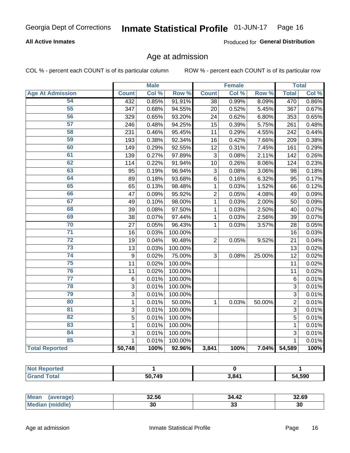#### **All Active Inmates**

Produced for General Distribution

## Age at admission

COL % - percent each COUNT is of its particular column

|                         |                | <b>Male</b> |         |                | <b>Female</b> |        |                | <b>Total</b> |
|-------------------------|----------------|-------------|---------|----------------|---------------|--------|----------------|--------------|
| <b>Age At Admission</b> | <b>Count</b>   | Col %       | Row %   | <b>Count</b>   | Col %         | Row %  | <b>Total</b>   | Col %        |
| 54                      | 432            | 0.85%       | 91.91%  | 38             | 0.99%         | 8.09%  | 470            | 0.86%        |
| 55                      | 347            | 0.68%       | 94.55%  | 20             | 0.52%         | 5.45%  | 367            | 0.67%        |
| 56                      | 329            | 0.65%       | 93.20%  | 24             | 0.62%         | 6.80%  | 353            | 0.65%        |
| $\overline{57}$         | 246            | 0.48%       | 94.25%  | 15             | 0.39%         | 5.75%  | 261            | 0.48%        |
| 58                      | 231            | 0.46%       | 95.45%  | 11             | 0.29%         | 4.55%  | 242            | 0.44%        |
| 59                      | 193            | 0.38%       | 92.34%  | 16             | 0.42%         | 7.66%  | 209            | 0.38%        |
| 60                      | 149            | 0.29%       | 92.55%  | 12             | 0.31%         | 7.45%  | 161            | 0.29%        |
| 61                      | 139            | 0.27%       | 97.89%  | $\overline{3}$ | 0.08%         | 2.11%  | 142            | 0.26%        |
| 62                      | 114            | 0.22%       | 91.94%  | 10             | 0.26%         | 8.06%  | 124            | 0.23%        |
| 63                      | 95             | 0.19%       | 96.94%  | 3              | 0.08%         | 3.06%  | 98             | 0.18%        |
| 64                      | 89             | 0.18%       | 93.68%  | $\,6$          | 0.16%         | 6.32%  | 95             | 0.17%        |
| 65                      | 65             | 0.13%       | 98.48%  | 1              | 0.03%         | 1.52%  | 66             | 0.12%        |
| 66                      | 47             | 0.09%       | 95.92%  | $\overline{c}$ | 0.05%         | 4.08%  | 49             | 0.09%        |
| 67                      | 49             | 0.10%       | 98.00%  | $\mathbf{1}$   | 0.03%         | 2.00%  | 50             | 0.09%        |
| 68                      | 39             | 0.08%       | 97.50%  | 1              | 0.03%         | 2.50%  | 40             | 0.07%        |
| 69                      | 38             | 0.07%       | 97.44%  | 1              | 0.03%         | 2.56%  | 39             | 0.07%        |
| 70                      | 27             | 0.05%       | 96.43%  | 1              | 0.03%         | 3.57%  | 28             | 0.05%        |
| $\overline{71}$         | 16             | 0.03%       | 100.00% |                |               |        | 16             | 0.03%        |
| $\overline{72}$         | 19             | 0.04%       | 90.48%  | $\overline{2}$ | 0.05%         | 9.52%  | 21             | 0.04%        |
| $\overline{73}$         | 13             | 0.03%       | 100.00% |                |               |        | 13             | 0.02%        |
| $\overline{74}$         | 9              | 0.02%       | 75.00%  | 3              | 0.08%         | 25.00% | 12             | 0.02%        |
| 75                      | 11             | 0.02%       | 100.00% |                |               |        | 11             | 0.02%        |
| 76                      | 11             | 0.02%       | 100.00% |                |               |        | 11             | 0.02%        |
| $\overline{77}$         | $\,6$          | 0.01%       | 100.00% |                |               |        | 6              | 0.01%        |
| 78                      | $\overline{3}$ | 0.01%       | 100.00% |                |               |        | $\overline{3}$ | 0.01%        |
| 79                      | 3              | 0.01%       | 100.00% |                |               |        | 3              | 0.01%        |
| 80                      | $\mathbf{1}$   | 0.01%       | 50.00%  | 1              | 0.03%         | 50.00% | $\overline{2}$ | 0.01%        |
| 81                      | 3              | 0.01%       | 100.00% |                |               |        | 3              | 0.01%        |
| 82                      | 5              | 0.01%       | 100.00% |                |               |        | 5              | 0.01%        |
| 83                      | 1              | 0.01%       | 100.00% |                |               |        | 1              | 0.01%        |
| 84                      | 3              | 0.01%       | 100.00% |                |               |        | 3              | 0.01%        |
| 85                      | $\mathbf{1}$   | 0.01%       | 100.00% |                |               |        | $\mathbf 1$    | 0.01%        |
| <b>Total Reported</b>   | 50,748         | 100%        | 92.96%  | 3,841          | 100%          |        | 7.04% 54,589   | 100%         |

| <b>Not Reported</b> |        |       |        |
|---------------------|--------|-------|--------|
| <i>i</i> otal       | 50.749 | 3,841 | 54,590 |

| <b>Mean</b><br>averagen | OO FO<br>32.JO | 34.42    | 32.69     |
|-------------------------|----------------|----------|-----------|
| Me                      | υc             | n,<br>აა | . .<br>ડા |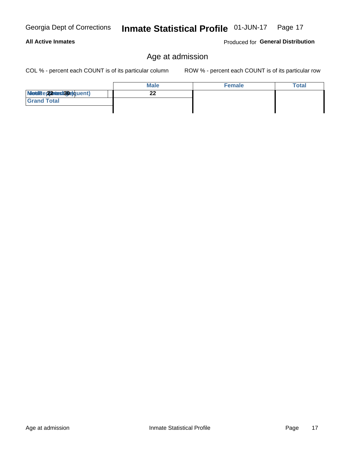Age at admission

Inmate Statistical Profile 01-JUN-17 Page 17

#### **All Active Inmates**

Georgia Dept of Corrections

Produced for General Distribution

## Age at admission

COL % - percent each COUNT is of its particular column

|                          | <b>Male</b> | <b>Female</b> | <b>Total</b> |
|--------------------------|-------------|---------------|--------------|
| Modiae 22 Mast30e)quent) | ົ<br>ZZ     |               |              |
| <b>Grand Total</b>       |             |               |              |
|                          |             |               |              |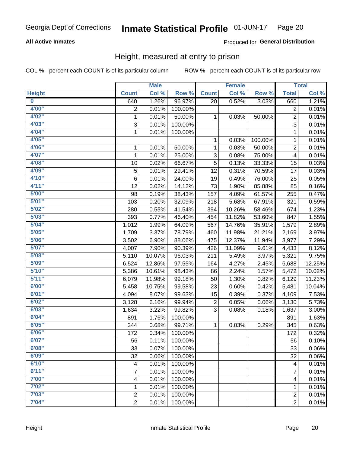#### **All Active Inmates**

#### Produced for General Distribution

### Height, measured at entry to prison

COL % - percent each COUNT is of its particular column

|                         |                | <b>Male</b> |         |              | <b>Female</b> |         |                | <b>Total</b> |
|-------------------------|----------------|-------------|---------|--------------|---------------|---------|----------------|--------------|
| <b>Height</b>           | <b>Count</b>   | Col %       | Row %   | <b>Count</b> | Col %         | Row %   | <b>Total</b>   | Col %        |
| $\overline{\mathbf{0}}$ | 640            | 1.26%       | 96.97%  | 20           | 0.52%         | 3.03%   | 660            | 1.21%        |
| 4'00"                   | $\overline{2}$ | 0.01%       | 100.00% |              |               |         | 2              | 0.01%        |
| 4'02''                  | $\mathbf{1}$   | 0.01%       | 50.00%  | 1            | 0.03%         | 50.00%  | $\overline{c}$ | 0.01%        |
| 4'03''                  | 3              | 0.01%       | 100.00% |              |               |         | $\overline{3}$ | 0.01%        |
| 4'04"                   | $\mathbf{1}$   | 0.01%       | 100.00% |              |               |         | 1              | 0.01%        |
| 4'05"                   |                |             |         | 1            | 0.03%         | 100.00% | $\mathbf{1}$   | 0.01%        |
| 4'06"                   | $\mathbf{1}$   | 0.01%       | 50.00%  | 1            | 0.03%         | 50.00%  | $\overline{c}$ | 0.01%        |
| 4'07"                   | 1              | 0.01%       | 25.00%  | 3            | 0.08%         | 75.00%  | 4              | 0.01%        |
| 4'08"                   | 10             | 0.02%       | 66.67%  | 5            | 0.13%         | 33.33%  | 15             | 0.03%        |
| 4'09"                   | 5              | 0.01%       | 29.41%  | 12           | 0.31%         | 70.59%  | 17             | 0.03%        |
| 4'10"                   | 6              | 0.01%       | 24.00%  | 19           | 0.49%         | 76.00%  | 25             | 0.05%        |
| 4'11''                  | 12             | 0.02%       | 14.12%  | 73           | 1.90%         | 85.88%  | 85             | 0.16%        |
| 5'00''                  | 98             | 0.19%       | 38.43%  | 157          | 4.09%         | 61.57%  | 255            | 0.47%        |
| 5'01"                   | 103            | 0.20%       | 32.09%  | 218          | 5.68%         | 67.91%  | 321            | 0.59%        |
| 5'02"                   | 280            | 0.55%       | 41.54%  | 394          | 10.26%        | 58.46%  | 674            | 1.23%        |
| 5'03''                  | 393            | 0.77%       | 46.40%  | 454          | 11.82%        | 53.60%  | 847            | 1.55%        |
| 5'04"                   | 1,012          | 1.99%       | 64.09%  | 567          | 14.76%        | 35.91%  | 1,579          | 2.89%        |
| 5'05"                   | 1,709          | 3.37%       | 78.79%  | 460          | 11.98%        | 21.21%  | 2,169          | 3.97%        |
| 5'06''                  | 3,502          | 6.90%       | 88.06%  | 475          | 12.37%        | 11.94%  | 3,977          | 7.29%        |
| 5'07''                  | 4,007          | 7.90%       | 90.39%  | 426          | 11.09%        | 9.61%   | 4,433          | 8.12%        |
| 5'08''                  | 5,110          | 10.07%      | 96.03%  | 211          | 5.49%         | 3.97%   | 5,321          | 9.75%        |
| 5'09''                  | 6,524          | 12.86%      | 97.55%  | 164          | 4.27%         | 2.45%   | 6,688          | 12.25%       |
| 5'10''                  | 5,386          | 10.61%      | 98.43%  | 86           | 2.24%         | 1.57%   | 5,472          | 10.02%       |
| 5'11"                   | 6,079          | 11.98%      | 99.18%  | 50           | 1.30%         | 0.82%   | 6,129          | 11.23%       |
| 6'00''                  | 5,458          | 10.75%      | 99.58%  | 23           | 0.60%         | 0.42%   | 5,481          | 10.04%       |
| 6'01''                  | 4,094          | 8.07%       | 99.63%  | 15           | 0.39%         | 0.37%   | 4,109          | 7.53%        |
| 6'02"                   | 3,128          | 6.16%       | 99.94%  | 2            | 0.05%         | 0.06%   | 3,130          | 5.73%        |
| 6'03''                  | 1,634          | 3.22%       | 99.82%  | 3            | 0.08%         | 0.18%   | 1,637          | 3.00%        |
| 6'04"                   | 891            | 1.76%       | 100.00% |              |               |         | 891            | 1.63%        |
| 6'05"                   | 344            | 0.68%       | 99.71%  | 1            | 0.03%         | 0.29%   | 345            | 0.63%        |
| 6'06''                  | 172            | 0.34%       | 100.00% |              |               |         | 172            | 0.32%        |
| 6'07"                   | 56             | 0.11%       | 100.00% |              |               |         | 56             | 0.10%        |
| 6'08''                  | 33             | 0.07%       | 100.00% |              |               |         | 33             | 0.06%        |
| 6'09''                  | 32             | 0.06%       | 100.00% |              |               |         | 32             | 0.06%        |
| 6'10''                  | 4              | 0.01%       | 100.00% |              |               |         | 4              | 0.01%        |
| 6'11''                  | 7              | 0.01%       | 100.00% |              |               |         | 7              | 0.01%        |
| 7'00"                   | 4              | 0.01%       | 100.00% |              |               |         | 4              | 0.01%        |
| 7'02"                   | 1              | 0.01%       | 100.00% |              |               |         | 1              | 0.01%        |
| 7'03''                  | $\overline{c}$ | 0.01%       | 100.00% |              |               |         | $\overline{c}$ | 0.01%        |
| 7'04"                   | $\overline{2}$ | 0.01%       | 100.00% |              |               |         | $\overline{2}$ | 0.01%        |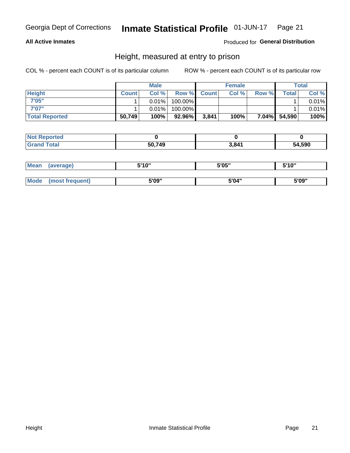#### **All Active Inmates**

#### Produced for General Distribution

### Height, measured at entry to prison

COL % - percent each COUNT is of its particular column

|                       |              | <b>Male</b> |         |             | <b>Female</b> |       |              | Total |
|-----------------------|--------------|-------------|---------|-------------|---------------|-------|--------------|-------|
| <b>Height</b>         | <b>Count</b> | Col %       |         | Row % Count | Col %         | Row % | Total I      | Col % |
| 7'05"                 |              | $0.01\%$    | 100.00% |             |               |       |              | 0.01% |
| 7'07"                 |              | 0.01%       | 100.00% |             |               |       |              | 0.01% |
| <b>Total Reported</b> | 50,749       | 100%        | 92.96%  | 3,841       | 100%          |       | 7.04% 54,590 | 100%  |

| <b>Not Reported</b> |        |       |        |
|---------------------|--------|-------|--------|
| <b>Grand Total</b>  | 50,749 | 3,841 | 54,590 |

| <b>Mean</b> | (average)       | 5'10" | 5'05" | 5'10"<br>J |
|-------------|-----------------|-------|-------|------------|
|             |                 |       |       |            |
| <b>Mode</b> | (most frequent) | 5'09" | 5'04" | 5'09"      |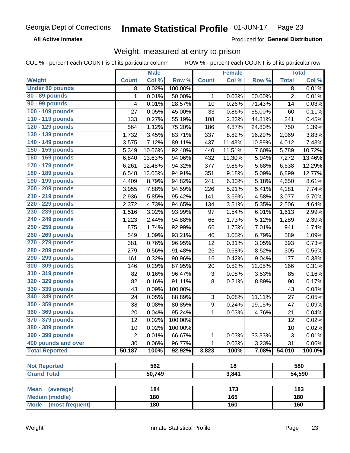**All Active Inmates** 

Produced for General Distribution

## Weight, measured at entry to prison

COL % - percent each COUNT is of its particular column

|                          |                | <b>Male</b> |         |                  | <b>Female</b>   |        |                | <b>Total</b> |
|--------------------------|----------------|-------------|---------|------------------|-----------------|--------|----------------|--------------|
| <b>Weight</b>            | <b>Count</b>   | Col %       | Row %   | <b>Count</b>     | Col %           | Row %  | <b>Total</b>   | Col %        |
| <b>Under 80 pounds</b>   | 8              | 0.02%       | 100.00% |                  |                 |        | $\overline{8}$ | 0.01%        |
| 80 - 89 pounds           | 1              | 0.01%       | 50.00%  | 1                | 0.03%           | 50.00% | $\overline{2}$ | 0.01%        |
| 90 - 99 pounds           | 4              | 0.01%       | 28.57%  | 10               | 0.26%           | 71.43% | 14             | 0.03%        |
| 100 - 109 pounds         | 27             | 0.05%       | 45.00%  | 33               | 0.86%           | 55.00% | 60             | 0.11%        |
| 110 - 119 pounds         | 133            | 0.27%       | 55.19%  | 108              | 2.83%           | 44.81% | 241            | 0.45%        |
| 120 - 129 pounds         | 564            | 1.12%       | 75.20%  | 186              | 4.87%           | 24.80% | 750            | 1.39%        |
| 130 - 139 pounds         | 1,732          | 3.45%       | 83.71%  | 337              | 8.82%           | 16.29% | 2,069          | 3.83%        |
| 140 - 149 pounds         | 3,575          | 7.12%       | 89.11%  | 437              | 11.43%          | 10.89% | 4,012          | 7.43%        |
| 150 - 159 pounds         | 5,349          | 10.66%      | 92.40%  | 440              | 11.51%          | 7.60%  | 5,789          | 10.72%       |
| 160 - 169 pounds         | 6,840          | 13.63%      | 94.06%  | 432              | 11.30%          | 5.94%  | 7,272          | 13.46%       |
| 170 - 179 pounds         | 6,261          | 12.48%      | 94.32%  | 377              | 9.86%           | 5.68%  | 6,638          | 12.29%       |
| 180 - 189 pounds         | 6,548          | 13.05%      | 94.91%  | 351              | 9.18%           | 5.09%  | 6,899          | 12.77%       |
| 190 - 199 pounds         | 4,409          | 8.79%       | 94.82%  | 241              | 6.30%           | 5.18%  | 4,650          | 8.61%        |
| 200 - 209 pounds         | 3,955          | 7.88%       | 94.59%  | 226              | 5.91%           | 5.41%  | 4,181          | 7.74%        |
| 210 - 219 pounds         | 2,936          | 5.85%       | 95.42%  | 141              | 3.69%           | 4.58%  | 3,077          | 5.70%        |
| 220 - 229 pounds         | 2,372          | 4.73%       | 94.65%  | 134              | 3.51%           | 5.35%  | 2,506          | 4.64%        |
| 230 - 239 pounds         | 1,516          | 3.02%       | 93.99%  | 97               | 2.54%           | 6.01%  | 1,613          | 2.99%        |
| 240 - 249 pounds         | 1,223          | 2.44%       | 94.88%  | 66               | 1.73%           | 5.12%  | 1,289          | 2.39%        |
| 250 - 259 pounds         | 875            | 1.74%       | 92.99%  | 66               | 1.73%           | 7.01%  | 941            | 1.74%        |
| 260 - 269 pounds         | 549            | 1.09%       | 93.21%  | 40               | 1.05%           | 6.79%  | 589            | 1.09%        |
| 270 - 279 pounds         | 381            | 0.76%       | 96.95%  | 12               | 0.31%           | 3.05%  | 393            | 0.73%        |
| 280 - 289 pounds         | 279            | 0.56%       | 91.48%  | 26               | 0.68%           | 8.52%  | 305            | 0.56%        |
| 290 - 299 pounds         | 161            | 0.32%       | 90.96%  | 16               | 0.42%           | 9.04%  | 177            | 0.33%        |
| 300 - 309 pounds         | 146            | 0.29%       | 87.95%  | 20               | 0.52%           | 12.05% | 166            | 0.31%        |
| 310 - 319 pounds         | 82             | 0.16%       | 96.47%  | $\sqrt{3}$       | 0.08%           | 3.53%  | 85             | 0.16%        |
| 320 - 329 pounds         | 82             | 0.16%       | 91.11%  | 8                | 0.21%           | 8.89%  | 90             | 0.17%        |
| 330 - 339 pounds         | 43             | 0.09%       | 100.00% |                  |                 |        | 43             | 0.08%        |
| 340 - 349 pounds         | 24             | 0.05%       | 88.89%  | 3                | 0.08%           | 11.11% | 27             | 0.05%        |
| 350 - 359 pounds         | 38             | 0.08%       | 80.85%  | $\boldsymbol{9}$ | 0.24%           | 19.15% | 47             | 0.09%        |
| 360 - 369 pounds         | 20             | 0.04%       | 95.24%  | 1                | 0.03%           | 4.76%  | 21             | 0.04%        |
| 370 - 379 pounds         | 12             | 0.02%       | 100.00% |                  |                 |        | 12             | 0.02%        |
| 380 - 389 pounds         | 10             | 0.02%       | 100.00% |                  |                 |        | 10             | 0.02%        |
| 390 - 399 pounds         | $\overline{2}$ | 0.01%       | 66.67%  | 1                | 0.03%           | 33.33% | 3              | 0.01%        |
| 400 pounds and over      | 30             | 0.06%       | 96.77%  | 1                | 0.03%           | 3.23%  | 31             | 0.06%        |
| <b>Total Reported</b>    | 50,187         | 100%        | 92.92%  | 3,823            | 100%            | 7.08%  | 54,010         | 100.0%       |
|                          |                |             |         |                  |                 |        |                |              |
| <b>Not Reported</b>      |                | 562         |         |                  | $\overline{18}$ |        |                | 580          |
| <b>Grand Total</b>       |                | 50,749      |         |                  | 3,841           |        |                | 54,590       |
|                          |                |             |         |                  |                 |        |                |              |
| <b>Mean</b><br>(average) |                | 184         |         |                  | 173             |        |                | 183          |
| <b>Median (middle)</b>   |                | 180         |         |                  | 165             |        |                | 180          |
| Mode (most frequent)     |                | 180         |         |                  | 160             |        |                | 160          |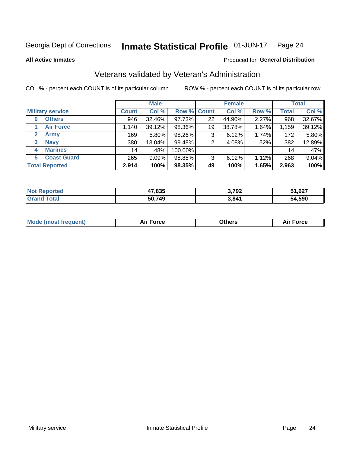#### Inmate Statistical Profile 01-JUN-17 Page 24

**All Active Inmates** 

#### Produced for General Distribution

## Veterans validated by Veteran's Administration

COL % - percent each COUNT is of its particular column

|                             |              | <b>Male</b> |                    |    | <b>Female</b> |       |              | <b>Total</b> |
|-----------------------------|--------------|-------------|--------------------|----|---------------|-------|--------------|--------------|
| <b>Military service</b>     | <b>Count</b> | Col %       | <b>Row % Count</b> |    | Col %         | Row % | <b>Total</b> | Col %        |
| <b>Others</b><br>0          | 946          | 32.46%      | 97.73%             | 22 | 44.90%        | 2.27% | 968          | 32.67%       |
| <b>Air Force</b>            | 1,140        | 39.12%      | 98.36%             | 19 | 38.78%        | 1.64% | 1,159        | 39.12%       |
| $\mathbf{2}$<br><b>Army</b> | 169          | $5.80\%$    | 98.26%             | 3  | 6.12%         | 1.74% | 172          | 5.80%        |
| <b>Navy</b><br>3            | 380          | 13.04%      | 99.48%             | 2  | 4.08%         | .52%  | 382          | 12.89%       |
| <b>Marines</b><br>4         | 14           | .48%        | 100.00%            |    |               |       | 14           | .47%         |
| <b>Coast Guard</b><br>5     | 265          | $9.09\%$    | 98.88%             | 3  | 6.12%         | 1.12% | 268          | 9.04%        |
| <b>Total Reported</b>       | 2,914        | 100%        | 98.35%             | 49 | 100%          | 1.65% | 2,963        | 100%         |

| "ten | 17,835 | 2.702<br>אלי | 51,627 |
|------|--------|--------------|--------|
|      | 50,749 | 3,841        | 54.590 |

| Mode (most frequent) | <b>Force</b><br>. | 0thers | orce |
|----------------------|-------------------|--------|------|
|                      |                   |        |      |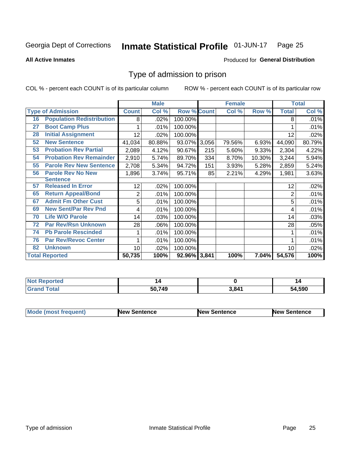#### Inmate Statistical Profile 01-JUN-17 Page 25

**All Active Inmates** 

#### Produced for General Distribution

## Type of admission to prison

COL % - percent each COUNT is of its particular column

|    |                                  |              | <b>Male</b> |                    |     | <b>Female</b> |          |              | <b>Total</b> |
|----|----------------------------------|--------------|-------------|--------------------|-----|---------------|----------|--------------|--------------|
|    | <b>Type of Admission</b>         | <b>Count</b> | Col %       | <b>Row % Count</b> |     | Col %         | Row %    | <b>Total</b> | Col %        |
| 16 | <b>Population Redistribution</b> | 8            | .02%        | 100.00%            |     |               |          | 8            | .01%         |
| 27 | <b>Boot Camp Plus</b>            |              | .01%        | 100.00%            |     |               |          |              | .01%         |
| 28 | <b>Initial Assignment</b>        | 12           | .02%        | 100.00%            |     |               |          | 12           | .02%         |
| 52 | <b>New Sentence</b>              | 41,034       | 80.88%      | 93.07% 3,056       |     | 79.56%        | 6.93%    | 44,090       | 80.79%       |
| 53 | <b>Probation Rev Partial</b>     | 2,089        | 4.12%       | 90.67%             | 215 | 5.60%         | 9.33%    | 2,304        | 4.22%        |
| 54 | <b>Probation Rev Remainder</b>   | 2,910        | 5.74%       | 89.70%             | 334 | 8.70%         | 10.30%   | 3,244        | 5.94%        |
| 55 | <b>Parole Rev New Sentence</b>   | 2,708        | 5.34%       | 94.72%             | 151 | 3.93%         | 5.28%    | 2,859        | 5.24%        |
| 56 | <b>Parole Rev No New</b>         | 1,896        | 3.74%       | 95.71%             | 85  | 2.21%         | 4.29%    | 1,981        | 3.63%        |
|    | <b>Sentence</b>                  |              |             |                    |     |               |          |              |              |
| 57 | <b>Released In Error</b>         | 12           | .02%        | 100.00%            |     |               |          | 12           | .02%         |
| 65 | <b>Return Appeal/Bond</b>        | 2            | .01%        | 100.00%            |     |               |          | 2            | .01%         |
| 67 | <b>Admit Fm Other Cust</b>       | 5            | .01%        | 100.00%            |     |               |          | 5            | .01%         |
| 69 | <b>New Sent/Par Rev Pnd</b>      | 4            | .01%        | 100.00%            |     |               |          | 4            | .01%         |
| 70 | <b>Life W/O Parole</b>           | 14           | .03%        | 100.00%            |     |               |          | 14           | .03%         |
| 72 | <b>Par Rev/Rsn Unknown</b>       | 28           | .06%        | 100.00%            |     |               |          | 28           | .05%         |
| 74 | <b>Pb Parole Rescinded</b>       | 1            | .01%        | 100.00%            |     |               |          |              | .01%         |
| 76 | <b>Par Rev/Revoc Center</b>      |              | .01%        | 100.00%            |     |               |          |              | .01%         |
| 82 | <b>Unknown</b>                   | 10           | .02%        | 100.00%            |     |               |          | 10           | .02%         |
|    | <b>Total Reported</b>            | 50,735       | 100%        | 92.96% 3,841       |     | 100%          | $7.04\%$ | 54,576       | 100%         |

| <b>Not Reported</b> |        |       |             |
|---------------------|--------|-------|-------------|
| Total<br>l Gran     | 50.749 | 3.84' | ,590<br>'nД |

| <b>Mode (most frequent)</b> | New Sentence | <b>New Sentence</b> | <b>New Sentence</b> |
|-----------------------------|--------------|---------------------|---------------------|
|                             |              |                     |                     |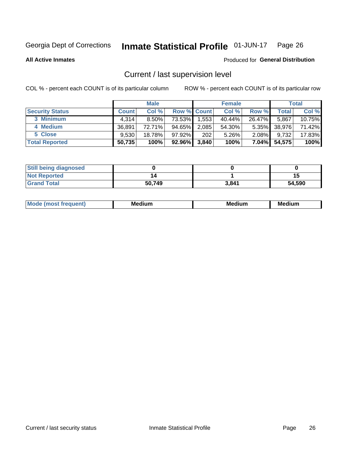#### Inmate Statistical Profile 01-JUN-17 Page 26

**All Active Inmates** 

#### Produced for General Distribution

## Current / last supervision level

COL % - percent each COUNT is of its particular column

|                        |              | <b>Male</b> |                    |       | <b>Female</b> |          |        | <b>Total</b> |
|------------------------|--------------|-------------|--------------------|-------|---------------|----------|--------|--------------|
| <b>Security Status</b> | <b>Count</b> | Col %       | <b>Row % Count</b> |       | Col %         | Row %    | Total  | Col %        |
| 3 Minimum              | 4.314        | $8.50\%$    | 73.53%             | 1,553 | 40.44%        | 26.47%   | 5,867  | 10.75%       |
| 4 Medium               | 36.891       | 72.71%      | 94.65%             | 2,085 | 54.30%        | $5.35\%$ | 38,976 | 71.42%       |
| 5 Close                | 9,530        | 18.78%      | $97.92\%$          | 202   | 5.26%         | $2.08\%$ | 9,732  | 17.83%       |
| <b>Total Reported</b>  | 50,735       | 100%        | 92.96%             | 3,840 | 100%          | $7.04\%$ | 54,575 | 100%         |

| <b>Still being diagnosed</b> |        |       |        |
|------------------------------|--------|-------|--------|
| <b>Not Reported</b>          |        |       | 15     |
| <b>Grand Total</b>           | 50,749 | 3,841 | 54,590 |

| M | . | -- |
|---|---|----|
|   |   |    |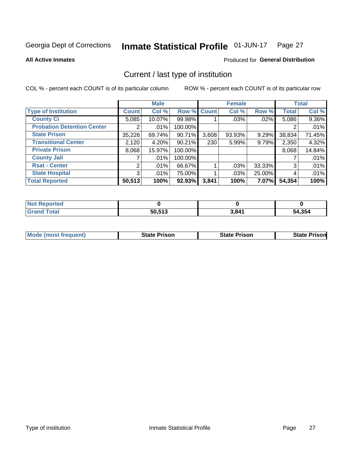#### Inmate Statistical Profile 01-JUN-17 Page 27

**All Active Inmates** 

#### Produced for General Distribution

## Current / last type of institution

COL % - percent each COUNT is of its particular column

|                                   |                | <b>Male</b> |             |       | <b>Female</b> |        |              | <b>Total</b> |
|-----------------------------------|----------------|-------------|-------------|-------|---------------|--------|--------------|--------------|
| <b>Type of Institution</b>        | <b>Count</b>   | Col %       | Row % Count |       | Col %         | Row %  | <b>Total</b> | Col %        |
| <b>County Ci</b>                  | 5,085          | 10.07%      | 99.98%      |       | .03%          | .02%   | 5,086        | 9.36%        |
| <b>Probation Detention Center</b> |                | .01%        | 100.00%     |       |               |        |              | .01%         |
| <b>State Prison</b>               | 35,226         | 69.74%      | $90.71\%$   | 3,608 | 93.93%        | 9.29%  | 38,834       | 71.45%       |
| <b>Transitional Center</b>        | 2,120          | 4.20%       | 90.21%      | 230   | 5.99%         | 9.79%  | 2,350        | 4.32%        |
| <b>Private Prison</b>             | 8,068          | 15.97%      | 100.00%     |       |               |        | 8,068        | 14.84%       |
| <b>County Jail</b>                |                | .01%        | 100.00%     |       |               |        |              | .01%         |
| <b>Rsat - Center</b>              | $\overline{2}$ | .01%        | 66.67%      |       | .03%          | 33.33% | 3            | .01%         |
| <b>State Hospital</b>             | 3 <sup>1</sup> | .01%        | 75.00%      |       | .03%          | 25.00% | 4            | .01%         |
| <b>Total Reported</b>             | 50,513         | 100%        | $92.93\%$   | 3,841 | 100%          | 7.07%  | 54,354       | 100%         |

| $N$<br>Reported    |        |       |        |
|--------------------|--------|-------|--------|
| <b>Grand Total</b> | 50,513 | 3,841 | 54,354 |

| <b>Mode (most frequent)</b> | <b>State Prison</b> | <b>State Prison</b> | <b>State Prisonl</b> |
|-----------------------------|---------------------|---------------------|----------------------|
|                             |                     |                     |                      |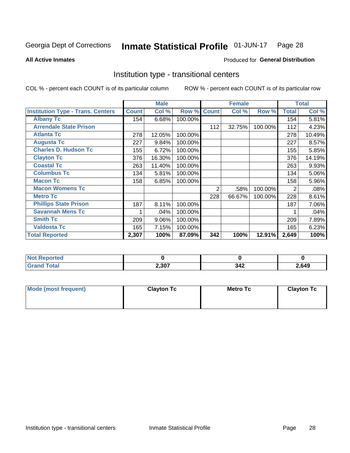#### Inmate Statistical Profile 01-JUN-17 Page 28

**All Active Inmates** 

#### Produced for General Distribution

## Institution type - transitional centers

COL % - percent each COUNT is of its particular column

|                                          |              | <b>Male</b> |         |              | <b>Female</b> |         |              | <b>Total</b> |
|------------------------------------------|--------------|-------------|---------|--------------|---------------|---------|--------------|--------------|
| <b>Institution Type - Trans. Centers</b> | <b>Count</b> | Col %       | Row %   | <b>Count</b> | Col %         | Row %   | <b>Total</b> | Col %        |
| <b>Albany Tc</b>                         | 154          | 6.68%       | 100.00% |              |               |         | 154          | 5.81%        |
| <b>Arrendale State Prison</b>            |              |             |         | 112          | 32.75%        | 100.00% | 112          | 4.23%        |
| <b>Atlanta Tc</b>                        | 278          | 12.05%      | 100.00% |              |               |         | 278          | 10.49%       |
| <b>Augusta Tc</b>                        | 227          | 9.84%       | 100.00% |              |               |         | 227          | 8.57%        |
| <b>Charles D. Hudson Tc</b>              | 155          | 6.72%       | 100.00% |              |               |         | 155          | 5.85%        |
| <b>Clayton Tc</b>                        | 376          | 16.30%      | 100.00% |              |               |         | 376          | 14.19%       |
| <b>Coastal Tc</b>                        | 263          | 11.40%      | 100.00% |              |               |         | 263          | 9.93%        |
| <b>Columbus Tc</b>                       | 134          | 5.81%       | 100.00% |              |               |         | 134          | 5.06%        |
| <b>Macon Tc</b>                          | 158          | 6.85%       | 100.00% |              |               |         | 158          | 5.96%        |
| <b>Macon Womens Tc</b>                   |              |             |         | 2            | .58%          | 100.00% | 2            | .08%         |
| <b>Metro Tc</b>                          |              |             |         | 228          | 66.67%        | 100.00% | 228          | 8.61%        |
| <b>Phillips State Prison</b>             | 187          | 8.11%       | 100.00% |              |               |         | 187          | 7.06%        |
| <b>Savannah Mens Tc</b>                  |              | .04%        | 100.00% |              |               |         |              | .04%         |
| <b>Smith Tc</b>                          | 209          | 9.06%       | 100.00% |              |               |         | 209          | 7.89%        |
| <b>Valdosta Tc</b>                       | 165          | 7.15%       | 100.00% |              |               |         | 165          | 6.23%        |
| <b>Total Reported</b>                    | 2,307        | 100%        | 87.09%  | 342          | 100%          | 12.91%  | 2,649        | 100%         |

| reo |       |                 |      |
|-----|-------|-----------------|------|
|     | 2,307 | <b>346</b><br>ᇬ | ,649 |

| Mode (most frequent) | <b>Clayton Tc</b> | <b>Metro Tc</b> | <b>Clayton Tc</b> |
|----------------------|-------------------|-----------------|-------------------|
|                      |                   |                 |                   |
|                      |                   |                 |                   |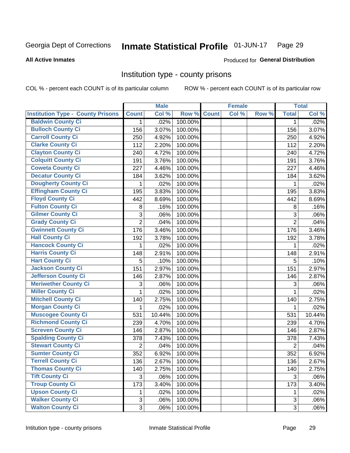#### Inmate Statistical Profile 01-JUN-17 Page 29

#### **All Active Inmates**

## Produced for General Distribution

### Institution type - county prisons

COL % - percent each COUNT is of its particular column

|                                          |                | <b>Male</b> |         |              | <b>Female</b> |       |                | <b>Total</b> |
|------------------------------------------|----------------|-------------|---------|--------------|---------------|-------|----------------|--------------|
| <b>Institution Type - County Prisons</b> | <b>Count</b>   | Col %       | Row %   | <b>Count</b> | Col %         | Row % | <b>Total</b>   | Col %        |
| <b>Baldwin County Ci</b>                 | 1              | .02%        | 100.00% |              |               |       | 1              | .02%         |
| <b>Bulloch County Ci</b>                 | 156            | 3.07%       | 100.00% |              |               |       | 156            | 3.07%        |
| <b>Carroll County Ci</b>                 | 250            | 4.92%       | 100.00% |              |               |       | 250            | 4.92%        |
| <b>Clarke County Ci</b>                  | 112            | 2.20%       | 100.00% |              |               |       | 112            | 2.20%        |
| <b>Clayton County Ci</b>                 | 240            | 4.72%       | 100.00% |              |               |       | 240            | 4.72%        |
| <b>Colquitt County Ci</b>                | 191            | 3.76%       | 100.00% |              |               |       | 191            | 3.76%        |
| <b>Coweta County Ci</b>                  | 227            | 4.46%       | 100.00% |              |               |       | 227            | 4.46%        |
| <b>Decatur County Ci</b>                 | 184            | 3.62%       | 100.00% |              |               |       | 184            | 3.62%        |
| <b>Dougherty County Ci</b>               | 1              | .02%        | 100.00% |              |               |       | 1              | .02%         |
| <b>Effingham County Ci</b>               | 195            | 3.83%       | 100.00% |              |               |       | 195            | 3.83%        |
| <b>Floyd County Ci</b>                   | 442            | 8.69%       | 100.00% |              |               |       | 442            | 8.69%        |
| <b>Fulton County Ci</b>                  | 8              | .16%        | 100.00% |              |               |       | 8              | .16%         |
| <b>Gilmer County Ci</b>                  | 3              | .06%        | 100.00% |              |               |       | 3              | .06%         |
| <b>Grady County Ci</b>                   | $\overline{2}$ | .04%        | 100.00% |              |               |       | $\overline{2}$ | .04%         |
| <b>Gwinnett County Ci</b>                | 176            | 3.46%       | 100.00% |              |               |       | 176            | 3.46%        |
| <b>Hall County Ci</b>                    | 192            | 3.78%       | 100.00% |              |               |       | 192            | 3.78%        |
| <b>Hancock County Ci</b>                 | 1              | .02%        | 100.00% |              |               |       | 1              | .02%         |
| <b>Harris County Ci</b>                  | 148            | 2.91%       | 100.00% |              |               |       | 148            | 2.91%        |
| <b>Hart County Ci</b>                    | 5              | .10%        | 100.00% |              |               |       | 5              | .10%         |
| <b>Jackson County Ci</b>                 | 151            | 2.97%       | 100.00% |              |               |       | 151            | 2.97%        |
| Jefferson County Ci                      | 146            | 2.87%       | 100.00% |              |               |       | 146            | 2.87%        |
| <b>Meriwether County Ci</b>              | 3              | .06%        | 100.00% |              |               |       | 3              | .06%         |
| <b>Miller County Ci</b>                  | 1              | .02%        | 100.00% |              |               |       | 1              | .02%         |
| <b>Mitchell County Ci</b>                | 140            | 2.75%       | 100.00% |              |               |       | 140            | 2.75%        |
| <b>Morgan County Ci</b>                  | $\mathbf{1}$   | .02%        | 100.00% |              |               |       | 1              | .02%         |
| <b>Muscogee County Ci</b>                | 531            | 10.44%      | 100.00% |              |               |       | 531            | 10.44%       |
| <b>Richmond County Ci</b>                | 239            | 4.70%       | 100.00% |              |               |       | 239            | 4.70%        |
| <b>Screven County Ci</b>                 | 146            | 2.87%       | 100.00% |              |               |       | 146            | 2.87%        |
| <b>Spalding County Ci</b>                | 378            | 7.43%       | 100.00% |              |               |       | 378            | 7.43%        |
| <b>Stewart County Ci</b>                 | $\overline{2}$ | .04%        | 100.00% |              |               |       | $\overline{2}$ | .04%         |
| <b>Sumter County Ci</b>                  | 352            | 6.92%       | 100.00% |              |               |       | 352            | 6.92%        |
| Terrell County Ci                        | 136            | 2.67%       | 100.00% |              |               |       | 136            | 2.67%        |
| <b>Thomas County Ci</b>                  | 140            | 2.75%       | 100.00% |              |               |       | 140            | 2.75%        |
| <b>Tift County Ci</b>                    | 3              | .06%        | 100.00% |              |               |       | 3              | .06%         |
| <b>Troup County Ci</b>                   | 173            | 3.40%       | 100.00% |              |               |       | 173            | 3.40%        |
| <b>Upson County Ci</b>                   | 1              | .02%        | 100.00% |              |               |       | 1              | .02%         |
| <b>Walker County Ci</b>                  | 3              | .06%        | 100.00% |              |               |       | $\mathfrak{S}$ | .06%         |
| <b>Walton County Ci</b>                  | 3              | .06%        | 100.00% |              |               |       | 3              | .06%         |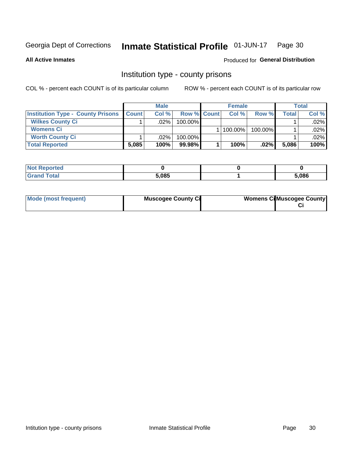#### Inmate Statistical Profile 01-JUN-17 Page 30

**All Active Inmates** 

Produced for General Distribution

### Institution type - county prisons

COL % - percent each COUNT is of its particular column

|                                          |              | <b>Male</b> |                    | <b>Female</b> |         |              | <b>Total</b> |
|------------------------------------------|--------------|-------------|--------------------|---------------|---------|--------------|--------------|
| <b>Institution Type - County Prisons</b> | <b>Count</b> | Col%        | <b>Row % Count</b> | Col%          | Row %   | <b>Total</b> | Col %        |
| <b>Wilkes County Ci</b>                  |              | .02%        | 100.00%            |               |         |              | $.02\%$      |
| <b>Womens Ci</b>                         |              |             |                    | $ 100.00\% $  | 100.00% |              | $.02\%$      |
| <b>Worth County Ci</b>                   |              | $.02\%$     | 100.00%            |               |         |              | .02%         |
| <b>Total Reported</b>                    | 5,085        | 100%        | $99.98\%$          | 100%          | .02%    | 5,086        | 100%         |

| τeα |       |       |
|-----|-------|-------|
|     | 5,085 | 5,086 |

| Mode (most frequent) | <b>Muscogee County Ci</b> | <b>Womens CilMuscogee County</b> |
|----------------------|---------------------------|----------------------------------|
|----------------------|---------------------------|----------------------------------|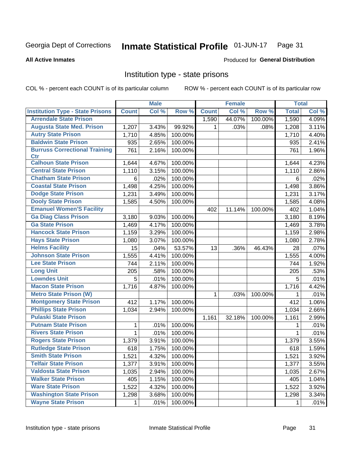#### Inmate Statistical Profile 01-JUN-17 Page 31

#### **All Active Inmates**

#### **Produced for General Distribution**

#### Institution type - state prisons

COL % - percent each COUNT is of its particular column

|                                         |              | <b>Male</b> |         |              | <b>Female</b> |         | <b>Total</b> |       |
|-----------------------------------------|--------------|-------------|---------|--------------|---------------|---------|--------------|-------|
| <b>Institution Type - State Prisons</b> | <b>Count</b> | Col %       | Row %   | <b>Count</b> | Col %         | Row %   | <b>Total</b> | Col % |
| <b>Arrendale State Prison</b>           |              |             |         | 1,590        | 44.07%        | 100.00% | 1,590        | 4.09% |
| <b>Augusta State Med. Prison</b>        | 1,207        | 3.43%       | 99.92%  | 1.           | .03%          | .08%    | 1,208        | 3.11% |
| <b>Autry State Prison</b>               | 1,710        | 4.85%       | 100.00% |              |               |         | 1,710        | 4.40% |
| <b>Baldwin State Prison</b>             | 935          | 2.65%       | 100.00% |              |               |         | 935          | 2.41% |
| <b>Burruss Correctional Training</b>    | 761          | 2.16%       | 100.00% |              |               |         | 761          | 1.96% |
| <b>Ctr</b>                              |              |             |         |              |               |         |              |       |
| <b>Calhoun State Prison</b>             | 1,644        | 4.67%       | 100.00% |              |               |         | 1,644        | 4.23% |
| <b>Central State Prison</b>             | 1,110        | 3.15%       | 100.00% |              |               |         | 1,110        | 2.86% |
| <b>Chatham State Prison</b>             | 6            | .02%        | 100.00% |              |               |         | 6            | .02%  |
| <b>Coastal State Prison</b>             | 1,498        | 4.25%       | 100.00% |              |               |         | 1,498        | 3.86% |
| <b>Dodge State Prison</b>               | 1,231        | 3.49%       | 100.00% |              |               |         | 1,231        | 3.17% |
| <b>Dooly State Prison</b>               | 1,585        | 4.50%       | 100.00% |              |               |         | 1,585        | 4.08% |
| <b>Emanuel Women'S Facility</b>         |              |             |         | 402          | 11.14%        | 100.00% | 402          | 1.04% |
| <b>Ga Diag Class Prison</b>             | 3,180        | 9.03%       | 100.00% |              |               |         | 3,180        | 8.19% |
| <b>Ga State Prison</b>                  | 1,469        | 4.17%       | 100.00% |              |               |         | 1,469        | 3.78% |
| <b>Hancock State Prison</b>             | 1,159        | 3.29%       | 100.00% |              |               |         | 1,159        | 2.98% |
| <b>Hays State Prison</b>                | 1,080        | 3.07%       | 100.00% |              |               |         | 1,080        | 2.78% |
| <b>Helms Facility</b>                   | 15           | .04%        | 53.57%  | 13           | .36%          | 46.43%  | 28           | .07%  |
| <b>Johnson State Prison</b>             | 1,555        | 4.41%       | 100.00% |              |               |         | 1,555        | 4.00% |
| <b>Lee State Prison</b>                 | 744          | 2.11%       | 100.00% |              |               |         | 744          | 1.92% |
| <b>Long Unit</b>                        | 205          | .58%        | 100.00% |              |               |         | 205          | .53%  |
| <b>Lowndes Unit</b>                     | 5            | .01%        | 100.00% |              |               |         | 5            | .01%  |
| <b>Macon State Prison</b>               | 1,716        | 4.87%       | 100.00% |              |               |         | 1,716        | 4.42% |
| <b>Metro State Prison (W)</b>           |              |             |         | 1            | .03%          | 100.00% | 1            | .01%  |
| <b>Montgomery State Prison</b>          | 412          | 1.17%       | 100.00% |              |               |         | 412          | 1.06% |
| <b>Phillips State Prison</b>            | 1,034        | 2.94%       | 100.00% |              |               |         | 1,034        | 2.66% |
| <b>Pulaski State Prison</b>             |              |             |         | 1,161        | 32.18%        | 100.00% | 1,161        | 2.99% |
| <b>Putnam State Prison</b>              | 1            | .01%        | 100.00% |              |               |         | 1            | .01%  |
| <b>Rivers State Prison</b>              | $\mathbf{1}$ | .01%        | 100.00% |              |               |         | 1            | .01%  |
| <b>Rogers State Prison</b>              | 1,379        | 3.91%       | 100.00% |              |               |         | 1,379        | 3.55% |
| <b>Rutledge State Prison</b>            | 618          | 1.75%       | 100.00% |              |               |         | 618          | 1.59% |
| <b>Smith State Prison</b>               | 1,521        | 4.32%       | 100.00% |              |               |         | 1,521        | 3.92% |
| <b>Telfair State Prison</b>             | 1,377        | 3.91%       | 100.00% |              |               |         | 1,377        | 3.55% |
| <b>Valdosta State Prison</b>            | 1,035        | 2.94%       | 100.00% |              |               |         | 1,035        | 2.67% |
| <b>Walker State Prison</b>              | 405          | 1.15%       | 100.00% |              |               |         | 405          | 1.04% |
| <b>Ware State Prison</b>                | 1,522        | 4.32%       | 100.00% |              |               |         | 1,522        | 3.92% |
| <b>Washington State Prison</b>          | 1,298        | 3.68%       | 100.00% |              |               |         | 1,298        | 3.34% |
| <b>Wayne State Prison</b>               | 1            | .01%        | 100.00% |              |               |         | 1            | .01%  |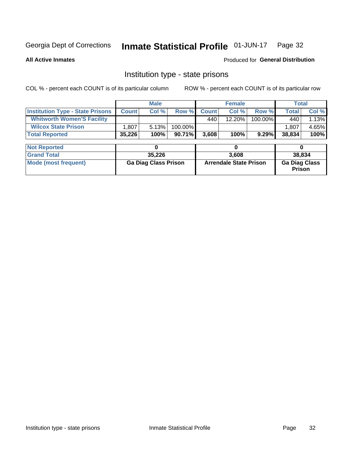#### Inmate Statistical Profile 01-JUN-17 Page 32

**All Active Inmates** 

Produced for General Distribution

## Institution type - state prisons

COL % - percent each COUNT is of its particular column

|                                         |              | <b>Male</b>                 |         |              | <b>Female</b>                 |         | <b>Total</b>                   |       |
|-----------------------------------------|--------------|-----------------------------|---------|--------------|-------------------------------|---------|--------------------------------|-------|
| <b>Institution Type - State Prisons</b> | <b>Count</b> | Col %                       | Row %   | <b>Count</b> | Col %                         | Row %   | <b>Total</b>                   | Col % |
| <b>Whitworth Women'S Facility</b>       |              |                             |         | 440          | $12.20\%$                     | 100.00% | 440                            | 1.13% |
| <b>Wilcox State Prison</b>              | .807         | 5.13%                       | 100.00% |              |                               |         | 1,807                          | 4.65% |
| <b>Total Reported</b>                   | 35,226       | 100%                        | 90.71%  | 3,608        | 100%                          | 9.29%   | 38,834                         | 100%  |
|                                         |              |                             |         |              |                               |         |                                |       |
| <b>Not Reported</b>                     |              | 0                           |         |              | 0                             |         | 0                              |       |
| <b>Grand Total</b>                      |              | 35,226                      |         |              | 3,608                         |         | 38,834                         |       |
| <b>Mode (most frequent)</b>             |              | <b>Ga Diag Class Prison</b> |         |              | <b>Arrendale State Prison</b> |         | <b>Ga Diag Class</b><br>Prison |       |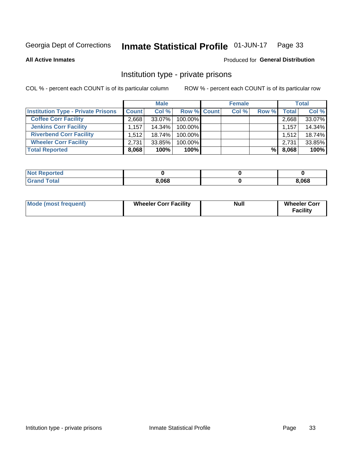#### Inmate Statistical Profile 01-JUN-17 Page 33

**All Active Inmates** 

#### Produced for General Distribution

## Institution type - private prisons

COL % - percent each COUNT is of its particular column

|                                           |              | <b>Male</b> |                    | <b>Female</b> |       |       | <b>Total</b> |
|-------------------------------------------|--------------|-------------|--------------------|---------------|-------|-------|--------------|
| <b>Institution Type - Private Prisons</b> | <b>Count</b> | Col %       | <b>Row % Count</b> | Col %         | Row % | Total | Col %        |
| <b>Coffee Corr Facility</b>               | 2.668        | 33.07%      | 100.00%            |               |       | 2,668 | 33.07%       |
| <b>Jenkins Corr Facility</b>              | 1,157        | 14.34%      | 100.00%            |               |       | 1,157 | 14.34%       |
| <b>Riverbend Corr Facility</b>            | 1.512        | 18.74%      | 100.00%            |               |       | 1,512 | 18.74%       |
| <b>Wheeler Corr Facility</b>              | 2.731        | 33.85%      | 100.00%            |               |       | 2,731 | 33.85%       |
| <b>Total Reported</b>                     | 8,068        | 100%        | $100\%$            |               | %l    | 8,068 | 100%         |

| <b>Not Reported</b> |       |       |
|---------------------|-------|-------|
| <b>Total</b>        | 8,068 | 3,068 |

| <b>Mode (most frequent)</b> | <b>Wheeler Corr Facility</b> | <b>Null</b> | <b>Wheeler Corr</b><br><b>Facility</b> |
|-----------------------------|------------------------------|-------------|----------------------------------------|
|-----------------------------|------------------------------|-------------|----------------------------------------|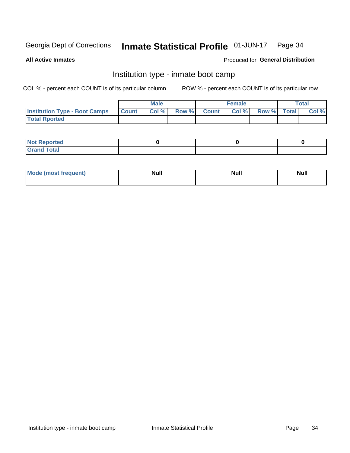#### Inmate Statistical Profile 01-JUN-17 Page 34

**All Active Inmates** 

#### Produced for General Distribution

## Institution type - inmate boot camp

COL % - percent each COUNT is of its particular column

|                                      |                 | <b>Male</b> |              |              | <b>Female</b> |             | <b>Total</b> |
|--------------------------------------|-----------------|-------------|--------------|--------------|---------------|-------------|--------------|
| <b>Institution Type - Boot Camps</b> | <b>I</b> Count⊥ | Col %       | <b>Row %</b> | <b>Count</b> | Col %         | Row % Total | Col %        |
| <b>Total Rported</b>                 |                 |             |              |              |               |             |              |

| <b>Not Reported</b> |  |  |
|---------------------|--|--|
| <b>Total</b><br>Cro |  |  |

| Mod<br>uamo | Nul.<br>$- - - - - -$ | <b>Null</b> | . .<br>uu.<br>------ |
|-------------|-----------------------|-------------|----------------------|
|             |                       |             |                      |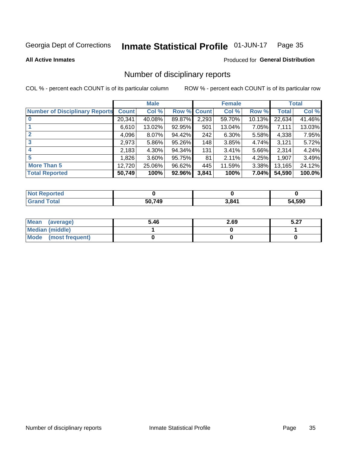#### Inmate Statistical Profile 01-JUN-17 Page 35

#### **All Active Inmates**

#### Produced for General Distribution

## Number of disciplinary reports

COL % - percent each COUNT is of its particular column

|                                       |              | <b>Male</b> |        |       | <b>Female</b> |           |              | <b>Total</b> |
|---------------------------------------|--------------|-------------|--------|-------|---------------|-----------|--------------|--------------|
| <b>Number of Disciplinary Reports</b> | <b>Count</b> | Col %       | Row %  | Count | Col %         | Row %     | <b>Total</b> | Col %        |
|                                       | 20,341       | 40.08%      | 89.87% | 2,293 | 59.70%        | $10.13\%$ | 22,634       | 41.46%       |
|                                       | 6,610        | 13.02%      | 92.95% | 501   | 13.04%        | 7.05%     | 7,111        | 13.03%       |
|                                       | 4,096        | $8.07\%$    | 94.42% | 242   | 6.30%         | 5.58%     | 4,338        | 7.95%        |
| 3                                     | 2,973        | $5.86\%$    | 95.26% | 148   | 3.85%         | $4.74\%$  | 3,121        | 5.72%        |
| 4                                     | 2,183        | 4.30%       | 94.34% | 131   | 3.41%         | 5.66%     | 2,314        | 4.24%        |
| 5                                     | 1,826        | $3.60\%$    | 95.75% | 81    | 2.11%         | 4.25%     | 1,907        | 3.49%        |
| <b>More Than 5</b>                    | 12,720       | 25.06%      | 96.62% | 445   | 11.59%        | $3.38\%$  | 13,165       | 24.12%       |
| <b>Total Reported</b>                 | 50,749       | 100%        | 92.96% | 3,841 | 100%          | 7.04%     | 54,590       | 100.0%       |

| Reported<br>Not <b>F</b> |        |       |        |
|--------------------------|--------|-------|--------|
| <b>Total</b>             | 50.749 | 3,841 | 54,590 |

| Mean (average)       | 5.46 | 2.69 | E 97<br>J.Z1 |
|----------------------|------|------|--------------|
| Median (middle)      |      |      |              |
| Mode (most frequent) |      |      |              |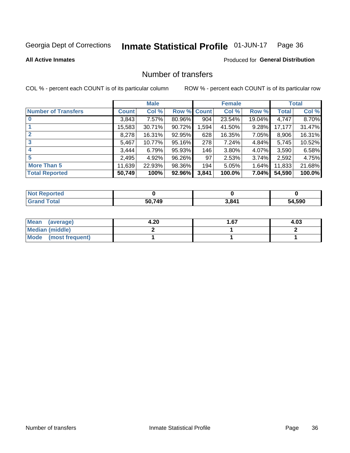#### Inmate Statistical Profile 01-JUN-17 Page 36

**All Active Inmates** 

#### **Produced for General Distribution**

## Number of transfers

COL % - percent each COUNT is of its particular column

|                            |         | <b>Male</b> |             |       | <b>Female</b> |          |              | <b>Total</b> |
|----------------------------|---------|-------------|-------------|-------|---------------|----------|--------------|--------------|
| <b>Number of Transfers</b> | Count l | Col %       | Row % Count |       | Col %         | Row %    | <b>Total</b> | Col %        |
|                            | 3,843   | 7.57%       | 80.96%      | 904   | 23.54%        | 19.04%   | 4,747        | 8.70%        |
|                            | 15,583  | 30.71%      | 90.72%      | 1,594 | 41.50%        | $9.28\%$ | 17,177       | 31.47%       |
| $\mathbf{2}$               | 8,278   | 16.31%      | 92.95%      | 628   | 16.35%        | 7.05%    | 8,906        | 16.31%       |
| 3                          | 5,467   | 10.77%      | 95.16%      | 278   | 7.24%         | 4.84%    | 5,745        | 10.52%       |
|                            | 3,444   | 6.79%       | 95.93%      | 146   | 3.80%         | 4.07%    | 3,590        | 6.58%        |
| 5                          | 2,495   | 4.92%       | 96.26%      | 97    | 2.53%         | $3.74\%$ | 2,592        | 4.75%        |
| <b>More Than 5</b>         | 11,639  | 22.93%      | 98.36%      | 194   | 5.05%         | 1.64%    | 11,833       | 21.68%       |
| <b>Total Reported</b>      | 50,749  | 100%        | 92.96%      | 3,841 | 100.0%        | 7.04%    | 54,590       | 100.0%       |

| <b>Not F</b><br>Reported |        |       |        |
|--------------------------|--------|-------|--------|
| <b>Total</b>             | 50.749 | 3,841 | 54.590 |

| Mean (average)       | 4.20 | 1.67 | 4.03 |
|----------------------|------|------|------|
| Median (middle)      |      |      |      |
| Mode (most frequent) |      |      |      |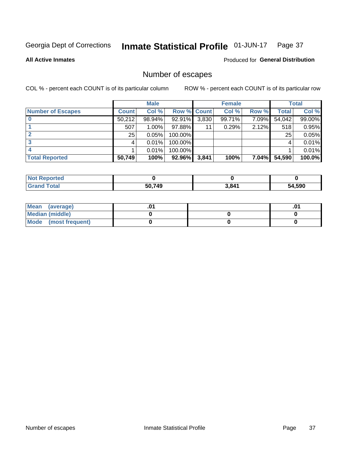#### Inmate Statistical Profile 01-JUN-17 Page 37

**All Active Inmates** 

#### **Produced for General Distribution**

## Number of escapes

COL % - percent each COUNT is of its particular column

|                          |              | <b>Male</b> |             |       | <b>Female</b> |          |        | <b>Total</b> |
|--------------------------|--------------|-------------|-------------|-------|---------------|----------|--------|--------------|
| <b>Number of Escapes</b> | <b>Count</b> | Col %       | Row % Count |       | Col %         | Row %    | Total  | Col %        |
|                          | 50,212       | 98.94%      | 92.91%      | 3,830 | 99.71%        | 7.09%    | 54,042 | 99.00%       |
|                          | 507          | $1.00\%$    | 97.88%      | 11    | 0.29%         | 2.12%    | 518    | 0.95%        |
|                          | 25           | 0.05%       | 100.00%     |       |               |          | 25     | 0.05%        |
|                          |              | 0.01%       | 100.00%     |       |               |          |        | 0.01%        |
|                          |              | 0.01%       | 100.00%     |       |               |          |        | 0.01%        |
| <b>Total Reported</b>    | 50,749       | 100%        | $92.96\%$   | 3,841 | 100%          | $7.04\%$ | 54,590 | 100.0%       |

| <b>Not Reported</b> |        |       |        |
|---------------------|--------|-------|--------|
| Total               | 50.749 | 3,841 | 54,590 |

| Mean (average)       |  | .01 |
|----------------------|--|-----|
| Median (middle)      |  |     |
| Mode (most frequent) |  |     |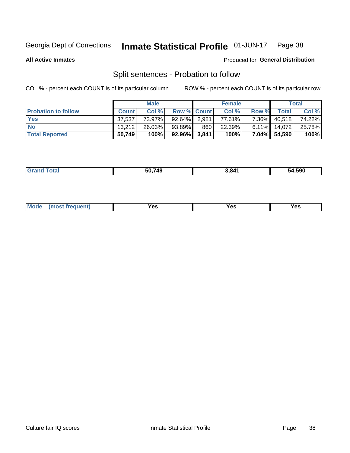#### Inmate Statistical Profile 01-JUN-17 Page 38

**All Active Inmates** 

#### Produced for General Distribution

## Split sentences - Probation to follow

COL % - percent each COUNT is of its particular column

|                            |              | <b>Male</b> |                    |     | <b>Female</b> |          |                 | <b>Total</b> |
|----------------------------|--------------|-------------|--------------------|-----|---------------|----------|-----------------|--------------|
| <b>Probation to follow</b> | <b>Count</b> | Col%        | <b>Row % Count</b> |     | Col %         | Row %    | Total           | Col %        |
| <b>Yes</b>                 | 37.537       | 73.97%      | 92.64% 2.981       |     | 77.61%        | $7.36\%$ | 40,518          | 74.22%       |
| <b>No</b>                  | 13.212       | 26.03%      | 93.89%             | 860 | 22.39%        |          | $6.11\%$ 14,072 | 25.78%       |
| <b>Total Reported</b>      | 50,749       | 100%        | $92.96\%$ 3,841    |     | 100%          |          | 7.04% 54,590    | 100%         |

| ______ | $- - - -$<br>ис | 841 | .590<br>^^ |
|--------|-----------------|-----|------------|
|        |                 |     |            |

| $Moo$<br>requent<br>′es<br>Yes<br><b>YAC</b><br>. |
|---------------------------------------------------|
|---------------------------------------------------|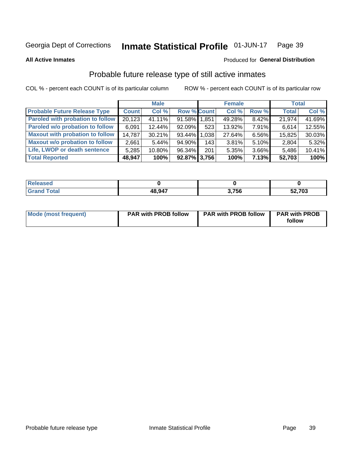#### Inmate Statistical Profile 01-JUN-17 Page 39

Produced for General Distribution

#### **All Active Inmates**

## Probable future release type of still active inmates

COL % - percent each COUNT is of its particular column

|                                         |              | <b>Male</b> |                    |     | <b>Female</b> |          | <b>Total</b> |        |
|-----------------------------------------|--------------|-------------|--------------------|-----|---------------|----------|--------------|--------|
| <b>Probable Future Release Type</b>     | <b>Count</b> | Col %       | <b>Row % Count</b> |     | Col %         | Row %    | <b>Total</b> | Col %  |
| <b>Paroled with probation to follow</b> | 20,123       | 41.11%      | 91.58% 1,851       |     | 49.28%        | 8.42%    | 21,974       | 41.69% |
| Paroled w/o probation to follow         | 6,091        | 12.44%      | $92.09\%$          | 523 | 13.92%        | $7.91\%$ | 6,614        | 12.55% |
| <b>Maxout with probation to follow</b>  | 14,787       | 30.21%      | 93.44% 1.038       |     | 27.64%        | 6.56%    | 15,825       | 30.03% |
| <b>Maxout w/o probation to follow</b>   | 2,661        | 5.44%       | 94.90%             | 143 | 3.81%         | $5.10\%$ | 2,804        | 5.32%  |
| Life, LWOP or death sentence            | 5,285        | 10.80%      | 96.34%             | 201 | 5.35%         | 3.66%    | 5,486        | 10.41% |
| <b>Total Reported</b>                   | 48,947       | 100%        | 92.87% 3,756       |     | 100%          | 7.13%    | 52,703       | 100%   |

| $f = 4 \pi$ | 48,947 | .756 | 52,703 |
|-------------|--------|------|--------|

| Mode (most frequent) | <b>PAR with PROB follow</b> | <b>PAR with PROB follow</b> | <b>PAR with PROB</b><br>follow |
|----------------------|-----------------------------|-----------------------------|--------------------------------|
|                      |                             |                             |                                |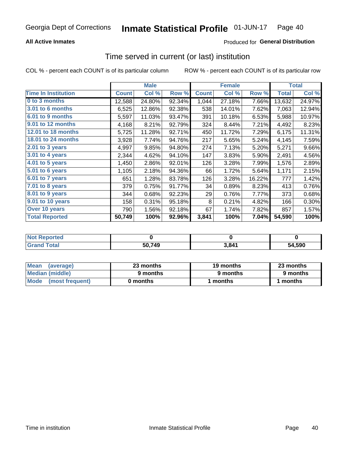## **All Active Inmates**

## Produced for General Distribution

## Time served in current (or last) institution

COL % - percent each COUNT is of its particular column

|                            |              | <b>Male</b> |        |              | <b>Female</b> |        |              | <b>Total</b> |
|----------------------------|--------------|-------------|--------|--------------|---------------|--------|--------------|--------------|
| <b>Time In Institution</b> | <b>Count</b> | Col %       | Row %  | <b>Count</b> | Col %         | Row %  | <b>Total</b> | Col %        |
| 0 to 3 months              | 12,588       | 24.80%      | 92.34% | 1,044        | 27.18%        | 7.66%  | 13,632       | 24.97%       |
| <b>3.01 to 6 months</b>    | 6,525        | 12.86%      | 92.38% | 538          | 14.01%        | 7.62%  | 7,063        | 12.94%       |
| 6.01 to 9 months           | 5,597        | 11.03%      | 93.47% | 391          | 10.18%        | 6.53%  | 5,988        | 10.97%       |
| 9.01 to 12 months          | 4,168        | 8.21%       | 92.79% | 324          | 8.44%         | 7.21%  | 4,492        | 8.23%        |
| 12.01 to 18 months         | 5,725        | 11.28%      | 92.71% | 450          | 11.72%        | 7.29%  | 6,175        | 11.31%       |
| <b>18.01 to 24 months</b>  | 3,928        | 7.74%       | 94.76% | 217          | 5.65%         | 5.24%  | 4,145        | 7.59%        |
| $2.01$ to 3 years          | 4,997        | 9.85%       | 94.80% | 274          | 7.13%         | 5.20%  | 5,271        | 9.66%        |
| 3.01 to 4 years            | 2,344        | 4.62%       | 94.10% | 147          | 3.83%         | 5.90%  | 2,491        | 4.56%        |
| $4.01$ to 5 years          | 1,450        | 2.86%       | 92.01% | 126          | 3.28%         | 7.99%  | 1,576        | 2.89%        |
| 5.01 to 6 years            | 1,105        | 2.18%       | 94.36% | 66           | 1.72%         | 5.64%  | 1,171        | 2.15%        |
| $6.01$ to 7 years          | 651          | 1.28%       | 83.78% | 126          | 3.28%         | 16.22% | 777          | 1.42%        |
| 7.01 to 8 years            | 379          | 0.75%       | 91.77% | 34           | 0.89%         | 8.23%  | 413          | 0.76%        |
| $8.01$ to 9 years          | 344          | 0.68%       | 92.23% | 29           | 0.76%         | 7.77%  | 373          | 0.68%        |
| 9.01 to 10 years           | 158          | 0.31%       | 95.18% | 8            | 0.21%         | 4.82%  | 166          | 0.30%        |
| Over 10 years              | 790          | 1.56%       | 92.18% | 67           | 1.74%         | 7.82%  | 857          | 1.57%        |
| <b>Total Reported</b>      | 50,749       | 100%        | 92.96% | 3,841        | 100%          | 7.04%  | 54,590       | 100%         |

| <b>Not</b><br><b>Renorted</b> |        |                            |        |
|-------------------------------|--------|----------------------------|--------|
| Total                         | 50,749 | $\triangle$ 84 $\triangle$ | 54.590 |

| <b>Mean</b><br>(average) | 23 months | 19 months | 23 months |  |
|--------------------------|-----------|-----------|-----------|--|
| Median (middle)          | 9 months  | 9 months  | 9 months  |  |
| Mode<br>(most frequent)  | 0 months  | months    | ∖ months  |  |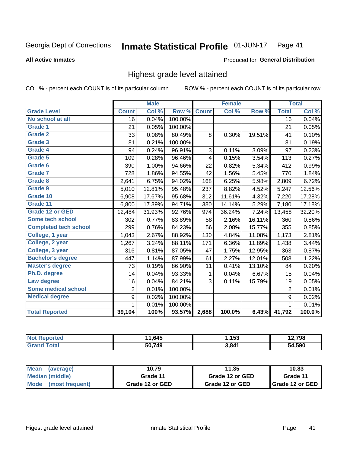### **All Active Inmates**

## Produced for General Distribution

# Highest grade level attained

COL % - percent each COUNT is of its particular column

|                              |                 | <b>Male</b> |         |              | <b>Female</b> |        |                 | <b>Total</b> |
|------------------------------|-----------------|-------------|---------|--------------|---------------|--------|-----------------|--------------|
| <b>Grade Level</b>           | <b>Count</b>    | Col %       | Row %   | <b>Count</b> | Col%          | Row %  | <b>Total</b>    | Col %        |
| No school at all             | $\overline{16}$ | 0.04%       | 100.00% |              |               |        | $\overline{16}$ | 0.04%        |
| <b>Grade 1</b>               | 21              | 0.05%       | 100.00% |              |               |        | 21              | 0.05%        |
| <b>Grade 2</b>               | 33              | 0.08%       | 80.49%  | 8            | 0.30%         | 19.51% | 41              | 0.10%        |
| Grade 3                      | 81              | 0.21%       | 100.00% |              |               |        | 81              | 0.19%        |
| <b>Grade 4</b>               | 94              | 0.24%       | 96.91%  | 3            | 0.11%         | 3.09%  | 97              | 0.23%        |
| <b>Grade 5</b>               | 109             | 0.28%       | 96.46%  | 4            | 0.15%         | 3.54%  | 113             | 0.27%        |
| Grade 6                      | 390             | 1.00%       | 94.66%  | 22           | 0.82%         | 5.34%  | 412             | 0.99%        |
| Grade 7                      | 728             | 1.86%       | 94.55%  | 42           | 1.56%         | 5.45%  | 770             | 1.84%        |
| Grade 8                      | 2,641           | 6.75%       | 94.02%  | 168          | 6.25%         | 5.98%  | 2,809           | 6.72%        |
| Grade 9                      | 5,010           | 12.81%      | 95.48%  | 237          | 8.82%         | 4.52%  | 5,247           | 12.56%       |
| Grade 10                     | 6,908           | 17.67%      | 95.68%  | 312          | 11.61%        | 4.32%  | 7,220           | 17.28%       |
| Grade 11                     | 6,800           | 17.39%      | 94.71%  | 380          | 14.14%        | 5.29%  | 7,180           | 17.18%       |
| <b>Grade 12 or GED</b>       | 12,484          | 31.93%      | 92.76%  | 974          | 36.24%        | 7.24%  | 13,458          | 32.20%       |
| Some tech school             | 302             | 0.77%       | 83.89%  | 58           | 2.16%         | 16.11% | 360             | 0.86%        |
| <b>Completed tech school</b> | 299             | 0.76%       | 84.23%  | 56           | 2.08%         | 15.77% | 355             | 0.85%        |
| College, 1 year              | 1,043           | 2.67%       | 88.92%  | 130          | 4.84%         | 11.08% | 1,173           | 2.81%        |
| College, 2 year              | 1,267           | 3.24%       | 88.11%  | 171          | 6.36%         | 11.89% | 1,438           | 3.44%        |
| College, 3 year              | 316             | 0.81%       | 87.05%  | 47           | 1.75%         | 12.95% | 363             | 0.87%        |
| <b>Bachelor's degree</b>     | 447             | 1.14%       | 87.99%  | 61           | 2.27%         | 12.01% | 508             | 1.22%        |
| <b>Master's degree</b>       | 73              | 0.19%       | 86.90%  | 11           | 0.41%         | 13.10% | 84              | 0.20%        |
| Ph.D. degree                 | 14              | 0.04%       | 93.33%  | 1            | 0.04%         | 6.67%  | 15              | 0.04%        |
| Law degree                   | 16              | 0.04%       | 84.21%  | 3            | 0.11%         | 15.79% | 19              | 0.05%        |
| <b>Some medical school</b>   | $\overline{2}$  | 0.01%       | 100.00% |              |               |        | $\overline{2}$  | 0.01%        |
| <b>Medical degree</b>        | 9               | 0.02%       | 100.00% |              |               |        | 9               | 0.02%        |
|                              | 1               | 0.01%       | 100.00% |              |               |        | 1               | 0.01%        |
| <b>Total Reported</b>        | 39,104          | 100%        | 93.57%  | 2,688        | 100.0%        | 6.43%  | 41,792          | 100.0%       |

| .645   | .153  | 708<br>סכ י |
|--------|-------|-------------|
| 50.749 | 3.841 | .590        |

| <b>Mean</b><br>(average) | 10.79           | 11.35           | 10.83           |
|--------------------------|-----------------|-----------------|-----------------|
| Median (middle)          | Grade 11        | Grade 12 or GED | Grade 11        |
| Mode<br>(most frequent)  | Grade 12 or GED | Grade 12 or GED | Grade 12 or GED |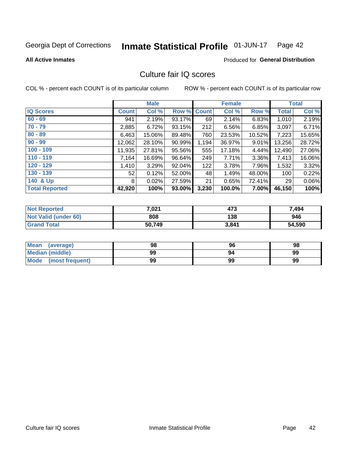### Inmate Statistical Profile 01-JUN-17 Page 42

### **All Active Inmates**

# Produced for General Distribution

# Culture fair IQ scores

COL % - percent each COUNT is of its particular column

|                       |              | <b>Male</b> |             |       | <b>Female</b> |          |              | <b>Total</b> |
|-----------------------|--------------|-------------|-------------|-------|---------------|----------|--------------|--------------|
| <b>IQ Scores</b>      | <b>Count</b> | Col %       | Row % Count |       | Col %         | Row %    | <b>Total</b> | Col %        |
| $60 - 69$             | 941          | 2.19%       | 93.17%      | 69    | 2.14%         | 6.83%    | 1,010        | 2.19%        |
| $70 - 79$             | 2,885        | 6.72%       | 93.15%      | 212   | 6.56%         | 6.85%    | 3,097        | 6.71%        |
| $80 - 89$             | 6,463        | 15.06%      | 89.48%      | 760   | 23.53%        | 10.52%   | 7,223        | 15.65%       |
| $90 - 99$             | 12,062       | 28.10%      | 90.99%      | 1,194 | 36.97%        | $9.01\%$ | 13,256       | 28.72%       |
| $100 - 109$           | 11,935       | 27.81%      | 95.56%      | 555   | 17.18%        | 4.44%    | 12,490       | 27.06%       |
| $110 - 119$           | 7,164        | 16.69%      | 96.64%      | 249   | 7.71%         | 3.36%    | 7,413        | 16.06%       |
| $120 - 129$           | 1,410        | 3.29%       | $92.04\%$   | 122   | 3.78%         | 7.96%    | 1,532        | 3.32%        |
| $130 - 139$           | 52           | 0.12%       | 52.00%      | 48    | 1.49%         | 48.00%   | 100          | 0.22%        |
| 140 & Up              | 8            | 0.02%       | 27.59%      | 21    | 0.65%         | 72.41%   | 29           | 0.06%        |
| <b>Total Reported</b> | 42,920       | 100%        | 93.00%      | 3,230 | 100.0%        | $7.00\%$ | 46,150       | 100%         |

| <b>Not Reported</b>         | 7,021  | 473   | 7,494  |
|-----------------------------|--------|-------|--------|
| <b>Not Valid (under 60)</b> | 808    | 138   | 946    |
| <b>Grand Total</b>          | 50,749 | 3,841 | 54,590 |

| <b>Mean</b><br>(average) | 98 | 96 | 98 |
|--------------------------|----|----|----|
| Median (middle)          | 99 | 94 | 99 |
| Mode<br>(most frequent)  | 99 | 99 | 99 |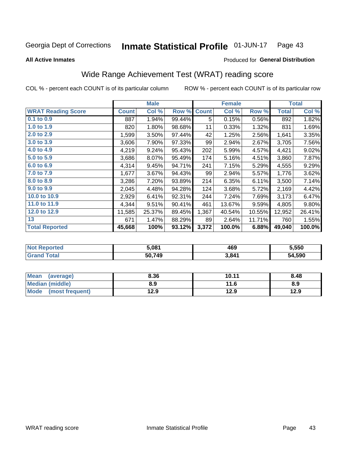### **Inmate Statistical Profile 01-JUN-17** Page 43

**All Active Inmates** 

## Produced for General Distribution

# Wide Range Achievement Test (WRAT) reading score

COL % - percent each COUNT is of its particular column

|                           |              | <b>Male</b> |        |              | <b>Female</b> |        |              | <b>Total</b> |
|---------------------------|--------------|-------------|--------|--------------|---------------|--------|--------------|--------------|
| <b>WRAT Reading Score</b> | <b>Count</b> | Col %       | Row %  | <b>Count</b> | Col %         | Row %  | <b>Total</b> | Col %        |
| $0.1$ to $0.9$            | 887          | 1.94%       | 99.44% | 5            | 0.15%         | 0.56%  | 892          | 1.82%        |
| 1.0 to 1.9                | 820          | 1.80%       | 98.68% | 11           | 0.33%         | 1.32%  | 831          | 1.69%        |
| 2.0 to 2.9                | 1,599        | 3.50%       | 97.44% | 42           | 1.25%         | 2.56%  | 1,641        | 3.35%        |
| 3.0 to 3.9                | 3,606        | 7.90%       | 97.33% | 99           | 2.94%         | 2.67%  | 3,705        | 7.56%        |
| 4.0 to 4.9                | 4,219        | 9.24%       | 95.43% | 202          | 5.99%         | 4.57%  | 4,421        | 9.02%        |
| 5.0 to 5.9                | 3,686        | 8.07%       | 95.49% | 174          | 5.16%         | 4.51%  | 3,860        | 7.87%        |
| 6.0 to 6.9                | 4,314        | 9.45%       | 94.71% | 241          | 7.15%         | 5.29%  | 4,555        | 9.29%        |
| 7.0 to 7.9                | 1,677        | 3.67%       | 94.43% | 99           | 2.94%         | 5.57%  | 1,776        | 3.62%        |
| 8.0 to 8.9                | 3,286        | 7.20%       | 93.89% | 214          | 6.35%         | 6.11%  | 3,500        | 7.14%        |
| 9.0 to 9.9                | 2,045        | 4.48%       | 94.28% | 124          | 3.68%         | 5.72%  | 2,169        | 4.42%        |
| 10.0 to 10.9              | 2,929        | 6.41%       | 92.31% | 244          | 7.24%         | 7.69%  | 3,173        | 6.47%        |
| 11.0 to 11.9              | 4,344        | 9.51%       | 90.41% | 461          | 13.67%        | 9.59%  | 4,805        | 9.80%        |
| 12.0 to 12.9              | 11,585       | 25.37%      | 89.45% | 1,367        | 40.54%        | 10.55% | 12,952       | 26.41%       |
| 13                        | 671          | 1.47%       | 88.29% | 89           | 2.64%         | 11.71% | 760          | 1.55%        |
| <b>Total Reported</b>     | 45,668       | 100%        | 93.12% | 3,372        | 100.0%        | 6.88%  | 49,040       | 100.0%       |

| <b>rteg</b><br>NO. | 5.081  | 469   | 5,550  |
|--------------------|--------|-------|--------|
| $+ -1$             | 50,749 | 3,841 | 54,590 |

| <b>Mean</b><br>(average)       | 8.36 | 10.11 | 8.48 |
|--------------------------------|------|-------|------|
| Median (middle)                | 8.9  | 11.6  | 8.9  |
| <b>Mode</b><br>(most frequent) | 12.9 | 12.9  | 12.9 |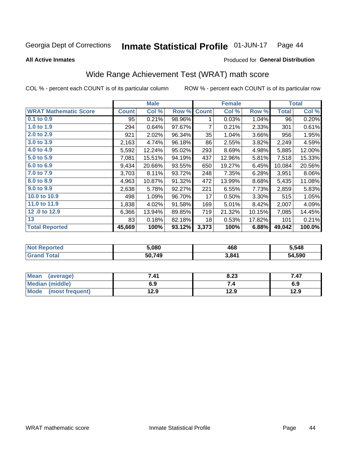### Inmate Statistical Profile 01-JUN-17 Page 44

**All Active Inmates** 

## Produced for General Distribution

# Wide Range Achievement Test (WRAT) math score

COL % - percent each COUNT is of its particular column

|                              |              | <b>Male</b> |        |              | <b>Female</b> |        |              | <b>Total</b> |
|------------------------------|--------------|-------------|--------|--------------|---------------|--------|--------------|--------------|
| <b>WRAT Mathematic Score</b> | <b>Count</b> | Col %       | Row %  | <b>Count</b> | Col %         | Row %  | <b>Total</b> | Col %        |
| $0.1$ to $0.9$               | 95           | 0.21%       | 98.96% | 1            | 0.03%         | 1.04%  | 96           | 0.20%        |
| 1.0 to 1.9                   | 294          | 0.64%       | 97.67% | 7            | 0.21%         | 2.33%  | 301          | 0.61%        |
| 2.0 to 2.9                   | 921          | 2.02%       | 96.34% | 35           | 1.04%         | 3.66%  | 956          | 1.95%        |
| 3.0 to 3.9                   | 2,163        | 4.74%       | 96.18% | 86           | 2.55%         | 3.82%  | 2,249        | 4.59%        |
| 4.0 to 4.9                   | 5,592        | 12.24%      | 95.02% | 293          | 8.69%         | 4.98%  | 5,885        | 12.00%       |
| 5.0 to 5.9                   | 7,081        | 15.51%      | 94.19% | 437          | 12.96%        | 5.81%  | 7,518        | 15.33%       |
| 6.0 to 6.9                   | 9,434        | 20.66%      | 93.55% | 650          | 19.27%        | 6.45%  | 10,084       | 20.56%       |
| 7.0 to 7.9                   | 3,703        | 8.11%       | 93.72% | 248          | 7.35%         | 6.28%  | 3,951        | 8.06%        |
| 8.0 to 8.9                   | 4,963        | 10.87%      | 91.32% | 472          | 13.99%        | 8.68%  | 5,435        | 11.08%       |
| 9.0 to 9.9                   | 2,638        | 5.78%       | 92.27% | 221          | 6.55%         | 7.73%  | 2,859        | 5.83%        |
| 10.0 to 10.9                 | 498          | 1.09%       | 96.70% | 17           | 0.50%         | 3.30%  | 515          | 1.05%        |
| 11.0 to 11.9                 | 1,838        | 4.02%       | 91.58% | 169          | 5.01%         | 8.42%  | 2,007        | 4.09%        |
| 12.0 to 12.9                 | 6,366        | 13.94%      | 89.85% | 719          | 21.32%        | 10.15% | 7,085        | 14.45%       |
| 13                           | 83           | 0.18%       | 82.18% | 18           | 0.53%         | 17.82% | 101          | 0.21%        |
| <b>Total Reported</b>        | 45,669       | 100%        | 93.12% | 3,373        | 100%          | 6.88%  | 49,042       | 100.0%       |

| ™reu<br>NO. | 5.080  | 468   | 5,548  |
|-------------|--------|-------|--------|
|             | 50.749 | 3,841 | 54.590 |

| <b>Mean</b><br>(average) | 7.41 | 8.23 | 7.47 |
|--------------------------|------|------|------|
| Median (middle)          | 6.9  | ۰.,  | 6.9  |
| Mode<br>(most frequent)  | 12.9 | 12.9 | 12.9 |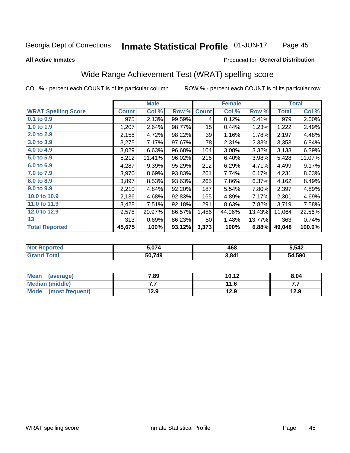### Inmate Statistical Profile 01-JUN-17 Page 45

### **All Active Inmates**

## Produced for General Distribution

# Wide Range Achievement Test (WRAT) spelling score

COL % - percent each COUNT is of its particular column

|                            |              | <b>Male</b> |        |                  | <b>Female</b> |        |              | <b>Total</b> |
|----------------------------|--------------|-------------|--------|------------------|---------------|--------|--------------|--------------|
| <b>WRAT Spelling Score</b> | <b>Count</b> | Col %       | Row %  | <b>Count</b>     | Col %         | Row %  | <b>Total</b> | Col %        |
| 0.1 to 0.9                 | 975          | 2.13%       | 99.59% | 4                | 0.12%         | 0.41%  | 979          | 2.00%        |
| 1.0 to 1.9                 | 1,207        | 2.64%       | 98.77% | 15 <sub>15</sub> | 0.44%         | 1.23%  | 1,222        | 2.49%        |
| 2.0 to 2.9                 | 2,158        | 4.72%       | 98.22% | 39               | 1.16%         | 1.78%  | 2,197        | 4.48%        |
| 3.0 to 3.9                 | 3,275        | 7.17%       | 97.67% | 78               | 2.31%         | 2.33%  | 3,353        | 6.84%        |
| 4.0 to 4.9                 | 3,029        | 6.63%       | 96.68% | 104              | 3.08%         | 3.32%  | 3,133        | 6.39%        |
| 5.0 to 5.9                 | 5,212        | 11.41%      | 96.02% | 216              | 6.40%         | 3.98%  | 5,428        | 11.07%       |
| 6.0 to 6.9                 | 4,287        | 9.39%       | 95.29% | 212              | 6.29%         | 4.71%  | 4,499        | 9.17%        |
| 7.0 to 7.9                 | 3,970        | 8.69%       | 93.83% | 261              | 7.74%         | 6.17%  | 4,231        | 8.63%        |
| 8.0 to 8.9                 | 3,897        | 8.53%       | 93.63% | 265              | 7.86%         | 6.37%  | 4,162        | 8.49%        |
| 9.0 to 9.9                 | 2,210        | 4.84%       | 92.20% | 187              | 5.54%         | 7.80%  | 2,397        | 4.89%        |
| 10.0 to 10.9               | 2,136        | 4.68%       | 92.83% | 165              | 4.89%         | 7.17%  | 2,301        | 4.69%        |
| 11.0 to 11.9               | 3,428        | 7.51%       | 92.18% | 291              | 8.63%         | 7.82%  | 3,719        | 7.58%        |
| 12.0 to 12.9               | 9,578        | 20.97%      | 86.57% | 1,486            | 44.06%        | 13.43% | 11,064       | 22.56%       |
| 13                         | 313          | 0.69%       | 86.23% | 50               | 1.48%         | 13.77% | 363          | 0.74%        |
| <b>Total Reported</b>      | 45,675       | 100%        | 93.12% | 3,373            | 100%          | 6.88%  | 49,048       | 100.0%       |

| <b>TTEC</b><br>NO. | ነ 074  | 468   | 5,542        |  |
|--------------------|--------|-------|--------------|--|
|                    | 50,749 | 3,841 | .590<br>- גר |  |

| <b>Mean</b><br>(average) | 7.89 | 10.12 | 8.04 |
|--------------------------|------|-------|------|
| Median (middle)          | .    | 11.6  | .    |
| Mode<br>(most frequent)  | 12.9 | 12.9  | 12.9 |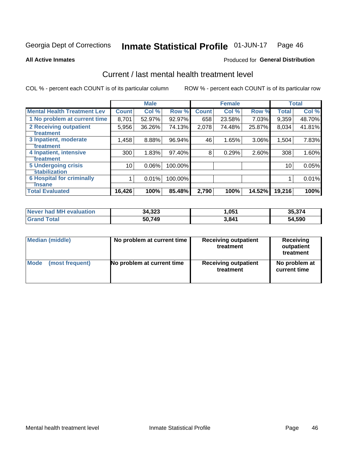### Inmate Statistical Profile 01-JUN-17 Page 46

**All Active Inmates** 

## **Produced for General Distribution**

# Current / last mental health treatment level

COL % - percent each COUNT is of its particular column

|                                    |              | <b>Male</b> |         |              | <b>Female</b> |        |              | <b>Total</b> |
|------------------------------------|--------------|-------------|---------|--------------|---------------|--------|--------------|--------------|
| <b>Mental Health Treatment Lev</b> | <b>Count</b> | Col %       | Row %   | <b>Count</b> | Col %         | Row %  | <b>Total</b> | Col %        |
| 1 No problem at current time       | 8,701        | 52.97%      | 92.97%  | 658          | 23.58%        | 7.03%  | 9,359        | 48.70%       |
| 2 Receiving outpatient             | 5,956        | 36.26%      | 74.13%  | 2,078        | 74.48%        | 25.87% | 8,034        | 41.81%       |
| <b>Treatment</b>                   |              |             |         |              |               |        |              |              |
| 3 Inpatient, moderate              | 1,458        | 8.88%       | 96.94%  | 46           | 1.65%         | 3.06%  | 1,504        | 7.83%        |
| <b>Treatment</b>                   |              |             |         |              |               |        |              |              |
| 4 Inpatient, intensive             | 300          | 1.83%       | 97.40%  | 8            | 0.29%         | 2.60%  | 308          | 1.60%        |
| Treatment                          |              |             |         |              |               |        |              |              |
| <b>5 Undergoing crisis</b>         | 10           | 0.06%       | 100.00% |              |               |        | 10           | 0.05%        |
| <b>stabilization</b>               |              |             |         |              |               |        |              |              |
| <b>6 Hospital for criminally</b>   |              | 0.01%       | 100.00% |              |               |        |              | 0.01%        |
| <b>Tinsane</b>                     |              |             |         |              |               |        |              |              |
| <b>Total Evaluated</b>             | 16,426       | 100%        | 85.48%  | 2,790        | 100%          | 14.52% | 19,216       | 100%         |

| Never had MH evaluation | 34,323 | 051,ا | 35.374 |
|-------------------------|--------|-------|--------|
| $\tau$ otal             | 50,749 | 3,841 | 54,590 |

| Median (middle) | No problem at current time | <b>Receiving outpatient</b><br>treatment | <b>Receiving</b><br>outpatient<br>treatment |  |  |
|-----------------|----------------------------|------------------------------------------|---------------------------------------------|--|--|
| <b>Mode</b>     | No problem at current time | <b>Receiving outpatient</b>              | No problem at                               |  |  |
| (most frequent) |                            | treatment                                | current time                                |  |  |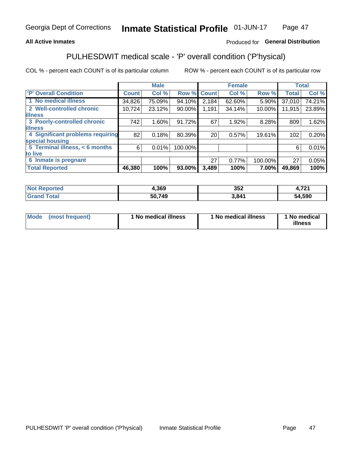## **All Active Inmates**

## Produced for General Distribution

# PULHESDWIT medical scale - 'P' overall condition ('P'hysical)

COL % - percent each COUNT is of its particular column

|                                  |              | <b>Male</b> |         |              | <b>Female</b> |         |              | <b>Total</b> |
|----------------------------------|--------------|-------------|---------|--------------|---------------|---------|--------------|--------------|
| <b>P' Overall Condition</b>      | <b>Count</b> | Col %       | Row %   | <b>Count</b> | Col %         | Row %   | <b>Total</b> | Col %        |
| 1 No medical illness             | 34,826       | 75.09%      | 94.10%  | 2,184        | 62.60%        | 5.90%   | 37,010       | 74.21%       |
| 2 Well-controlled chronic        | 10,724       | 23.12%      | 90.00%  | 1,191        | 34.14%        | 10.00%  | 11,915       | 23.89%       |
| <b>illness</b>                   |              |             |         |              |               |         |              |              |
| 3 Poorly-controlled chronic      | 742          | $1.60\%$    | 91.72%  | 67           | 1.92%         | 8.28%   | 809          | 1.62%        |
| <b>illness</b>                   |              |             |         |              |               |         |              |              |
| 4 Significant problems requiring | 82           | 0.18%       | 80.39%  | 20           | 0.57%         | 19.61%  | 102          | 0.20%        |
| special housing                  |              |             |         |              |               |         |              |              |
| 5 Terminal illness, < 6 months   | 6            | 0.01%       | 100.00% |              |               |         | 6            | 0.01%        |
| to live                          |              |             |         |              |               |         |              |              |
| 6 Inmate is pregnant             |              |             |         | 27           | $0.77\%$      | 100.00% | 27           | 0.05%        |
| <b>Total Reported</b>            | 46,380       | 100%        | 93.00%  | 3,489        | 100%          | 7.00%   | 49,869       | 100%         |

| тео | 1.369  | 352   | ラヘイ        |
|-----|--------|-------|------------|
|     | 50 749 | 3.841 | .590<br>54 |

| Mode<br>(most frequent) |  | <sup>1</sup> No medical illness | 1 No medical illness | 1 No medical<br>illness |
|-------------------------|--|---------------------------------|----------------------|-------------------------|
|-------------------------|--|---------------------------------|----------------------|-------------------------|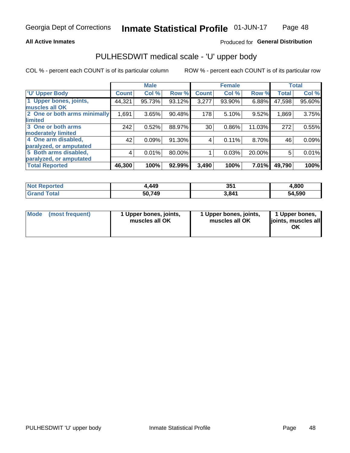## **All Active Inmates**

## Produced for General Distribution

# PULHESDWIT medical scale - 'U' upper body

COL % - percent each COUNT is of its particular column

|                              |              | <b>Male</b> |        |              | <b>Female</b> |        |              | <b>Total</b> |
|------------------------------|--------------|-------------|--------|--------------|---------------|--------|--------------|--------------|
| <b>U' Upper Body</b>         | <b>Count</b> | Col %       | Row %  | <b>Count</b> | Col %         | Row %  | <b>Total</b> | Col %        |
| 1 Upper bones, joints,       | 44,321       | 95.73%      | 93.12% | 3,277        | 93.90%        | 6.88%  | 47,598       | 95.60%       |
| muscles all OK               |              |             |        |              |               |        |              |              |
| 2 One or both arms minimally | 1,691        | 3.65%       | 90.48% | 178          | 5.10%         | 9.52%  | 1,869        | 3.75%        |
| limited                      |              |             |        |              |               |        |              |              |
| 3 One or both arms           | 242          | 0.52%       | 88.97% | 30           | 0.86%         | 11.03% | 272          | 0.55%        |
| <b>moderately limited</b>    |              |             |        |              |               |        |              |              |
| 4 One arm disabled,          | 42           | 0.09%       | 91.30% | 4            | 0.11%         | 8.70%  | 46           | 0.09%        |
| paralyzed, or amputated      |              |             |        |              |               |        |              |              |
| 5 Both arms disabled,        | 4            | 0.01%       | 80.00% |              | 0.03%         | 20.00% | 5            | 0.01%        |
| paralyzed, or amputated      |              |             |        |              |               |        |              |              |
| <b>Total Reported</b>        | 46,300       | 100%        | 92.99% | 3,490        | 100%          | 7.01%  | 49,790       | 100%         |

| <b>Not Reported</b>    | +,449  | 351   | 4,800  |
|------------------------|--------|-------|--------|
| <b>Total</b><br>'Grand | 50,749 | 3,841 | 54,590 |

| <b>Mode</b> | (most frequent) | 1 Upper bones, joints,<br>muscles all OK | 1 Upper bones, joints,<br>muscles all OK | 1 Upper bones,<br>joints, muscles all<br>ΟK |
|-------------|-----------------|------------------------------------------|------------------------------------------|---------------------------------------------|
|-------------|-----------------|------------------------------------------|------------------------------------------|---------------------------------------------|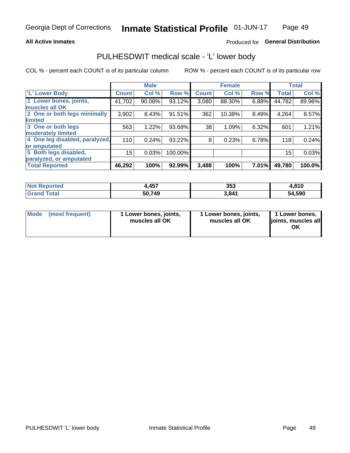## **All Active Inmates**

## Produced for General Distribution

# PULHESDWIT medical scale - 'L' lower body

COL % - percent each COUNT is of its particular column

|                                |              | <b>Male</b> |         |              | <b>Female</b> |       |              | <b>Total</b> |
|--------------------------------|--------------|-------------|---------|--------------|---------------|-------|--------------|--------------|
| 'L' Lower Body                 | <b>Count</b> | Col %       | Row %   | <b>Count</b> | Col %         | Row % | <b>Total</b> | Col %        |
| 1 Lower bones, joints,         | 41,702       | 90.08%      | 93.12%  | 3,080        | 88.30%        | 6.88% | 44,782       | 89.96%       |
| muscles all OK                 |              |             |         |              |               |       |              |              |
| 2 One or both legs minimally   | 3,902        | 8.43%       | 91.51%  | 362          | 10.38%        | 8.49% | 4,264        | 8.57%        |
| limited                        |              |             |         |              |               |       |              |              |
| 3 One or both legs             | 563          | 1.22%       | 93.68%  | 38           | 1.09%         | 6.32% | 601          | 1.21%        |
| moderately limited             |              |             |         |              |               |       |              |              |
| 4 One leg disabled, paralyzed, | 110          | 0.24%       | 93.22%  | 8            | 0.23%         | 6.78% | 118          | 0.24%        |
| or amputated                   |              |             |         |              |               |       |              |              |
| 5 Both legs disabled,          | 15           | 0.03%       | 100.00% |              |               |       | 15           | 0.03%        |
| paralyzed, or amputated        |              |             |         |              |               |       |              |              |
| <b>Total Reported</b>          | 46,292       | 100%        | 92.99%  | 3,488        | 100%          | 7.01% | 49,780       | 100.0%       |

| <b>Not Reported</b>   | +,457  | 353   | 4,810  |
|-----------------------|--------|-------|--------|
| <b>Total</b><br>Grand | 50,749 | 3,841 | 54,590 |

|  | Mode (most frequent) | 1 Lower bones, joints,<br>muscles all OK | 1 Lower bones, joints,<br>muscles all OK | 1 Lower bones,<br>joints, muscles all<br>ΟK |
|--|----------------------|------------------------------------------|------------------------------------------|---------------------------------------------|
|--|----------------------|------------------------------------------|------------------------------------------|---------------------------------------------|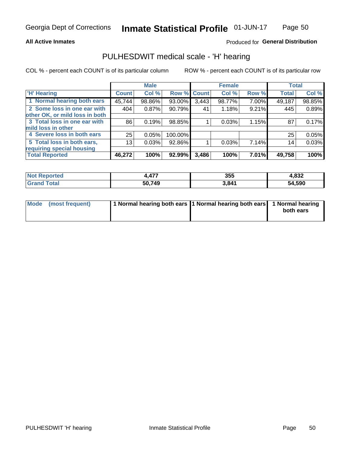## **All Active Inmates**

## Produced for General Distribution

## PULHESDWIT medical scale - 'H' hearing

COL % - percent each COUNT is of its particular column

|                                |                 | <b>Male</b> |             |       | <b>Female</b> |       | <b>Total</b> |        |
|--------------------------------|-----------------|-------------|-------------|-------|---------------|-------|--------------|--------|
| <b>'H' Hearing</b>             | <b>Count</b>    | Col %       | Row % Count |       | Col %         | Row % | <b>Total</b> | Col %  |
| 1 Normal hearing both ears     | 45,744          | 98.86%      | 93.00%      | 3,443 | 98.77%        | 7.00% | 49,187       | 98.85% |
| 2 Some loss in one ear with    | 404             | 0.87%       | 90.79%      | 41    | 1.18%         | 9.21% | 445          | 0.89%  |
| other OK, or mild loss in both |                 |             |             |       |               |       |              |        |
| 3 Total loss in one ear with   | 86              | 0.19%       | 98.85%      |       | 0.03%         | 1.15% | 87           | 0.17%  |
| mild loss in other             |                 |             |             |       |               |       |              |        |
| 4 Severe loss in both ears     | 25              | 0.05%       | 100.00%     |       |               |       | 25           | 0.05%  |
| 5 Total loss in both ears,     | 13 <sub>1</sub> | 0.03%       | 92.86%      |       | 0.03%         | 7.14% | 14           | 0.03%  |
| requiring special housing      |                 |             |             |       |               |       |              |        |
| <b>Total Reported</b>          | 46,272          | 100%        | 92.99%      | 3,486 | 100%          | 7.01% | 49,758       | 100%   |

| anorted and<br>'N ( | 177<br><b>TII</b> | 355   | 4,832  |
|---------------------|-------------------|-------|--------|
| <b>Total</b>        | 50,749            | 3,841 | 54,590 |

| Mode (most frequent) | 1 Normal hearing both ears 1 Normal hearing both ears 1 Normal hearing |           |
|----------------------|------------------------------------------------------------------------|-----------|
|                      |                                                                        | both ears |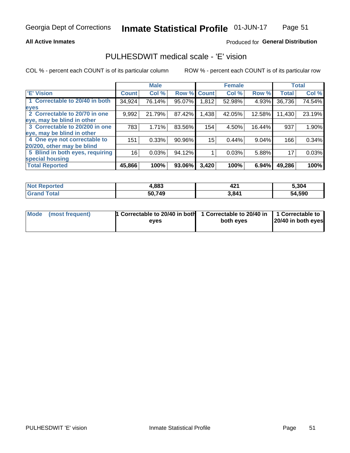## **All Active Inmates**

## Produced for General Distribution

# PULHESDWIT medical scale - 'E' vision

COL % - percent each COUNT is of its particular column

|                                 |              | <b>Male</b> |        |              | <b>Female</b> |          |              | <b>Total</b> |
|---------------------------------|--------------|-------------|--------|--------------|---------------|----------|--------------|--------------|
| 'E' Vision                      | <b>Count</b> | Col %       | Row %  | <b>Count</b> | Col %         | Row %    | <b>Total</b> | Col %        |
| 1 Correctable to 20/40 in both  | 34,924       | 76.14%      | 95.07% | 1,812        | 52.98%        | 4.93%    | 36,736       | 74.54%       |
| eyes                            |              |             |        |              |               |          |              |              |
| 2 Correctable to 20/70 in one   | 9,992        | 21.79%      | 87.42% | ,438         | 42.05%        | 12.58%   | 11,430       | 23.19%       |
| eye, may be blind in other      |              |             |        |              |               |          |              |              |
| 3 Correctable to 20/200 in one  | 783          | 1.71%       | 83.56% | 154          | 4.50%         | 16.44%   | 937          | 1.90%        |
| eye, may be blind in other      |              |             |        |              |               |          |              |              |
| 4 One eye not correctable to    | 151          | 0.33%       | 90.96% | 15           | 0.44%         | $9.04\%$ | 166          | 0.34%        |
| 20/200, other may be blind      |              |             |        |              |               |          |              |              |
| 5 Blind in both eyes, requiring | 16           | 0.03%       | 94.12% |              | 0.03%         | 5.88%    | 17           | 0.03%        |
| special housing                 |              |             |        |              |               |          |              |              |
| <b>Total Reported</b>           | 45,866       | 100%        | 93.06% | 3,420        | 100%          | 6.94%    | 49,286       | 100%         |

| <b>Not Reported</b> | 4,883  | ΛΛ.<br>44 | 5,304  |
|---------------------|--------|-----------|--------|
| <b>Total</b>        | 50,749 | 3,841     | 54,590 |

| Mode (most frequent) | 1 Correctable to 20/40 in both<br>eves | 1 Correctable to 20/40 in   1 Correctable to  <br>both eves | 20/40 in both eyes |  |
|----------------------|----------------------------------------|-------------------------------------------------------------|--------------------|--|
|                      |                                        |                                                             |                    |  |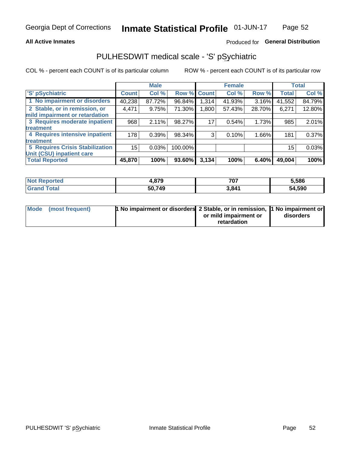## **All Active Inmates**

## Produced for General Distribution

# PULHESDWIT medical scale - 'S' pSychiatric

COL % - percent each COUNT is of its particular column

|                                        |              | <b>Male</b> |         |                    | <b>Female</b> |        |              | <b>Total</b> |
|----------------------------------------|--------------|-------------|---------|--------------------|---------------|--------|--------------|--------------|
| 'S' pSychiatric                        | <b>Count</b> | Col %       |         | <b>Row % Count</b> | Col %         | Row %  | <b>Total</b> | Col %        |
| 1 No impairment or disorders           | 40,238       | 87.72%      | 96.84%  | 1,314              | 41.93%        | 3.16%  | 41,552       | 84.79%       |
| 2 Stable, or in remission, or          | 4,471        | 9.75%       | 71.30%  | 1,800              | 57.43%        | 28.70% | 6,271        | 12.80%       |
| mild impairment or retardation         |              |             |         |                    |               |        |              |              |
| 3 Requires moderate inpatient          | 968          | 2.11%       | 98.27%  | 17                 | 0.54%         | 1.73%  | 985          | 2.01%        |
| treatment                              |              |             |         |                    |               |        |              |              |
| 4 Requires intensive inpatient         | 178          | 0.39%       | 98.34%  | 3                  | 0.10%         | 1.66%  | 181          | 0.37%        |
| treatment                              |              |             |         |                    |               |        |              |              |
| <b>5 Requires Crisis Stabilization</b> | 15           | 0.03%       | 100.00% |                    |               |        | 15           | 0.03%        |
| Unit (CSU) inpatient care              |              |             |         |                    |               |        |              |              |
| <b>Total Reported</b>                  | 45,870       | 100%        | 93.60%  | 3,134              | 100%          | 6.40%  | 49,004       | 100%         |

| <b>Not Reported</b>   | 4,879  | 707   | 5,586  |
|-----------------------|--------|-------|--------|
| Total<br><b>Grand</b> | 50,749 | 3,841 | 54,590 |

| Mode (most frequent) | <b>t No impairment or disorders 2 Stable, or in remission, 1 No impairment or</b> |                       |           |
|----------------------|-----------------------------------------------------------------------------------|-----------------------|-----------|
|                      |                                                                                   | or mild impairment or | disorders |
|                      |                                                                                   | retardation           |           |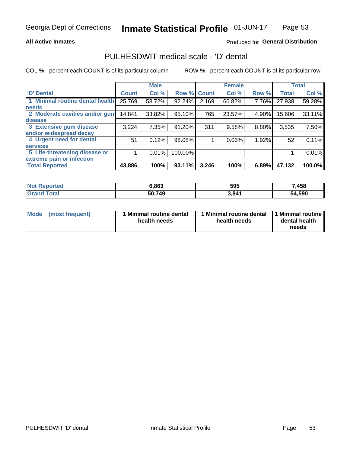## **All Active Inmates**

## Produced for General Distribution

# PULHESDWIT medical scale - 'D' dental

COL % - percent each COUNT is of its particular column

|                                 |              | <b>Male</b> |         |              | <b>Female</b> |       |              | <b>Total</b> |
|---------------------------------|--------------|-------------|---------|--------------|---------------|-------|--------------|--------------|
| <b>D'</b> Dental                | <b>Count</b> | Col %       | Row %   | <b>Count</b> | Col %         | Row % | <b>Total</b> | Col %        |
| 1 Minimal routine dental health | 25,769       | 58.72%      | 92.24%  | 2,169        | 66.82%        | 7.76% | 27,938       | 59.28%       |
| <b>needs</b>                    |              |             |         |              |               |       |              |              |
| 2 Moderate cavities and/or gum  | 14,841       | 33.82%      | 95.10%  | 765          | 23.57%        | 4.90% | 15,606       | 33.11%       |
| disease                         |              |             |         |              |               |       |              |              |
| 3 Extensive gum disease         | 3,224        | 7.35%       | 91.20%  | 311          | 9.58%         | 8.80% | 3,535        | 7.50%        |
| and/or widespread decay         |              |             |         |              |               |       |              |              |
| 4 Urgent need for dental        | 51           | 0.12%       | 98.08%  |              | 0.03%         | 1.92% | 52           | 0.11%        |
| <b>services</b>                 |              |             |         |              |               |       |              |              |
| 5 Life-threatening disease or   |              | 0.01%       | 100.00% |              |               |       |              | 0.01%        |
| extreme pain or infection       |              |             |         |              |               |       |              |              |
| <b>Total Reported</b>           | 43,886       | 100%        | 93.11%  | 3,246        | 100%          | 6.89% | 47,132       | 100.0%       |

| <b>Not Reported</b> | 6,863  | 595   | 7,458  |
|---------------------|--------|-------|--------|
| <b>Grand Total</b>  | 50,749 | 3,841 | 54,590 |

| 1 Minimal routine dental<br>Mode<br>(most frequent)<br>health needs | 1 Minimal routine dental 1 Minimal routine<br>health needs | dental health<br>needs |
|---------------------------------------------------------------------|------------------------------------------------------------|------------------------|
|---------------------------------------------------------------------|------------------------------------------------------------|------------------------|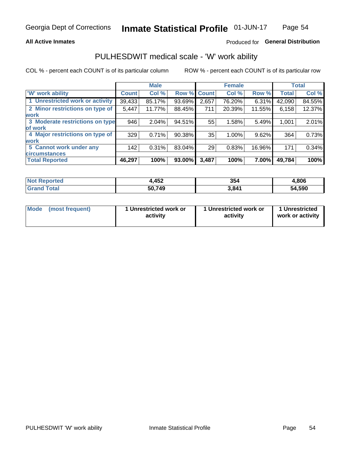## **All Active Inmates**

## Produced for General Distribution

# PULHESDWIT medical scale - 'W' work ability

COL % - percent each COUNT is of its particular column

|                                 |              | <b>Male</b> |        |             | <b>Female</b> |          |              | <b>Total</b> |
|---------------------------------|--------------|-------------|--------|-------------|---------------|----------|--------------|--------------|
| <b>W' work ability</b>          | <b>Count</b> | Col %       |        | Row % Count | Col %         | Row %    | <b>Total</b> | Col %        |
| 1 Unrestricted work or activity | 39,433       | 85.17%      | 93.69% | 2,657       | 76.20%        | 6.31%    | 42,090       | 84.55%       |
| 2 Minor restrictions on type of | 5,447        | 11.77%      | 88.45% | 711         | 20.39%        | 11.55%   | 6,158        | 12.37%       |
| <b>work</b>                     |              |             |        |             |               |          |              |              |
| 3 Moderate restrictions on type | 946          | 2.04%       | 94.51% | 55          | 1.58%         | 5.49%    | 1,001        | 2.01%        |
| lof work                        |              |             |        |             |               |          |              |              |
| 4 Major restrictions on type of | 329          | 0.71%       | 90.38% | 35          | 1.00%         | 9.62%    | 364          | 0.73%        |
| <b>work</b>                     |              |             |        |             |               |          |              |              |
| 5 Cannot work under any         | 142          | 0.31%       | 83.04% | 29          | 0.83%         | 16.96%   | 171          | 0.34%        |
| <b>circumstances</b>            |              |             |        |             |               |          |              |              |
| <b>Total Reported</b>           | 46,297       | 100%        | 93.00% | 3,487       | 100%          | $7.00\%$ | 49,784       | 100%         |

| <b>Not Reported</b> | ,452   | 354   | .806   |
|---------------------|--------|-------|--------|
| Total<br>Grand      | 50,749 | 3,841 | 54,590 |

| Mode            | 1 Unrestricted work or | 1 Unrestricted work or | 1 Unrestricted   |
|-----------------|------------------------|------------------------|------------------|
| (most frequent) | activity               | activity               | work or activity |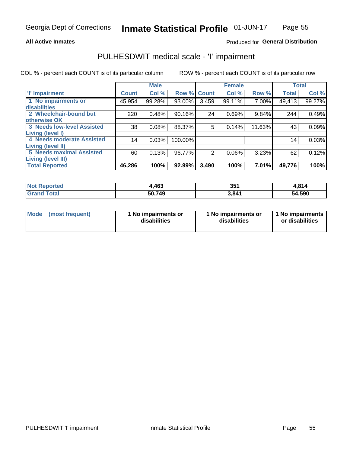## **All Active Inmates**

## Produced for General Distribution

# PULHESDWIT medical scale - 'I' impairment

COL % - percent each COUNT is of its particular column

|                                   |                 | <b>Male</b> |             |       | <b>Female</b> |        |              | <b>Total</b> |
|-----------------------------------|-----------------|-------------|-------------|-------|---------------|--------|--------------|--------------|
| <b>T' Impairment</b>              | <b>Count</b>    | Col %       | Row % Count |       | Col %         | Row %  | <b>Total</b> | Col %        |
| 1 No impairments or               | 45,954          | 99.28%      | 93.00%      | 3,459 | 99.11%        | 7.00%  | 49,413       | 99.27%       |
| disabilities                      |                 |             |             |       |               |        |              |              |
| 2 Wheelchair-bound but            | 220             | 0.48%       | 90.16%      | 24    | 0.69%         | 9.84%  | 244          | 0.49%        |
| otherwise OK                      |                 |             |             |       |               |        |              |              |
| <b>3 Needs low-level Assisted</b> | 38              | 0.08%       | 88.37%      | 5     | 0.14%         | 11.63% | 43           | 0.09%        |
| Living (level I)                  |                 |             |             |       |               |        |              |              |
| <b>4 Needs moderate Assisted</b>  | 14 <sub>1</sub> | 0.03%       | 100.00%     |       |               |        | 14           | 0.03%        |
| <b>Living (level II)</b>          |                 |             |             |       |               |        |              |              |
| <b>5 Needs maximal Assisted</b>   | 60              | 0.13%       | 96.77%      | 2     | 0.06%         | 3.23%  | 62           | 0.12%        |
| Living (level III)                |                 |             |             |       |               |        |              |              |
| <b>Total Reported</b>             | 46,286          | 100%        | 92.99%      | 3,490 | 100%          | 7.01%  | 49,776       | 100%         |

| Not is<br><b>Reported</b>    | ,463   | 351               | 4,814  |
|------------------------------|--------|-------------------|--------|
| <b>Total</b><br><b>Grand</b> | 50,749 | 3.84 <sup>4</sup> | 54,590 |

| <b>Mode</b> | (most frequent) | <b>No impairments or</b><br>disabilities | 1 No impairments or<br>disabilities | 1 No impairments<br>or disabilities |
|-------------|-----------------|------------------------------------------|-------------------------------------|-------------------------------------|
|-------------|-----------------|------------------------------------------|-------------------------------------|-------------------------------------|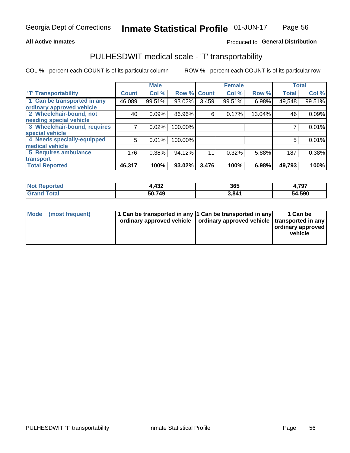## **All Active Inmates**

## Produced fo General Distribution

# PULHESDWIT medical scale - 'T' transportability

COL % - percent each COUNT is of its particular column

|                              |                    | <b>Male</b> |         |              | <b>Female</b> |        |              | <b>Total</b> |
|------------------------------|--------------------|-------------|---------|--------------|---------------|--------|--------------|--------------|
| <b>T' Transportability</b>   | Count <sup>!</sup> | Col %       | Row %   | <b>Count</b> | Col %         | Row %  | <b>Total</b> | Col %        |
| 1 Can be transported in any  | 46,089             | 99.51%      | 93.02%  | 3,459        | 99.51%        | 6.98%  | 49,548       | 99.51%       |
| ordinary approved vehicle    |                    |             |         |              |               |        |              |              |
| 2 Wheelchair-bound, not      | 40                 | 0.09%       | 86.96%  | 6            | 0.17%         | 13.04% | 46           | 0.09%        |
| needing special vehicle      |                    |             |         |              |               |        |              |              |
| 3 Wheelchair-bound, requires |                    | 0.02%       | 100.00% |              |               |        |              | 0.01%        |
| special vehicle              |                    |             |         |              |               |        |              |              |
| 4 Needs specially-equipped   | 5                  | 0.01%       | 100.00% |              |               |        | 5            | 0.01%        |
| medical vehicle              |                    |             |         |              |               |        |              |              |
| <b>5 Requires ambulance</b>  | 176                | 0.38%       | 94.12%  | 11           | 0.32%         | 5.88%  | 187          | 0.38%        |
| transport                    |                    |             |         |              |               |        |              |              |
| <b>Total Reported</b>        | 46,317             | 100%        | 93.02%  | 3,476        | 100%          | 6.98%  | 49,793       | 100%         |

| <b>Not</b><br>Reported | 1,432  | 365   | 4,797  |
|------------------------|--------|-------|--------|
| Total                  | 50,749 | 3,841 | 54,590 |

|  | Mode (most frequent) | 1 Can be transported in any 1 Can be transported in any<br>ordinary approved vehicle   ordinary approved vehicle   transported in any |  | 1 Can be<br>  ordinary approved  <br>vehicle |
|--|----------------------|---------------------------------------------------------------------------------------------------------------------------------------|--|----------------------------------------------|
|--|----------------------|---------------------------------------------------------------------------------------------------------------------------------------|--|----------------------------------------------|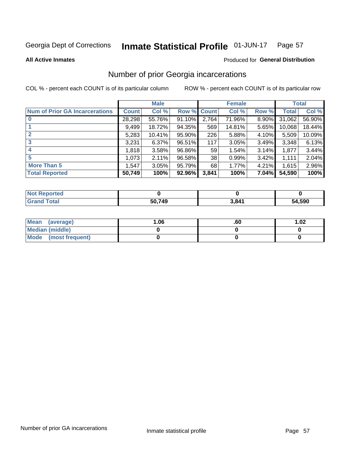### Inmate Statistical Profile 01-JUN-17 Page 57

**All Active Inmates** 

## Produced for General Distribution

# Number of prior Georgia incarcerations

COL % - percent each COUNT is of its particular column

|                                       |              | <b>Male</b> |                    |                 | <b>Female</b> |       |        | <b>Total</b> |
|---------------------------------------|--------------|-------------|--------------------|-----------------|---------------|-------|--------|--------------|
| <b>Num of Prior GA Incarcerations</b> | <b>Count</b> | Col %       | <b>Row % Count</b> |                 | Col %         | Row % | Total  | Col %        |
| $\bf{0}$                              | 28,298       | 55.76%      | 91.10%             | 2,764           | 71.96%        | 8.90% | 31,062 | 56.90%       |
|                                       | 9,499        | 18.72%      | 94.35%             | 569             | 14.81%        | 5.65% | 10,068 | 18.44%       |
| $\mathbf{2}$                          | 5,283        | 10.41%      | 95.90%             | 226             | 5.88%         | 4.10% | 5,509  | 10.09%       |
| 3                                     | 3,231        | 6.37%       | 96.51%             | 117             | 3.05%         | 3.49% | 3,348  | 6.13%        |
| 4                                     | 1,818        | 3.58%       | 96.86%             | 59 <sub>1</sub> | 1.54%         | 3.14% | 1,877  | 3.44%        |
| 5                                     | 1,073        | 2.11%       | 96.58%             | 38              | 0.99%         | 3.42% | 1,111  | 2.04%        |
| <b>More Than 5</b>                    | 1,547        | 3.05%       | 95.79%             | 68              | 1.77%         | 4.21% | 1,615  | 2.96%        |
| <b>Total Reported</b>                 | 50,749       | 100%        | 92.96%             | 3,841           | 100%          | 7.04% | 54,590 | 100%         |

| <b>orted</b><br>NO |        |       |        |
|--------------------|--------|-------|--------|
| <b>otal</b><br>Gr  | 50,749 | 3,841 | 54,590 |

| Mean (average)       | 06.، | .60 | 1.02 |
|----------------------|------|-----|------|
| Median (middle)      |      |     |      |
| Mode (most frequent) |      |     |      |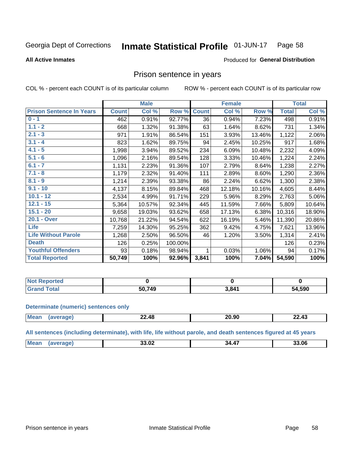#### Inmate Statistical Profile 01-JUN-17 Page 58

### **All Active Inmates**

## Produced for General Distribution

## Prison sentence in years

COL % - percent each COUNT is of its particular column

ROW % - percent each COUNT is of its particular row

|                                 |              | <b>Male</b> |         |              | <b>Female</b> |        |              | <b>Total</b> |
|---------------------------------|--------------|-------------|---------|--------------|---------------|--------|--------------|--------------|
| <b>Prison Sentence In Years</b> | <b>Count</b> | Col %       | Row %   | <b>Count</b> | Col %         | Row %  | <b>Total</b> | Col %        |
| $0 - 1$                         | 462          | 0.91%       | 92.77%  | 36           | 0.94%         | 7.23%  | 498          | 0.91%        |
| $1.1 - 2$                       | 668          | 1.32%       | 91.38%  | 63           | 1.64%         | 8.62%  | 731          | 1.34%        |
| $2.1 - 3$                       | 971          | 1.91%       | 86.54%  | 151          | 3.93%         | 13.46% | 1,122        | 2.06%        |
| $3.1 - 4$                       | 823          | 1.62%       | 89.75%  | 94           | 2.45%         | 10.25% | 917          | 1.68%        |
| $4.1 - 5$                       | 1,998        | 3.94%       | 89.52%  | 234          | 6.09%         | 10.48% | 2,232        | 4.09%        |
| $5.1 - 6$                       | 1,096        | 2.16%       | 89.54%  | 128          | 3.33%         | 10.46% | 1,224        | 2.24%        |
| $6.1 - 7$                       | 1,131        | 2.23%       | 91.36%  | 107          | 2.79%         | 8.64%  | 1,238        | 2.27%        |
| $7.1 - 8$                       | 1,179        | 2.32%       | 91.40%  | 111          | 2.89%         | 8.60%  | 1,290        | 2.36%        |
| $8.1 - 9$                       | 1,214        | 2.39%       | 93.38%  | 86           | 2.24%         | 6.62%  | 1,300        | 2.38%        |
| $9.1 - 10$                      | 4,137        | 8.15%       | 89.84%  | 468          | 12.18%        | 10.16% | 4,605        | 8.44%        |
| $10.1 - 12$                     | 2,534        | 4.99%       | 91.71%  | 229          | 5.96%         | 8.29%  | 2,763        | 5.06%        |
| $12.1 - 15$                     | 5,364        | 10.57%      | 92.34%  | 445          | 11.59%        | 7.66%  | 5,809        | 10.64%       |
| $15.1 - 20$                     | 9,658        | 19.03%      | 93.62%  | 658          | 17.13%        | 6.38%  | 10,316       | 18.90%       |
| 20.1 - Over                     | 10,768       | 21.22%      | 94.54%  | 622          | 16.19%        | 5.46%  | 11,390       | 20.86%       |
| <b>Life</b>                     | 7,259        | 14.30%      | 95.25%  | 362          | 9.42%         | 4.75%  | 7,621        | 13.96%       |
| <b>Life Without Parole</b>      | 1,268        | 2.50%       | 96.50%  | 46           | 1.20%         | 3.50%  | 1,314        | 2.41%        |
| <b>Death</b>                    | 126          | 0.25%       | 100.00% |              |               |        | 126          | 0.23%        |
| <b>Youthful Offenders</b>       | 93           | 0.18%       | 98.94%  |              | 0.03%         | 1.06%  | 94           | 0.17%        |
| <b>Total Reported</b>           | 50,749       | 100%        | 92.96%  | 3,841        | 100%          | 7.04%  | 54,590       | 100%         |

| <b>Not Reported</b> |              |       |        |
|---------------------|--------------|-------|--------|
| 'otal               | 50.749<br>50 | 3,841 | 54,590 |

### **Determinate (numeric) sentences only**

| <b>Mean</b> | 22.48 | חה חר<br>20.JU | $\overline{\phantom{a}}$<br>−4.4 – |
|-------------|-------|----------------|------------------------------------|
|             |       |                |                                    |

All sentences (including determinate), with life, life without parole, and death sentences figured at 45 years

| <b>Mea</b><br><br>$\overline{\phantom{a}}$<br>33.06<br>34.<br>v.<br> |  |  |  |
|----------------------------------------------------------------------|--|--|--|
|                                                                      |  |  |  |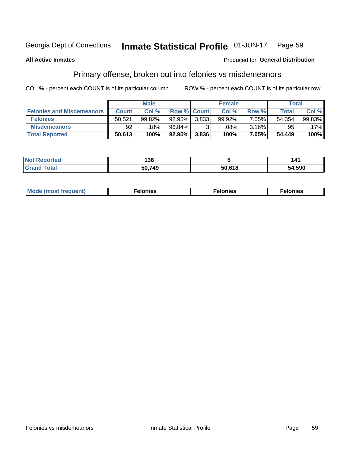#### **Inmate Statistical Profile 01-JUN-17** Page 59

### **All Active Inmates**

## Produced for General Distribution

# Primary offense, broken out into felonies vs misdemeanors

COL % - percent each COUNT is of its particular column

|                                  |              | <b>Male</b> |                    |                    | <b>Female</b> |       | Total        |         |
|----------------------------------|--------------|-------------|--------------------|--------------------|---------------|-------|--------------|---------|
| <b>Felonies and Misdemeanors</b> | <b>Count</b> | Col %       | <b>Row % Count</b> |                    | Col %         | Row % | <b>Total</b> | Col %   |
| <b>Felonies</b>                  | 50,521       | 99.82%      | $92.95\%$          | 3.833 <sub>1</sub> | 99.92%        | 7.05% | 54,354       | 99.83%  |
| <b>Misdemeanors</b>              | 92           | 18%         | 96.84%             |                    | .08%          | 3.16% | 95           | $.17\%$ |
| <b>Total Reported</b>            | 50,613       | 100%        | 92.95%             | 3,836              | 100%          | 7.05% | 54,449       | 100%    |

| <b>Not Reported</b>        | 136    |        | 141    |
|----------------------------|--------|--------|--------|
| ` Total<br><b>'Grand</b> ∖ | 50,749 | 50,618 | 54,590 |

| Mo | ____ | 11 C.S<br>. | onies<br>. |
|----|------|-------------|------------|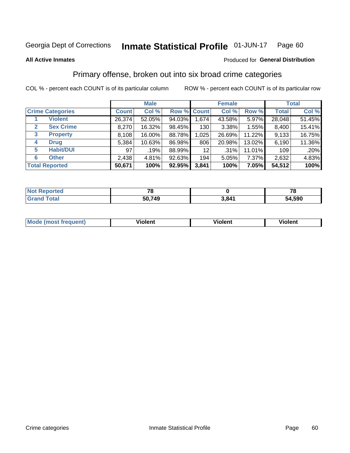### Inmate Statistical Profile 01-JUN-17 Page 60

### **All Active Inmates**

## Produced for General Distribution

# Primary offense, broken out into six broad crime categories

COL % - percent each COUNT is of its particular column

|                                  | <b>Male</b>  |        |        |                    | <b>Female</b> | <b>Total</b> |              |        |
|----------------------------------|--------------|--------|--------|--------------------|---------------|--------------|--------------|--------|
| <b>Crime Categories</b>          | <b>Count</b> | Col %  |        | <b>Row % Count</b> | Col %         | Row %        | <b>Total</b> | Col %  |
| <b>Violent</b>                   | 26,374       | 52.05% | 94.03% | 1,674              | 43.58%        | 5.97%        | 28,048       | 51.45% |
| <b>Sex Crime</b><br>$\mathbf{2}$ | 8,270        | 16.32% | 98.45% | 130                | 3.38%         | 1.55%        | 8,400        | 15.41% |
| $\mathbf{3}$<br><b>Property</b>  | 8,108        | 16.00% | 88.78% | 1,025              | 26.69%        | 11.22%       | 9,133        | 16.75% |
| <b>Drug</b><br>4                 | 5,384        | 10.63% | 86.98% | 806                | 20.98%        | 13.02%       | 6,190        | 11.36% |
| <b>Habit/DUI</b><br>5            | 97           | .19%   | 88.99% | 12 <sub>2</sub>    | .31%          | 11.01%       | 109          | .20%   |
| <b>Other</b><br>6                | 2,438        | 4.81%  | 92.63% | 194                | 5.05%         | 7.37%        | 2,632        | 4.83%  |
| <b>Total Reported</b>            | 50,671       | 100%   | 92.95% | 3,841              | 100%          | 7.05%        | 54,512       | 100%   |

| <b>rortea</b><br>' NOT |        |       | - -    |
|------------------------|--------|-------|--------|
| $T$ otol $T$           | 50,749 | 3,841 | 54,590 |

| Mo<br>uent)<br>nos | .<br>/iolent | <br>Violent | - --<br><b>Tiolent</b> |
|--------------------|--------------|-------------|------------------------|
|                    |              |             |                        |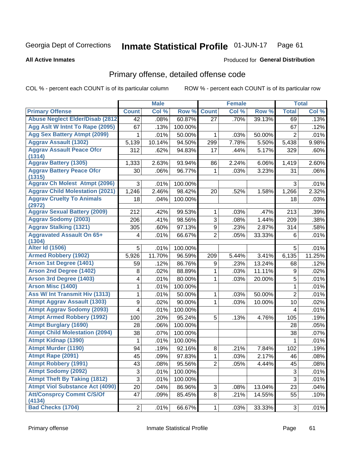### Inmate Statistical Profile 01-JUN-17 Page 61

### **All Active Inmates**

# Produced for General Distribution

# Primary offense, detailed offense code

COL % - percent each COUNT is of its particular column

|                                            |                | <b>Male</b> |         |                | <b>Female</b> |        |                | <b>Total</b> |
|--------------------------------------------|----------------|-------------|---------|----------------|---------------|--------|----------------|--------------|
| <b>Primary Offense</b>                     | <b>Count</b>   | Col %       | Row %   | <b>Count</b>   | Col %         | Row %  | <b>Total</b>   | Col %        |
| <b>Abuse Neglect Elder/Disab (2812)</b>    | 42             | .08%        | 60.87%  | 27             | .70%          | 39.13% | 69             | .13%         |
| Agg Aslt W Intnt To Rape (2095)            | 67             | .13%        | 100.00% |                |               |        | 67             | .12%         |
| <b>Agg Sex Battery Atmpt (2099)</b>        | 1              | .01%        | 50.00%  | 1              | .03%          | 50.00% | $\overline{2}$ | .01%         |
| <b>Aggrav Assault (1302)</b>               | 5,139          | 10.14%      | 94.50%  | 299            | 7.78%         | 5.50%  | 5,438          | 9.98%        |
| <b>Aggrav Assault Peace Ofcr</b><br>(1314) | 312            | .62%        | 94.83%  | 17             | .44%          | 5.17%  | 329            | .60%         |
| <b>Aggrav Battery (1305)</b>               | 1,333          | 2.63%       | 93.94%  | 86             | 2.24%         | 6.06%  | 1,419          | 2.60%        |
| <b>Aggrav Battery Peace Ofcr</b><br>(1315) | 30             | .06%        | 96.77%  | 1              | .03%          | 3.23%  | 31             | .06%         |
| <b>Aggrav Ch Molest Atmpt (2096)</b>       | 3              | .01%        | 100.00% |                |               |        | 3              | .01%         |
| <b>Aggrav Child Molestation (2021)</b>     | 1,246          | 2.46%       | 98.42%  | 20             | .52%          | 1.58%  | 1,266          | 2.32%        |
| <b>Aggrav Cruelty To Animals</b><br>(2972) | 18             | .04%        | 100.00% |                |               |        | 18             | .03%         |
| <b>Aggrav Sexual Battery (2009)</b>        | 212            | .42%        | 99.53%  | 1              | .03%          | .47%   | 213            | .39%         |
| <b>Aggrav Sodomy (2003)</b>                | 206            | .41%        | 98.56%  | $\overline{3}$ | .08%          | 1.44%  | 209            | .38%         |
| <b>Aggrav Stalking (1321)</b>              | 305            | .60%        | 97.13%  | 9              | .23%          | 2.87%  | 314            | .58%         |
| <b>Aggravated Assault On 65+</b><br>(1304) | 4              | .01%        | 66.67%  | $\overline{2}$ | .05%          | 33.33% | 6              | .01%         |
| <b>Alter Id (1506)</b>                     | 5              | .01%        | 100.00% |                |               |        | 5              | .01%         |
| <b>Armed Robbery (1902)</b>                | 5,926          | 11.70%      | 96.59%  | 209            | 5.44%         | 3.41%  | 6,135          | 11.25%       |
| Arson 1st Degree (1401)                    | 59             | .12%        | 86.76%  | 9              | .23%          | 13.24% | 68             | .12%         |
| <b>Arson 2nd Degree (1402)</b>             | 8              | .02%        | 88.89%  | 1              | .03%          | 11.11% | 9              | .02%         |
| <b>Arson 3rd Degree (1403)</b>             | 4              | .01%        | 80.00%  | 1              | .03%          | 20.00% | 5              | .01%         |
| <b>Arson Misc (1400)</b>                   | 1              | .01%        | 100.00% |                |               |        | 1              | .01%         |
| Ass W/ Int Transmit Hiv (1313)             | 1              | .01%        | 50.00%  | 1              | .03%          | 50.00% | $\overline{2}$ | .01%         |
| <b>Atmpt Aggrav Assault (1303)</b>         | 9              | .02%        | 90.00%  | 1              | .03%          | 10.00% | 10             | .02%         |
| <b>Atmpt Aggrav Sodomy (2093)</b>          | 4              | .01%        | 100.00% |                |               |        | 4              | .01%         |
| <b>Atmpt Armed Robbery (1992)</b>          | 100            | .20%        | 95.24%  | 5              | .13%          | 4.76%  | 105            | .19%         |
| <b>Atmpt Burglary (1690)</b>               | 28             | .06%        | 100.00% |                |               |        | 28             | .05%         |
| <b>Atmpt Child Molestation (2094)</b>      | 38             | .07%        | 100.00% |                |               |        | 38             | .07%         |
| <b>Atmpt Kidnap (1390)</b>                 | 1              | .01%        | 100.00% |                |               |        | 1              | .01%         |
| <b>Atmpt Murder (1190)</b>                 | 94             | .19%        | 92.16%  | 8              | .21%          | 7.84%  | 102            | .19%         |
| Atmpt Rape (2091)                          | 45             | .09%        | 97.83%  | $\mathbf{1}$   | .03%          | 2.17%  | 46             | .08%         |
| <b>Atmpt Robbery (1991)</b>                | 43             | .08%        | 95.56%  | $\overline{2}$ | .05%          | 4.44%  | 45             | .08%         |
| <b>Atmpt Sodomy (2092)</b>                 | 3              | .01%        | 100.00% |                |               |        | $\sqrt{3}$     | .01%         |
| <b>Atmpt Theft By Taking (1812)</b>        | 3              | .01%        | 100.00% |                |               |        | $\mathfrak{S}$ | .01%         |
| <b>Atmpt Viol Substance Act (4090)</b>     | 20             | .04%        | 86.96%  | 3              | .08%          | 13.04% | 23             | .04%         |
| <b>Att/Consprcy Commt C/S/Of</b><br>(4134) | 47             | .09%        | 85.45%  | 8              | .21%          | 14.55% | 55             | .10%         |
| <b>Bad Checks (1704)</b>                   | $\overline{2}$ | .01%        | 66.67%  | 1              | .03%          | 33.33% | 3              | .01%         |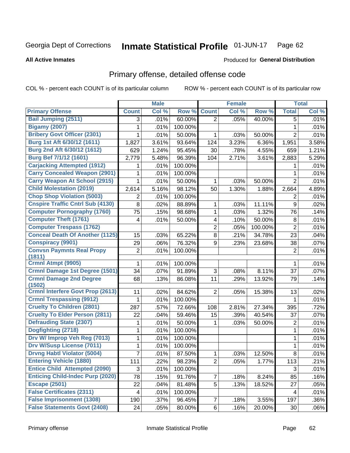### Inmate Statistical Profile 01-JUN-17 Page 62

### **All Active Inmates**

## Produced for General Distribution

# Primary offense, detailed offense code

COL % - percent each COUNT is of its particular column

|                                            |                | <b>Male</b> |         |                | <b>Female</b> |         |                | <b>Total</b> |
|--------------------------------------------|----------------|-------------|---------|----------------|---------------|---------|----------------|--------------|
| <b>Primary Offense</b>                     | <b>Count</b>   | Col %       | Row %   | <b>Count</b>   | Col %         | Row %   | <b>Total</b>   | Col %        |
| <b>Bail Jumping (2511)</b>                 | 3              | .01%        | 60.00%  | $\overline{2}$ | .05%          | 40.00%  | 5              | .01%         |
| <b>Bigamy (2007)</b>                       | 1              | .01%        | 100.00% |                |               |         | 1              | .01%         |
| <b>Bribery Govt Officer (2301)</b>         | 1              | .01%        | 50.00%  | 1              | .03%          | 50.00%  | $\overline{2}$ | .01%         |
| Burg 1st Aft 6/30/12 (1611)                | 1,827          | 3.61%       | 93.64%  | 124            | 3.23%         | 6.36%   | 1,951          | 3.58%        |
| Burg 2nd Aft 6/30/12 (1612)                | 629            | 1.24%       | 95.45%  | 30             | .78%          | 4.55%   | 659            | 1.21%        |
| Burg Bef 7/1/12 (1601)                     | 2,779          | 5.48%       | 96.39%  | 104            | 2.71%         | 3.61%   | 2,883          | 5.29%        |
| <b>Carjacking Attempted (1912)</b>         | 1              | .01%        | 100.00% |                |               |         | 1              | .01%         |
| <b>Carry Concealed Weapon (2901)</b>       | 1              | .01%        | 100.00% |                |               |         | 1              | .01%         |
| <b>Carry Weapon At School (2915)</b>       | 1              | .01%        | 50.00%  | 1              | .03%          | 50.00%  | $\overline{2}$ | .01%         |
| <b>Child Molestation (2019)</b>            | 2,614          | 5.16%       | 98.12%  | 50             | 1.30%         | 1.88%   | 2,664          | 4.89%        |
| <b>Chop Shop Violation (5003)</b>          | 2              | .01%        | 100.00% |                |               |         | 2              | .01%         |
| <b>Cnspire Traffic Cntrl Sub (4130)</b>    | 8              | .02%        | 88.89%  | 1              | .03%          | 11.11%  | $9\,$          | .02%         |
| <b>Computer Pornography (1760)</b>         | 75             | .15%        | 98.68%  | 1              | .03%          | 1.32%   | 76             | .14%         |
| <b>Computer Theft (1761)</b>               | 4              | .01%        | 50.00%  | 4              | .10%          | 50.00%  | 8              | .01%         |
| <b>Computer Trespass (1762)</b>            |                |             |         | $\overline{2}$ | .05%          | 100.00% | $\overline{2}$ | .01%         |
| <b>Conceal Death Of Another (1125)</b>     | 15             | .03%        | 65.22%  | 8              | .21%          | 34.78%  | 23             | .04%         |
| <b>Conspiracy (9901)</b>                   | 29             | .06%        | 76.32%  | 9              | .23%          | 23.68%  | 38             | .07%         |
| <b>Convsn Paymnts Real Propy</b><br>(1811) | $\overline{2}$ | .01%        | 100.00% |                |               |         | 2              | .01%         |
| Crmnl Atmpt (9905)                         | 1              | .01%        | 100.00% |                |               |         | 1              | .01%         |
| <b>Crmnl Damage 1st Degree (1501)</b>      | 34             | .07%        | 91.89%  | 3              | .08%          | 8.11%   | 37             | .07%         |
| <b>Crmnl Damage 2nd Degree</b><br>(1502)   | 68             | .13%        | 86.08%  | 11             | .29%          | 13.92%  | 79             | .14%         |
| <b>Crmnl Interfere Govt Prop (2613)</b>    | 11             | .02%        | 84.62%  | 2              | .05%          | 15.38%  | 13             | .02%         |
| <b>Crmnl Trespassing (9912)</b>            | 1              | .01%        | 100.00% |                |               |         | 1              | .01%         |
| <b>Cruelty To Children (2801)</b>          | 287            | .57%        | 72.66%  | 108            | 2.81%         | 27.34%  | 395            | .72%         |
| <b>Cruelty To Elder Person (2811)</b>      | 22             | .04%        | 59.46%  | 15             | .39%          | 40.54%  | 37             | .07%         |
| <b>Defrauding State (2307)</b>             | 1              | .01%        | 50.00%  | 1              | .03%          | 50.00%  | 2              | .01%         |
| Dogfighting (2718)                         | 1              | .01%        | 100.00% |                |               |         | $\mathbf{1}$   | .01%         |
| Drv W/ Improp Veh Reg (7013)               | 1              | .01%        | 100.00% |                |               |         | 1              | .01%         |
| <b>Drv W/Susp License (7011)</b>           | 1              | .01%        | 100.00% |                |               |         | 1              | .01%         |
| <b>Drvng Habtl Violator (5004)</b>         | $\overline{7}$ | .01%        | 87.50%  | 1              | .03%          | 12.50%  | 8              | .01%         |
| <b>Entering Vehicle (1880)</b>             | 111            | .22%        | 98.23%  | $\overline{2}$ | .05%          | 1.77%   | 113            | .21%         |
| <b>Entice Child Attempted (2090)</b>       | 3              | .01%        | 100.00% |                |               |         | 3              | .01%         |
| <b>Enticing Child-Indec Purp (2020)</b>    | 78             | .15%        | 91.76%  | 7              | .18%          | 8.24%   | 85             | .16%         |
| <b>Escape (2501)</b>                       | 22             | .04%        | 81.48%  | 5              | .13%          | 18.52%  | 27             | .05%         |
| <b>False Certificates (2311)</b>           | 4              | .01%        | 100.00% |                |               |         | 4              | .01%         |
| <b>False Imprisonment (1308)</b>           | 190            | .37%        | 96.45%  | 7              | .18%          | 3.55%   | 197            | .36%         |
| <b>False Statements Govt (2408)</b>        | 24             | .05%        | 80.00%  | 6              | .16%          | 20.00%  | 30             | .06%         |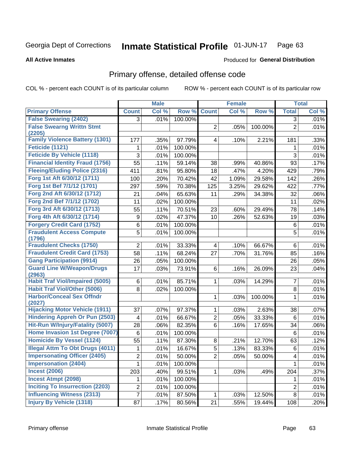### **Inmate Statistical Profile 01-JUN-17** Page 63

**All Active Inmates** 

## **Produced for General Distribution**

# Primary offense, detailed offense code

COL % - percent each COUNT is of its particular column

|                                                  |                | <b>Male</b> |         |                | <b>Female</b>              |         |                | <b>Total</b> |
|--------------------------------------------------|----------------|-------------|---------|----------------|----------------------------|---------|----------------|--------------|
| <b>Primary Offense</b>                           | <b>Count</b>   | Col %       | Row %   | <b>Count</b>   | $\overline{\text{Col }^9}$ | Row %   | <b>Total</b>   | Col %        |
| <b>False Swearing (2402)</b>                     | 3              | .01%        | 100.00% |                |                            |         | 3              | .01%         |
| <b>False Swearng Writtn Stmt</b>                 |                |             |         | $\overline{2}$ | .05%                       | 100.00% | $\overline{2}$ | .01%         |
| (2205)                                           |                |             |         |                |                            |         |                |              |
| <b>Family Violence Battery (1301)</b>            | 177            | .35%        | 97.79%  | 4              | .10%                       | 2.21%   | 181            | .33%         |
| Feticide (1121)                                  | 1              | .01%        | 100.00% |                |                            |         | 1              | .01%         |
| <b>Feticide By Vehicle (1118)</b>                | 3              | .01%        | 100.00% |                |                            |         | 3              | .01%         |
| <b>Financial Identity Fraud (1756)</b>           | 55             | .11%        | 59.14%  | 38             | .99%                       | 40.86%  | 93             | .17%         |
| <b>Fleeing/Eluding Police (2316)</b>             | 411            | .81%        | 95.80%  | 18             | .47%                       | 4.20%   | 429            | .79%         |
| Forg 1st Aft 6/30/12 (1711)                      | 100            | .20%        | 70.42%  | 42             | 1.09%                      | 29.58%  | 142            | .26%         |
| Forg 1st Bef 7/1/12 (1701)                       | 297            | .59%        | 70.38%  | 125            | 3.25%                      | 29.62%  | 422            | .77%         |
| Forg 2nd Aft 6/30/12 (1712)                      | 21             | .04%        | 65.63%  | 11             | .29%                       | 34.38%  | 32             | .06%         |
| Forg 2nd Bef 7/1/12 (1702)                       | 11             | .02%        | 100.00% |                |                            |         | 11             | .02%         |
| Forg 3rd Aft 6/30/12 (1713)                      | 55             | .11%        | 70.51%  | 23             | .60%                       | 29.49%  | 78             | .14%         |
| Forg 4th Aft 6/30/12 (1714)                      | 9              | .02%        | 47.37%  | 10             | .26%                       | 52.63%  | 19             | .03%         |
| <b>Forgery Credit Card (1752)</b>                | 6              | .01%        | 100.00% |                |                            |         | 6              | .01%         |
| <b>Fraudulent Access Compute</b>                 | 5              | .01%        | 100.00% |                |                            |         | 5              | .01%         |
| (1796)                                           |                |             |         |                |                            |         |                |              |
| <b>Fraudulent Checks (1750)</b>                  | $\overline{2}$ | .01%        | 33.33%  | 4              | .10%                       | 66.67%  | 6              | .01%         |
| <b>Fraudulent Credit Card (1753)</b>             | 58             | .11%        | 68.24%  | 27             | .70%                       | 31.76%  | 85             | .16%         |
| <b>Gang Participation (9914)</b>                 | 26             | .05%        | 100.00% |                |                            |         | 26             | .05%         |
| <b>Guard Line W/Weapon/Drugs</b>                 | 17             | .03%        | 73.91%  | 6              | .16%                       | 26.09%  | 23             | .04%         |
| (2963)<br><b>Habit Traf Viol/Impaired (5005)</b> |                |             |         |                |                            |         |                |              |
|                                                  | 6              | .01%        | 85.71%  | 1.             | .03%                       | 14.29%  | $\overline{7}$ | .01%         |
| <b>Habit Traf Viol/Other (5006)</b>              | 8              | .02%        | 100.00% |                |                            |         | 8              | .01%         |
| <b>Harbor/Conceal Sex Offndr</b><br>(2027)       |                |             |         | 1              | .03%                       | 100.00% | 1              | .01%         |
| <b>Hijacking Motor Vehicle (1911)</b>            | 37             | .07%        | 97.37%  | 1              | .03%                       | 2.63%   | 38             | .07%         |
| <b>Hindering Appreh Or Pun (2503)</b>            | 4              | .01%        | 66.67%  | $\overline{2}$ | .05%                       | 33.33%  | 6              | .01%         |
| Hit-Run W/Injury/Fatality (5007)                 | 28             | .06%        | 82.35%  | 6              | .16%                       | 17.65%  | 34             | .06%         |
| Home Invasion 1st Degree (7007)                  | 6              | .01%        | 100.00% |                |                            |         | 6              | .01%         |
| <b>Homicide By Vessel (1124)</b>                 | 55             | .11%        | 87.30%  | 8              | .21%                       | 12.70%  | 63             | .12%         |
| <b>Illegal Attm To Obt Drugs (4011)</b>          | 1              | .01%        | 16.67%  | 5              | .13%                       | 83.33%  | 6              | .01%         |
| <b>Impersonating Officer (2405)</b>              | $\overline{2}$ | .01%        | 50.00%  | $\overline{c}$ | .05%                       | 50.00%  | 4              | .01%         |
| <b>Impersonation (2404)</b>                      | 1              | .01%        | 100.00% |                |                            |         | 1              | .01%         |
| <b>Incest (2006)</b>                             |                |             |         |                |                            |         |                |              |
| <b>Incest Atmpt (2098)</b>                       | 203            | .40%        | 99.51%  | 1              | .03%                       | .49%    | 204            | .37%         |
|                                                  | $\mathbf{1}$   | .01%        | 100.00% |                |                            |         | 1              | .01%         |
| <b>Inciting To Insurrection (2203)</b>           | $\overline{2}$ | .01%        | 100.00% |                |                            |         | $\overline{2}$ | .01%         |
| <b>Influencing Witness (2313)</b>                | $\overline{7}$ | .01%        | 87.50%  | $\mathbf{1}$   | .03%                       | 12.50%  | 8              | .01%         |
| <b>Injury By Vehicle (1318)</b>                  | 87             | .17%        | 80.56%  | 21             | .55%                       | 19.44%  | 108            | .20%         |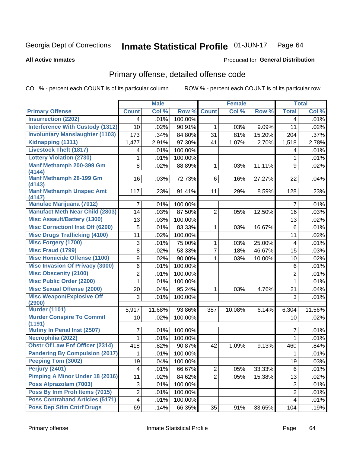### Inmate Statistical Profile 01-JUN-17 Page 64

**All Active Inmates** 

## Produced for General Distribution

# Primary offense, detailed offense code

COL % - percent each COUNT is of its particular column

|                                            |                         | <b>Male</b> |         |                | <b>Female</b> |        |                | <b>Total</b> |
|--------------------------------------------|-------------------------|-------------|---------|----------------|---------------|--------|----------------|--------------|
| <b>Primary Offense</b>                     | <b>Count</b>            | Col %       | Row %   | <b>Count</b>   | Col %         | Row %  | <b>Total</b>   | Col %        |
| <b>Insurrection (2202)</b>                 | 4                       | .01%        | 100.00% |                |               |        | 4              | .01%         |
| <b>Interference With Custody (1312)</b>    | 10                      | .02%        | 90.91%  | $\mathbf{1}$   | .03%          | 9.09%  | 11             | .02%         |
| <b>Involuntary Manslaughter (1103)</b>     | 173                     | .34%        | 84.80%  | 31             | .81%          | 15.20% | 204            | .37%         |
| Kidnapping (1311)                          | 1,477                   | 2.91%       | 97.30%  | 41             | 1.07%         | 2.70%  | 1,518          | 2.78%        |
| <b>Livestock Theft (1817)</b>              | 4                       | .01%        | 100.00% |                |               |        | 4              | .01%         |
| <b>Lottery Violation (2730)</b>            | 1                       | .01%        | 100.00% |                |               |        | $\mathbf{1}$   | .01%         |
| Manf Methamph 200-399 Gm<br>(4144)         | 8                       | .02%        | 88.89%  | $\mathbf 1$    | .03%          | 11.11% | 9              | .02%         |
| Manf Methamph 28-199 Gm<br>(4143)          | 16                      | .03%        | 72.73%  | 6              | .16%          | 27.27% | 22             | .04%         |
| <b>Manf Methamph Unspec Amt</b><br>(4147)  | 117                     | .23%        | 91.41%  | 11             | .29%          | 8.59%  | 128            | .23%         |
| <b>Manufac Marijuana (7012)</b>            | 7                       | .01%        | 100.00% |                |               |        | $\overline{7}$ | .01%         |
| <b>Manufact Meth Near Child (2803)</b>     | 14                      | .03%        | 87.50%  | $\overline{2}$ | .05%          | 12.50% | 16             | .03%         |
| <b>Misc Assault/Battery (1300)</b>         | 13                      | .03%        | 100.00% |                |               |        | 13             | .02%         |
| <b>Misc Correctionl Inst Off (6200)</b>    | 5                       | .01%        | 83.33%  | $\mathbf 1$    | .03%          | 16.67% | 6              | .01%         |
| <b>Misc Drugs Trafficking (4100)</b>       | 11                      | .02%        | 100.00% |                |               |        | 11             | .02%         |
| <b>Misc Forgery (1700)</b>                 | 3                       | .01%        | 75.00%  | $\mathbf 1$    | .03%          | 25.00% | 4              | .01%         |
| <b>Misc Fraud (1799)</b>                   | 8                       | .02%        | 53.33%  | $\overline{7}$ | .18%          | 46.67% | 15             | .03%         |
| <b>Misc Homicide Offense (1100)</b>        | 9                       | .02%        | 90.00%  | 1.             | .03%          | 10.00% | 10             | .02%         |
| <b>Misc Invasion Of Privacy (3000)</b>     | 6                       | .01%        | 100.00% |                |               |        | 6              | .01%         |
| <b>Misc Obscenity (2100)</b>               | $\overline{2}$          | .01%        | 100.00% |                |               |        | $\overline{2}$ | .01%         |
| <b>Misc Public Order (2200)</b>            | 1                       | .01%        | 100.00% |                |               |        | $\mathbf{1}$   | .01%         |
| <b>Misc Sexual Offense (2000)</b>          | 20                      | .04%        | 95.24%  | 1.             | .03%          | 4.76%  | 21             | .04%         |
| <b>Misc Weapon/Explosive Off</b><br>(2900) | 3                       | .01%        | 100.00% |                |               |        | 3              | .01%         |
| <b>Murder (1101)</b>                       | 5,917                   | 11.68%      | 93.86%  | 387            | 10.08%        | 6.14%  | 6,304          | 11.56%       |
| <b>Murder Conspire To Commit</b><br>(1191) | 10                      | .02%        | 100.00% |                |               |        | 10             | .02%         |
| <b>Mutiny In Penal Inst (2507)</b>         | 7                       | .01%        | 100.00% |                |               |        | $\overline{7}$ | .01%         |
| Necrophilia (2022)                         | 1                       | .01%        | 100.00% |                |               |        | 1              | .01%         |
| <b>Obstr Of Law Enf Officer (2314)</b>     | 418                     | .82%        | 90.87%  | 42             | 1.09%         | 9.13%  | 460            | .84%         |
| <b>Pandering By Compulsion (2017)</b>      | 1                       | .01%        | 100.00% |                |               |        | 1              | .01%         |
| Peeping Tom (3002)                         | 19                      | .04%        | 100.00% |                |               |        | 19             | .03%         |
| <b>Perjury (2401)</b>                      | 4                       | .01%        | 66.67%  | $\overline{2}$ | .05%          | 33.33% | 6              | .01%         |
| Pimping A Minor Under 18 (2016)            | 11                      | .02%        | 84.62%  | $\overline{2}$ | .05%          | 15.38% | 13             | .02%         |
| Poss Alprazolam (7003)                     | 3                       | .01%        | 100.00% |                |               |        | 3              | .01%         |
| Poss By Inm Proh Items (7015)              | $\overline{\mathbf{c}}$ | .01%        | 100.00% |                |               |        | $\overline{c}$ | .01%         |
| <b>Poss Contraband Articles (5171)</b>     | 4                       | .01%        | 100.00% |                |               |        | 4              | .01%         |
| <b>Poss Dep Stim Cntrf Drugs</b>           | 69                      | .14%        | 66.35%  | 35             | .91%          | 33.65% | 104            | .19%         |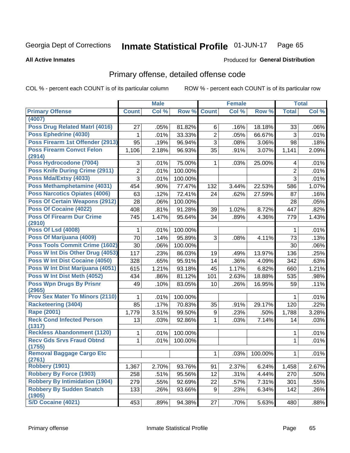### **Inmate Statistical Profile 01-JUN-17** Page 65

**All Active Inmates** 

## Produced for General Distribution

# Primary offense, detailed offense code

COL % - percent each COUNT is of its particular column

|                                            |                | <b>Male</b> |         |                | <b>Female</b> |         |                | <b>Total</b> |
|--------------------------------------------|----------------|-------------|---------|----------------|---------------|---------|----------------|--------------|
| <b>Primary Offense</b>                     | <b>Count</b>   | Col %       | Row %   | <b>Count</b>   | Col %         | Row %   | <b>Total</b>   | Col %        |
| (4007)                                     |                |             |         |                |               |         |                |              |
| <b>Poss Drug Related Matrl (4016)</b>      | 27             | .05%        | 81.82%  | 6              | .16%          | 18.18%  | 33             | .06%         |
| Poss Ephedrine (4030)                      | 1              | .01%        | 33.33%  | $\overline{2}$ | .05%          | 66.67%  | 3              | .01%         |
| Poss Firearm 1st Offender (2913)           | 95             | .19%        | 96.94%  | 3              | .08%          | 3.06%   | 98             | .18%         |
| <b>Poss Firearm Convct Felon</b>           | 1,106          | 2.18%       | 96.93%  | 35             | .91%          | 3.07%   | 1,141          | 2.09%        |
| (2914)                                     |                |             |         |                |               |         |                |              |
| Poss Hydrocodone (7004)                    | 3              | .01%        | 75.00%  | $\mathbf{1}$   | .03%          | 25.00%  | 4              | .01%         |
| <b>Poss Knife During Crime (2911)</b>      | $\overline{2}$ | .01%        | 100.00% |                |               |         | $\overline{2}$ | .01%         |
| Poss Mda/Extsy (4033)                      | $\overline{3}$ | .01%        | 100.00% |                |               |         | $\overline{3}$ | .01%         |
| Poss Methamphetamine (4031)                | 454            | .90%        | 77.47%  | 132            | 3.44%         | 22.53%  | 586            | 1.07%        |
| <b>Poss Narcotics Opiates (4006)</b>       | 63             | .12%        | 72.41%  | 24             | .62%          | 27.59%  | 87             | .16%         |
| <b>Poss Of Certain Weapons (2912)</b>      | 28             | .06%        | 100.00% |                |               |         | 28             | .05%         |
| Poss Of Cocaine (4022)                     | 408            | .81%        | 91.28%  | 39             | 1.02%         | 8.72%   | 447            | .82%         |
| <b>Poss Of Firearm Dur Crime</b><br>(2910) | 745            | 1.47%       | 95.64%  | 34             | .89%          | 4.36%   | 779            | 1.43%        |
| <b>Poss Of Lsd (4008)</b>                  | 1              | .01%        | 100.00% |                |               |         | 1              | .01%         |
| Poss Of Marijuana (4009)                   | 70             | .14%        | 95.89%  | 3              | .08%          | 4.11%   | 73             | .13%         |
| <b>Poss Tools Commit Crime (1602)</b>      | 30             | .06%        | 100.00% |                |               |         | 30             | .06%         |
| Poss W Int Dis Other Drug (4053)           | 117            | .23%        | 86.03%  | 19             | .49%          | 13.97%  | 136            | .25%         |
| Poss W Int Dist Cocaine (4050)             | 328            | .65%        | 95.91%  | 14             | .36%          | 4.09%   | 342            | .63%         |
| Poss W Int Dist Marijuana (4051)           | 615            | 1.21%       | 93.18%  | 45             | 1.17%         | 6.82%   | 660            | 1.21%        |
| Poss W Int Dist Meth (4052)                | 434            | .86%        | 81.12%  | 101            | 2.63%         | 18.88%  | 535            | .98%         |
| <b>Poss Wpn Drugs By Prisnr</b>            | 49             | .10%        | 83.05%  | 10             | .26%          | 16.95%  | 59             | .11%         |
| (2965)                                     |                |             |         |                |               |         |                |              |
| <b>Prov Sex Mater To Minors (2110)</b>     | 1              | .01%        | 100.00% |                |               |         | 1              | .01%         |
| <b>Racketeering (3404)</b>                 | 85             | .17%        | 70.83%  | 35             | .91%          | 29.17%  | 120            | .22%         |
| <b>Rape (2001)</b>                         | 1,779          | 3.51%       | 99.50%  | 9              | .23%          | .50%    | 1,788          | 3.28%        |
| <b>Reck Cond Infected Person</b><br>(1317) | 13             | .03%        | 92.86%  | 1              | .03%          | 7.14%   | 14             | .03%         |
| <b>Reckless Abandonment (1120)</b>         | $\mathbf{1}$   | .01%        | 100.00% |                |               |         | 1              | .01%         |
| <b>Recv Gds Srvs Fraud Obtnd</b><br>(1755) | $\mathbf{1}$   | .01%        | 100.00% |                |               |         | $\mathbf{1}$   | .01%         |
| <b>Removal Baggage Cargo Etc</b><br>(2761) |                |             |         | $\mathbf{1}$   | .03%          | 100.00% | $\mathbf{1}$   | .01%         |
| <b>Robbery (1901)</b>                      | 1,367          | 2.70%       | 93.76%  | 91             | 2.37%         | 6.24%   | 1,458          | 2.67%        |
| <b>Robbery By Force (1903)</b>             | 258            | .51%        | 95.56%  | 12             | .31%          | 4.44%   | 270            | .50%         |
| <b>Robbery By Intimidation (1904)</b>      | 279            | .55%        |         | 22             | .57%          | 7.31%   | 301            | .55%         |
| <b>Robbery By Sudden Snatch</b>            |                |             | 92.69%  |                |               |         |                |              |
| (1905)                                     | 133            | .26%        | 93.66%  | 9 <sup>1</sup> | .23%          | 6.34%   | 142            | .26%         |
| S/D Cocaine (4021)                         | 453            | .89%        | 94.38%  | 27             | .70%          | 5.63%   | 480            | .88%         |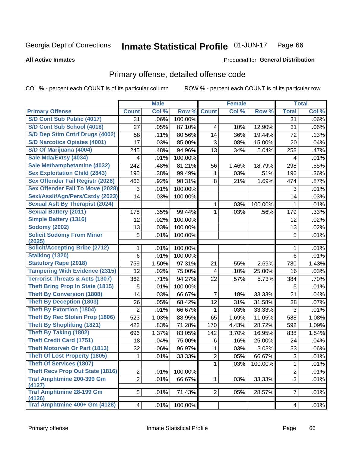### Inmate Statistical Profile 01-JUN-17 Page 66

### **All Active Inmates**

# **Produced for General Distribution**

# Primary offense, detailed offense code

COL % - percent each COUNT is of its particular column

|                                            |                | <b>Male</b> |         |                | <b>Female</b> |         |                | <b>Total</b> |
|--------------------------------------------|----------------|-------------|---------|----------------|---------------|---------|----------------|--------------|
| <b>Primary Offense</b>                     | <b>Count</b>   | Col %       | Row %   | <b>Count</b>   | Col %         | Row %   | <b>Total</b>   | Col %        |
| S/D Cont Sub Public (4017)                 | 31             | .06%        | 100.00% |                |               |         | 31             | .06%         |
| S/D Cont Sub School (4018)                 | 27             | .05%        | 87.10%  | 4              | .10%          | 12.90%  | 31             | .06%         |
| S/D Dep Stim Cntrf Drugs (4002)            | 58             | .11%        | 80.56%  | 14             | .36%          | 19.44%  | 72             | .13%         |
| <b>S/D Narcotics Opiates (4001)</b>        | 17             | .03%        | 85.00%  | 3              | .08%          | 15.00%  | 20             | .04%         |
| S/D Of Marijuana (4004)                    | 245            | .48%        | 94.96%  | 13             | .34%          | 5.04%   | 258            | .47%         |
| Sale Mda/Extsy (4034)                      | 4              | .01%        | 100.00% |                |               |         | 4              | .01%         |
| Sale Methamphetamine (4032)                | 242            | .48%        | 81.21%  | 56             | 1.46%         | 18.79%  | 298            | .55%         |
| <b>Sex Exploitation Child (2843)</b>       | 195            | .38%        | 99.49%  | 1              | .03%          | .51%    | 196            | .36%         |
| <b>Sex Offender Fail Registr (2026)</b>    | 466            | .92%        | 98.31%  | 8              | .21%          | 1.69%   | 474            | .87%         |
| <b>Sex Offender Fail To Move (2028)</b>    | 3              | .01%        | 100.00% |                |               |         | 3              | .01%         |
| Sexl/Asslt/Agn/Pers/Cstdy (2023)           | 14             | .03%        | 100.00% |                |               |         | 14             | .03%         |
| <b>Sexual Aslt By Therapist (2024)</b>     |                |             |         | 1              | .03%          | 100.00% | 1              | .01%         |
| <b>Sexual Battery (2011)</b>               | 178            | .35%        | 99.44%  | 1              | .03%          | .56%    | 179            | .33%         |
| <b>Simple Battery (1316)</b>               | 12             | .02%        | 100.00% |                |               |         | 12             | .02%         |
| <b>Sodomy (2002)</b>                       | 13             | .03%        | 100.00% |                |               |         | 13             | .02%         |
| <b>Solicit Sodomy From Minor</b>           | 5              | .01%        | 100.00% |                |               |         | 5              | .01%         |
| (2025)                                     |                |             |         |                |               |         |                |              |
| <b>Solicit/Accepting Bribe (2712)</b>      | 1              | .01%        | 100.00% |                |               |         | 1              | .01%         |
| <b>Stalking (1320)</b>                     | 6              | .01%        | 100.00% |                |               |         | 6              | .01%         |
| <b>Statutory Rape (2018)</b>               | 759            | 1.50%       | 97.31%  | 21             | .55%          | 2.69%   | 780            | 1.43%        |
| <b>Tampering With Evidence (2315)</b>      | 12             | .02%        | 75.00%  | 4              | .10%          | 25.00%  | 16             | .03%         |
| <b>Terrorist Threats &amp; Acts (1307)</b> | 362            | .71%        | 94.27%  | 22             | .57%          | 5.73%   | 384            | .70%         |
| <b>Theft Bring Prop In State (1815)</b>    | 5              | .01%        | 100.00% |                |               |         | 5              | .01%         |
| <b>Theft By Conversion (1808)</b>          | 14             | .03%        | 66.67%  | 7              | .18%          | 33.33%  | 21             | .04%         |
| <b>Theft By Deception (1803)</b>           | 26             | .05%        | 68.42%  | 12             | .31%          | 31.58%  | 38             | .07%         |
| <b>Theft By Extortion (1804)</b>           | 2              | .01%        | 66.67%  | 1              | .03%          | 33.33%  | 3              | .01%         |
| <b>Theft By Rec Stolen Prop (1806)</b>     | 523            | 1.03%       | 88.95%  | 65             | 1.69%         | 11.05%  | 588            | 1.08%        |
| <b>Theft By Shoplifting (1821)</b>         | 422            | .83%        | 71.28%  | 170            | 4.43%         | 28.72%  | 592            | 1.09%        |
| <b>Theft By Taking (1802)</b>              | 696            | 1.37%       | 83.05%  | 142            | 3.70%         | 16.95%  | 838            | 1.54%        |
| <b>Theft Credit Card (1751)</b>            | 18             | .04%        | 75.00%  | 6              | .16%          | 25.00%  | 24             | .04%         |
| <b>Theft Motorveh Or Part (1813)</b>       | 32             | .06%        | 96.97%  | 1              | .03%          | 3.03%   | 33             | .06%         |
| <b>Theft Of Lost Property (1805)</b>       | 1              | .01%        | 33.33%  | $\overline{c}$ | .05%          | 66.67%  | $\overline{3}$ | .01%         |
| <b>Theft Of Services (1807)</b>            |                |             |         | 1.             | .03%          | 100.00% | 1              | .01%         |
| <b>Theft Recv Prop Out State (1816)</b>    | $\overline{2}$ | .01%        | 100.00% |                |               |         | $\overline{2}$ | .01%         |
| <b>Traf Amphtmine 200-399 Gm</b><br>(4127) | $\overline{2}$ | .01%        | 66.67%  | $\mathbf{1}$   | .03%          | 33.33%  | 3              | .01%         |
| <b>Traf Amphtmine 28-199 Gm</b><br>(4126)  | 5              | .01%        | 71.43%  | 2 <sup>1</sup> | .05%          | 28.57%  | $\overline{7}$ | .01%         |
| Traf Amphtmine 400+ Gm (4128)              | 4              | .01%        | 100.00% |                |               |         | 4              | .01%         |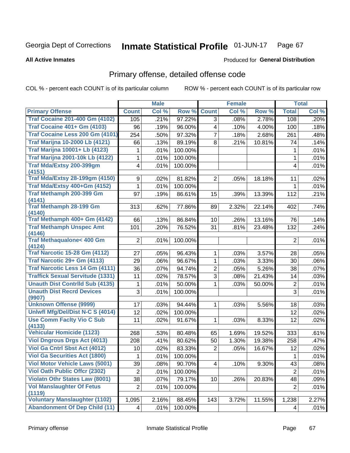### Inmate Statistical Profile 01-JUN-17 Page 67

**All Active Inmates** 

## Produced for General Distribution

# Primary offense, detailed offense code

COL % - percent each COUNT is of its particular column

|                                            |                 | <b>Male</b> |         |                         | <b>Female</b> |        |                | <b>Total</b> |
|--------------------------------------------|-----------------|-------------|---------|-------------------------|---------------|--------|----------------|--------------|
| <b>Primary Offense</b>                     | <b>Count</b>    | Col %       | Row %   | <b>Count</b>            | Col %         | Row %  | <b>Total</b>   | Col %        |
| <b>Traf Cocaine 201-400 Gm (4102)</b>      | 105             | .21%        | 97.22%  | 3                       | .08%          | 2.78%  | 108            | .20%         |
| <b>Traf Cocaine 401+ Gm (4103)</b>         | 96              | .19%        | 96.00%  | $\overline{\mathbf{4}}$ | .10%          | 4.00%  | 100            | .18%         |
| Traf Cocaine Less 200 Gm (4101)            | 254             | .50%        | 97.32%  | 7                       | .18%          | 2.68%  | 261            | .48%         |
| <b>Traf Marijna 10-2000 Lb (4121)</b>      | 66              | .13%        | 89.19%  | 8                       | .21%          | 10.81% | 74             | .14%         |
| <b>Traf Marijna 10001+ Lb (4123)</b>       | 1               | .01%        | 100.00% |                         |               |        | 1              | .01%         |
| <b>Traf Marijna 2001-10k Lb (4122)</b>     | 1               | .01%        | 100.00% |                         |               |        | 1              | .01%         |
| <b>Traf Mda/Extsy 200-399gm</b>            | 4               | .01%        | 100.00% |                         |               |        | 4              | .01%         |
| (4151)                                     |                 |             |         |                         |               |        |                |              |
| <b>Traf Mda/Extsy 28-199gm (4150)</b>      | 9               | .02%        | 81.82%  | $\overline{2}$          | .05%          | 18.18% | 11             | .02%         |
| Traf Mda/Extsy 400+Gm (4152)               | 1.              | .01%        | 100.00% |                         |               |        | 1              | .01%         |
| Traf Methamph 200-399 Gm<br>(4141)         | 97              | .19%        | 86.61%  | 15                      | .39%          | 13.39% | 112            | .21%         |
| <b>Traf Methamph 28-199 Gm</b><br>(4140)   | 313             | .62%        | 77.86%  | 89                      | 2.32%         | 22.14% | 402            | .74%         |
| Traf Methamph 400+ Gm (4142)               | 66              | .13%        | 86.84%  | 10                      | .26%          | 13.16% | 76             | .14%         |
| <b>Traf Methamph Unspec Amt</b><br>(4146)  | 101             | .20%        | 76.52%  | 31                      | .81%          | 23.48% | 132            | .24%         |
| Traf Methaqualone< 400 Gm<br>(4124)        | $\overline{2}$  | .01%        | 100.00% |                         |               |        | $\overline{2}$ | .01%         |
| <b>Traf Narcotic 15-28 Gm (4112)</b>       | 27              | .05%        | 96.43%  | 1                       | .03%          | 3.57%  | 28             | .05%         |
| Traf Narcotic 29+ Gm (4113)                | 29              | .06%        | 96.67%  | 1                       | .03%          | 3.33%  | 30             | .06%         |
| Traf Narcotic Less 14 Gm (4111)            | 36              | .07%        | 94.74%  | 2                       | .05%          | 5.26%  | 38             | .07%         |
| <b>Traffick Sexual Servitude (1331)</b>    | 11              | .02%        | 78.57%  | 3                       | .08%          | 21.43% | 14             | .03%         |
| <b>Unauth Dist Contrild Sub (4135)</b>     | 1               | .01%        | 50.00%  | 1                       | .03%          | 50.00% | $\overline{2}$ | .01%         |
| <b>Unauth Dist Recrd Devices</b><br>(9907) | 3               | .01%        | 100.00% |                         |               |        | 3              | .01%         |
| <b>Unknown Offense (9999)</b>              | 17              | .03%        | 94.44%  | 1                       | .03%          | 5.56%  | 18             | .03%         |
| Uniwfl Mfg/Del/Dist N-C S (4014)           | 12              | .02%        | 100.00% |                         |               |        | 12             | .02%         |
| <b>Use Comm Facity Vio C Sub</b>           | 11              | .02%        | 91.67%  | 1                       | .03%          | 8.33%  | 12             | .02%         |
| (4133)                                     |                 |             |         |                         |               |        |                |              |
| <b>Vehicular Homicide (1123)</b>           | 268             | .53%        | 80.48%  | 65                      | 1.69%         | 19.52% | 333            | .61%         |
| <b>Viol Dngrous Drgs Act (4013)</b>        | 208             | .41%        | 80.62%  | 50                      | 1.30%         | 19.38% | 258            | .47%         |
| Viol Ga Cntrl Sbst Act (4012)              | 10              | .02%        | 83.33%  | 2                       | .05%          | 16.67% | 12             | .02%         |
| <b>Viol Ga Securities Act (1800)</b>       | 1               | .01%        | 100.00% |                         |               |        | $\mathbf{1}$   | .01%         |
| <b>Viol Motor Vehicle Laws (5001)</b>      | 39              | .08%        | 90.70%  | $\overline{\mathbf{4}}$ | .10%          | 9.30%  | 43             | .08%         |
| <b>Viol Oath Public Offer (2302)</b>       | $\overline{2}$  | .01%        | 100.00% |                         |               |        | $\overline{2}$ | .01%         |
| <b>Violatn Othr States Law (8001)</b>      | 38              | .07%        | 79.17%  | 10                      | .26%          | 20.83% | 48             | .09%         |
| <b>Vol Manslaughter Of Fetus</b>           | $\overline{2}$  | .01%        | 100.00% |                         |               |        | $\overline{2}$ | .01%         |
| (1119)                                     |                 |             |         |                         |               |        |                |              |
| <b>Voluntary Manslaughter (1102)</b>       | 1,095           | 2.16%       | 88.45%  | 143                     | 3.72%         | 11.55% | 1,238          | 2.27%        |
| <b>Abandonment Of Dep Child (11)</b>       | $\vert 4 \vert$ | .01%        | 100.00% |                         |               |        | 4              | .01%         |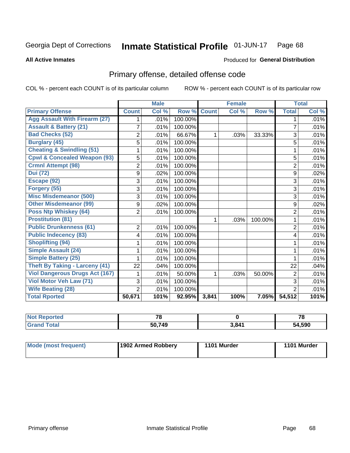### Inmate Statistical Profile 01-JUN-17 Page 68

**All Active Inmates** 

## **Produced for General Distribution**

# Primary offense, detailed offense code

COL % - percent each COUNT is of its particular column

|                                         |                | <b>Male</b> |         |              | <b>Female</b> |         |                | <b>Total</b> |
|-----------------------------------------|----------------|-------------|---------|--------------|---------------|---------|----------------|--------------|
| <b>Primary Offense</b>                  | <b>Count</b>   | Col %       | Row %   | <b>Count</b> | Col %         | Row %   | <b>Total</b>   | Col %        |
| <b>Agg Assault With Firearm (27)</b>    | 1              | .01%        | 100.00% |              |               |         | 1              | .01%         |
| <b>Assault &amp; Battery (21)</b>       | $\overline{7}$ | .01%        | 100.00% |              |               |         | 7              | .01%         |
| <b>Bad Checks (52)</b>                  | $\overline{2}$ | .01%        | 66.67%  | 1            | .03%          | 33.33%  | 3              | .01%         |
| <b>Burglary (45)</b>                    | 5              | .01%        | 100.00% |              |               |         | 5              | .01%         |
| <b>Cheating &amp; Swindling (51)</b>    |                | .01%        | 100.00% |              |               |         | 1              | .01%         |
| <b>Cpwl &amp; Concealed Weapon (93)</b> | 5              | .01%        | 100.00% |              |               |         | 5              | .01%         |
| <b>Crmnl Attempt (98)</b>               | $\overline{2}$ | .01%        | 100.00% |              |               |         | $\overline{2}$ | .01%         |
| <b>Dui (72)</b>                         | 9              | .02%        | 100.00% |              |               |         | 9              | .02%         |
| Escape (92)                             | 3              | .01%        | 100.00% |              |               |         | 3              | .01%         |
| Forgery (55)                            | 3              | .01%        | 100.00% |              |               |         | 3              | .01%         |
| <b>Misc Misdemeanor (500)</b>           | 3              | .01%        | 100.00% |              |               |         | 3              | .01%         |
| <b>Other Misdemeanor (99)</b>           | 9              | .02%        | 100.00% |              |               |         | 9              | .02%         |
| <b>Poss Ntp Whiskey (64)</b>            | $\overline{2}$ | .01%        | 100.00% |              |               |         | $\overline{2}$ | .01%         |
| <b>Prostitution (81)</b>                |                |             |         | 1            | .03%          | 100.00% | 1              | .01%         |
| <b>Public Drunkenness (61)</b>          | $\overline{2}$ | .01%        | 100.00% |              |               |         | $\overline{2}$ | .01%         |
| <b>Public Indecency (83)</b>            | 4              | .01%        | 100.00% |              |               |         | 4              | .01%         |
| <b>Shoplifting (94)</b>                 |                | .01%        | 100.00% |              |               |         |                | .01%         |
| Simple Assault (24)                     |                | .01%        | 100.00% |              |               |         | 1              | .01%         |
| <b>Simple Battery (25)</b>              |                | .01%        | 100.00% |              |               |         | 1              | .01%         |
| <b>Theft By Taking - Larceny (41)</b>   | 22             | .04%        | 100.00% |              |               |         | 22             | .04%         |
| <b>Viol Dangerous Drugs Act (167)</b>   |                | .01%        | 50.00%  | 1            | .03%          | 50.00%  | 2              | .01%         |
| <b>Viol Motor Veh Law (71)</b>          | 3              | .01%        | 100.00% |              |               |         | 3              | .01%         |
| <b>Wife Beating (28)</b>                | $\overline{2}$ | .01%        | 100.00% |              |               |         | $\overline{2}$ | .01%         |
| <b>Total Rported</b>                    | 50,671         | 101%        | 92.95%  | 3,841        | 100%          | 7.05%   | 54,512         | 101%         |

| $'$ Not $\cdot$<br>Reported | 7c     |       | 70     |
|-----------------------------|--------|-------|--------|
| <b>Total</b>                | 50,749 | 3,841 | 54,590 |

| <b>Mode (most frequent)</b> | 1902 Armed Robbery | 1101 Murder | 1101 Murder |
|-----------------------------|--------------------|-------------|-------------|
|                             |                    |             |             |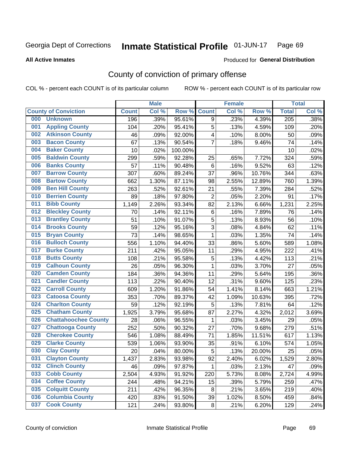### Inmate Statistical Profile 01-JUN-17 Page 69

**All Active Inmates** 

## Produced for General Distribution

# County of conviction of primary offense

COL % - percent each COUNT is of its particular column

|     |                             |              | <b>Male</b> |         |                | <b>Female</b> |        |                  | <b>Total</b> |
|-----|-----------------------------|--------------|-------------|---------|----------------|---------------|--------|------------------|--------------|
|     | <b>County of Conviction</b> | <b>Count</b> | Col %       | Row %   | <b>Count</b>   | Col %         | Row %  | <b>Total</b>     | Col %        |
| 000 | <b>Unknown</b>              | 196          | .39%        | 95.61%  | 9              | .23%          | 4.39%  | $\overline{205}$ | .38%         |
| 001 | <b>Appling County</b>       | 104          | .20%        | 95.41%  | 5              | .13%          | 4.59%  | 109              | .20%         |
| 002 | <b>Atkinson County</b>      | 46           | .09%        | 92.00%  | 4              | .10%          | 8.00%  | 50               | .09%         |
| 003 | <b>Bacon County</b>         | 67           | .13%        | 90.54%  | $\overline{7}$ | .18%          | 9.46%  | 74               | .14%         |
| 004 | <b>Baker County</b>         | 10           | .02%        | 100.00% |                |               |        | 10               | .02%         |
| 005 | <b>Baldwin County</b>       | 299          | .59%        | 92.28%  | 25             | .65%          | 7.72%  | 324              | .59%         |
| 006 | <b>Banks County</b>         | 57           | .11%        | 90.48%  | $\,6$          | .16%          | 9.52%  | 63               | .12%         |
| 007 | <b>Barrow County</b>        | 307          | .60%        | 89.24%  | 37             | .96%          | 10.76% | 344              | .63%         |
| 008 | <b>Bartow County</b>        | 662          | 1.30%       | 87.11%  | 98             | 2.55%         | 12.89% | 760              | 1.39%        |
| 009 | <b>Ben Hill County</b>      | 263          | .52%        | 92.61%  | 21             | .55%          | 7.39%  | 284              | .52%         |
| 010 | <b>Berrien County</b>       | 89           | .18%        | 97.80%  | $\overline{2}$ | .05%          | 2.20%  | 91               | .17%         |
| 011 | <b>Bibb County</b>          | 1,149        | 2.26%       | 93.34%  | 82             | 2.13%         | 6.66%  | 1,231            | 2.25%        |
| 012 | <b>Bleckley County</b>      | 70           | .14%        | 92.11%  | 6              | .16%          | 7.89%  | 76               | .14%         |
| 013 | <b>Brantley County</b>      | 51           | .10%        | 91.07%  | 5              | .13%          | 8.93%  | 56               | .10%         |
| 014 | <b>Brooks County</b>        | 59           | .12%        | 95.16%  | 3              | .08%          | 4.84%  | 62               | .11%         |
| 015 | <b>Bryan County</b>         | 73           | .14%        | 98.65%  | $\mathbf{1}$   | .03%          | 1.35%  | 74               | .14%         |
| 016 | <b>Bulloch County</b>       | 556          | 1.10%       | 94.40%  | 33             | .86%          | 5.60%  | 589              | 1.08%        |
| 017 | <b>Burke County</b>         | 211          | .42%        | 95.05%  | 11             | .29%          | 4.95%  | 222              | .41%         |
| 018 | <b>Butts County</b>         | 108          | .21%        | 95.58%  | 5              | .13%          | 4.42%  | 113              | .21%         |
| 019 | <b>Calhoun County</b>       | 26           | .05%        | 96.30%  | $\mathbf{1}$   | .03%          | 3.70%  | 27               | .05%         |
| 020 | <b>Camden County</b>        | 184          | .36%        | 94.36%  | 11             | .29%          | 5.64%  | 195              | .36%         |
| 021 | <b>Candler County</b>       | 113          | .22%        | 90.40%  | 12             | .31%          | 9.60%  | 125              | .23%         |
| 022 | <b>Carroll County</b>       | 609          | 1.20%       | 91.86%  | 54             | 1.41%         | 8.14%  | 663              | 1.21%        |
| 023 | <b>Catoosa County</b>       | 353          | .70%        | 89.37%  | 42             | 1.09%         | 10.63% | 395              | .72%         |
| 024 | <b>Charlton County</b>      | 59           | .12%        | 92.19%  | 5              | .13%          | 7.81%  | 64               | .12%         |
| 025 | <b>Chatham County</b>       | 1,925        | 3.79%       | 95.68%  | 87             | 2.27%         | 4.32%  | 2,012            | 3.69%        |
| 026 | <b>Chattahoochee County</b> | 28           | .06%        | 96.55%  | 1              | .03%          | 3.45%  | 29               | .05%         |
| 027 | <b>Chattooga County</b>     | 252          | .50%        | 90.32%  | 27             | .70%          | 9.68%  | 279              | .51%         |
| 028 | <b>Cherokee County</b>      | 546          | 1.08%       | 88.49%  | 71             | 1.85%         | 11.51% | 617              | 1.13%        |
| 029 | <b>Clarke County</b>        | 539          | 1.06%       | 93.90%  | 35             | .91%          | 6.10%  | 574              | 1.05%        |
| 030 | <b>Clay County</b>          | 20           | .04%        | 80.00%  | 5              | .13%          | 20.00% | 25               | .05%         |
| 031 | <b>Clayton County</b>       | 1,437        | 2.83%       | 93.98%  | 92             | 2.40%         | 6.02%  | 1,529            | 2.80%        |
| 032 | <b>Clinch County</b>        | 46           | .09%        | 97.87%  | 1              | .03%          | 2.13%  | 47               | .09%         |
| 033 | <b>Cobb County</b>          | 2,504        | 4.93%       | 91.92%  | 220            | 5.73%         | 8.08%  | 2,724            | 4.99%        |
| 034 | <b>Coffee County</b>        | 244          | .48%        | 94.21%  | 15             | .39%          | 5.79%  | 259              | .47%         |
| 035 | <b>Colquitt County</b>      | 211          | .42%        | 96.35%  | 8              | .21%          | 3.65%  | 219              | .40%         |
| 036 | <b>Columbia County</b>      | 420          | .83%        | 91.50%  | 39             | 1.02%         | 8.50%  | 459              | .84%         |
| 037 | <b>Cook County</b>          | 121          | .24%        | 93.80%  | 8              | .21%          | 6.20%  | 129              | .24%         |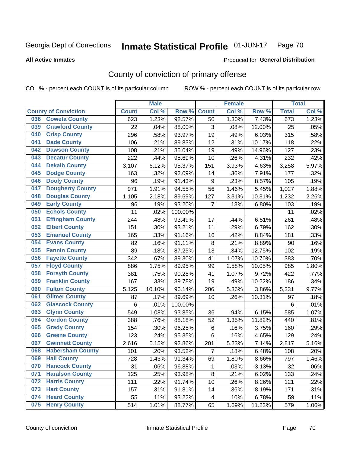### Inmate Statistical Profile 01-JUN-17 Page 70

### **All Active Inmates**

# Produced for General Distribution

# County of conviction of primary offense

COL % - percent each COUNT is of its particular column

|                                |              | <b>Male</b> |         |              | <b>Female</b> |        |                  | <b>Total</b> |
|--------------------------------|--------------|-------------|---------|--------------|---------------|--------|------------------|--------------|
| <b>County of Conviction</b>    | <b>Count</b> | Col %       | Row %   | <b>Count</b> | Col %         | Row %  | <b>Total</b>     | Col%         |
| <b>Coweta County</b><br>038    | 623          | 1.23%       | 92.57%  | 50           | 1.30%         | 7.43%  | $\overline{673}$ | 1.23%        |
| <b>Crawford County</b><br>039  | 22           | .04%        | 88.00%  | 3            | .08%          | 12.00% | 25               | .05%         |
| <b>Crisp County</b><br>040     | 296          | .58%        | 93.97%  | 19           | .49%          | 6.03%  | 315              | .58%         |
| <b>Dade County</b><br>041      | 106          | .21%        | 89.83%  | 12           | .31%          | 10.17% | 118              | .22%         |
| <b>Dawson County</b><br>042    | 108          | .21%        | 85.04%  | 19           | .49%          | 14.96% | 127              | .23%         |
| 043<br><b>Decatur County</b>   | 222          | .44%        | 95.69%  | 10           | .26%          | 4.31%  | 232              | .42%         |
| <b>Dekalb County</b><br>044    | 3,107        | 6.12%       | 95.37%  | 151          | 3.93%         | 4.63%  | 3,258            | 5.97%        |
| <b>Dodge County</b><br>045     | 163          | .32%        | 92.09%  | 14           | .36%          | 7.91%  | 177              | .32%         |
| <b>Dooly County</b><br>046     | 96           | .19%        | 91.43%  | 9            | .23%          | 8.57%  | 105              | .19%         |
| <b>Dougherty County</b><br>047 | 971          | 1.91%       | 94.55%  | 56           | 1.46%         | 5.45%  | 1,027            | 1.88%        |
| <b>Douglas County</b><br>048   | 1,105        | 2.18%       | 89.69%  | 127          | 3.31%         | 10.31% | 1,232            | 2.26%        |
| <b>Early County</b><br>049     | 96           | .19%        | 93.20%  | 7            | .18%          | 6.80%  | 103              | .19%         |
| <b>Echols County</b><br>050    | 11           | .02%        | 100.00% |              |               |        | 11               | .02%         |
| 051<br><b>Effingham County</b> | 244          | .48%        | 93.49%  | 17           | .44%          | 6.51%  | 261              | .48%         |
| <b>Elbert County</b><br>052    | 151          | .30%        | 93.21%  | 11           | .29%          | 6.79%  | 162              | .30%         |
| <b>Emanuel County</b><br>053   | 165          | .33%        | 91.16%  | 16           | .42%          | 8.84%  | 181              | .33%         |
| <b>Evans County</b><br>054     | 82           | .16%        | 91.11%  | 8            | .21%          | 8.89%  | 90               | .16%         |
| <b>Fannin County</b><br>055    | 89           | .18%        | 87.25%  | 13           | .34%          | 12.75% | 102              | .19%         |
| <b>Fayette County</b><br>056   | 342          | .67%        | 89.30%  | 41           | 1.07%         | 10.70% | 383              | .70%         |
| <b>Floyd County</b><br>057     | 886          | 1.75%       | 89.95%  | 99           | 2.58%         | 10.05% | 985              | 1.80%        |
| <b>Forsyth County</b><br>058   | 381          | .75%        | 90.28%  | 41           | 1.07%         | 9.72%  | 422              | .77%         |
| <b>Franklin County</b><br>059  | 167          | .33%        | 89.78%  | 19           | .49%          | 10.22% | 186              | .34%         |
| <b>Fulton County</b><br>060    | 5,125        | 10.10%      | 96.14%  | 206          | 5.36%         | 3.86%  | 5,331            | 9.77%        |
| <b>Gilmer County</b><br>061    | 87           | .17%        | 89.69%  | 10           | .26%          | 10.31% | 97               | .18%         |
| <b>Glascock County</b><br>062  | 6            | .01%        | 100.00% |              |               |        | 6                | .01%         |
| 063<br><b>Glynn County</b>     | 549          | 1.08%       | 93.85%  | 36           | .94%          | 6.15%  | 585              | 1.07%        |
| <b>Gordon County</b><br>064    | 388          | .76%        | 88.18%  | 52           | 1.35%         | 11.82% | 440              | .81%         |
| <b>Grady County</b><br>065     | 154          | .30%        | 96.25%  | 6            | .16%          | 3.75%  | 160              | .29%         |
| <b>Greene County</b><br>066    | 123          | .24%        | 95.35%  | 6            | .16%          | 4.65%  | 129              | .24%         |
| <b>Gwinnett County</b><br>067  | 2,616        | 5.15%       | 92.86%  | 201          | 5.23%         | 7.14%  | 2,817            | 5.16%        |
| <b>Habersham County</b><br>068 | 101          | .20%        | 93.52%  | 7            | .18%          | 6.48%  | 108              | .20%         |
| 069<br><b>Hall County</b>      | 728          | 1.43%       | 91.34%  | 69           | 1.80%         | 8.66%  | 797              | 1.46%        |
| <b>Hancock County</b><br>070   | 31           | .06%        | 96.88%  | 1            | .03%          | 3.13%  | 32               | .06%         |
| <b>Haralson County</b><br>071  | 125          | .25%        | 93.98%  | 8            | .21%          | 6.02%  | 133              | .24%         |
| 072<br><b>Harris County</b>    | 111          | .22%        | 91.74%  | 10           | .26%          | 8.26%  | 121              | .22%         |
| <b>Hart County</b><br>073      | 157          | .31%        | 91.81%  | 14           | .36%          | 8.19%  | 171              | .31%         |
| <b>Heard County</b><br>074     | 55           | .11%        | 93.22%  | 4            | .10%          | 6.78%  | 59               | .11%         |
| <b>Henry County</b><br>075     | 514          | 1.01%       | 88.77%  | 65           | 1.69%         | 11.23% | 579              | 1.06%        |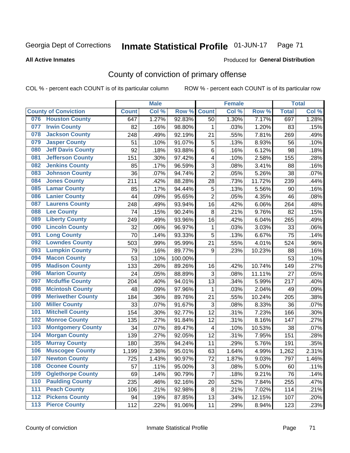### Inmate Statistical Profile 01-JUN-17 Page 71

Produced for General Distribution

### **All Active Inmates**

# County of conviction of primary offense

COL % - percent each COUNT is of its particular column

|                                 |              | <b>Male</b> |         |                | <b>Female</b> |        |              | <b>Total</b> |
|---------------------------------|--------------|-------------|---------|----------------|---------------|--------|--------------|--------------|
| <b>County of Conviction</b>     | <b>Count</b> | Col %       | Row %   | <b>Count</b>   | Col %         | Row %  | <b>Total</b> | Col %        |
| 076 Houston County              | 647          | 1.27%       | 92.83%  | 50             | 1.30%         | 7.17%  | 697          | 1.28%        |
| <b>Irwin County</b><br>077      | 82           | .16%        | 98.80%  | 1              | .03%          | 1.20%  | 83           | .15%         |
| <b>Jackson County</b><br>078    | 248          | .49%        | 92.19%  | 21             | .55%          | 7.81%  | 269          | .49%         |
| <b>Jasper County</b><br>079     | 51           | .10%        | 91.07%  | 5              | .13%          | 8.93%  | 56           | .10%         |
| <b>Jeff Davis County</b><br>080 | 92           | .18%        | 93.88%  | 6              | .16%          | 6.12%  | 98           | .18%         |
| <b>Jefferson County</b><br>081  | 151          | .30%        | 97.42%  | 4              | .10%          | 2.58%  | 155          | .28%         |
| <b>Jenkins County</b><br>082    | 85           | .17%        | 96.59%  | 3              | .08%          | 3.41%  | 88           | .16%         |
| <b>Johnson County</b><br>083    | 36           | .07%        | 94.74%  | $\overline{2}$ | .05%          | 5.26%  | 38           | .07%         |
| <b>Jones County</b><br>084      | 211          | .42%        | 88.28%  | 28             | .73%          | 11.72% | 239          | .44%         |
| <b>Lamar County</b><br>085      | 85           | .17%        | 94.44%  | 5              | .13%          | 5.56%  | 90           | .16%         |
| <b>Lanier County</b><br>086     | 44           | .09%        | 95.65%  | $\overline{2}$ | .05%          | 4.35%  | 46           | .08%         |
| <b>Laurens County</b><br>087    | 248          | .49%        | 93.94%  | 16             | .42%          | 6.06%  | 264          | .48%         |
| 088<br><b>Lee County</b>        | 74           | .15%        | 90.24%  | 8              | .21%          | 9.76%  | 82           | .15%         |
| <b>Liberty County</b><br>089    | 249          | .49%        | 93.96%  | 16             | .42%          | 6.04%  | 265          | .49%         |
| <b>Lincoln County</b><br>090    | 32           | .06%        | 96.97%  | $\mathbf 1$    | .03%          | 3.03%  | 33           | .06%         |
| <b>Long County</b><br>091       | 70           | .14%        | 93.33%  | 5              | .13%          | 6.67%  | 75           | .14%         |
| <b>Lowndes County</b><br>092    | 503          | .99%        | 95.99%  | 21             | .55%          | 4.01%  | 524          | .96%         |
| <b>Lumpkin County</b><br>093    | 79           | .16%        | 89.77%  | 9              | .23%          | 10.23% | 88           | .16%         |
| <b>Macon County</b><br>094      | 53           | .10%        | 100.00% |                |               |        | 53           | .10%         |
| <b>Madison County</b><br>095    | 133          | .26%        | 89.26%  | 16             | .42%          | 10.74% | 149          | .27%         |
| <b>Marion County</b><br>096     | 24           | .05%        | 88.89%  | 3              | .08%          | 11.11% | 27           | .05%         |
| <b>Mcduffie County</b><br>097   | 204          | .40%        | 94.01%  | 13             | .34%          | 5.99%  | 217          | .40%         |
| <b>Mcintosh County</b><br>098   | 48           | .09%        | 97.96%  | 1              | .03%          | 2.04%  | 49           | .09%         |
| <b>Meriwether County</b><br>099 | 184          | .36%        | 89.76%  | 21             | .55%          | 10.24% | 205          | .38%         |
| <b>Miller County</b><br>100     | 33           | .07%        | 91.67%  | 3              | .08%          | 8.33%  | 36           | .07%         |
| <b>Mitchell County</b><br>101   | 154          | .30%        | 92.77%  | 12             | .31%          | 7.23%  | 166          | .30%         |
| <b>Monroe County</b><br>102     | 135          | .27%        | 91.84%  | 12             | .31%          | 8.16%  | 147          | .27%         |
| 103<br><b>Montgomery County</b> | 34           | .07%        | 89.47%  | 4              | .10%          | 10.53% | 38           | .07%         |
| <b>Morgan County</b><br>104     | 139          | .27%        | 92.05%  | 12             | .31%          | 7.95%  | 151          | .28%         |
| <b>Murray County</b><br>105     | 180          | .35%        | 94.24%  | 11             | .29%          | 5.76%  | 191          | .35%         |
| <b>Muscogee County</b><br>106   | 1,199        | 2.36%       | 95.01%  | 63             | 1.64%         | 4.99%  | 1,262        | 2.31%        |
| <b>Newton County</b><br>107     | 725          | 1.43%       | 90.97%  | 72             | 1.87%         | 9.03%  | 797          | 1.46%        |
| <b>Oconee County</b><br>108     | 57           | .11%        | 95.00%  | 3              | .08%          | 5.00%  | 60           | .11%         |
| <b>Oglethorpe County</b><br>109 | 69           | .14%        | 90.79%  | $\overline{7}$ | .18%          | 9.21%  | 76           | .14%         |
| <b>Paulding County</b><br>110   | 235          | .46%        | 92.16%  | 20             | .52%          | 7.84%  | 255          | .47%         |
| <b>Peach County</b><br>111      | 106          | .21%        | 92.98%  | 8              | .21%          | 7.02%  | 114          | .21%         |
| <b>Pickens County</b><br>112    | 94           | .19%        | 87.85%  | 13             | .34%          | 12.15% | 107          | .20%         |
| <b>Pierce County</b><br>113     | 112          | .22%        | 91.06%  | 11             | .29%          | 8.94%  | 123          | .23%         |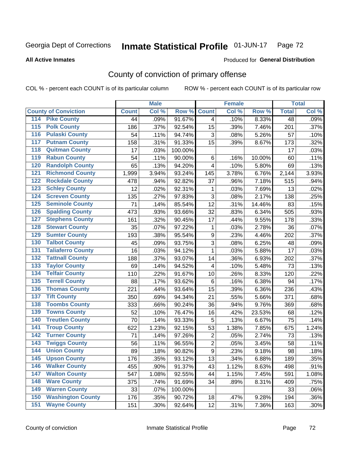### Inmate Statistical Profile 01-JUN-17 Page 72

Produced for General Distribution

### **All Active Inmates**

## County of conviction of primary offense

COL % - percent each COUNT is of its particular column

|                                          |              | <b>Male</b> |         |                | <b>Female</b> |        |                 | <b>Total</b> |
|------------------------------------------|--------------|-------------|---------|----------------|---------------|--------|-----------------|--------------|
| <b>County of Conviction</b>              | <b>Count</b> | Col %       | Row %   | <b>Count</b>   | Col %         | Row %  | <b>Total</b>    | Col %        |
| <b>Pike County</b><br>114                | 44           | .09%        | 91.67%  | $\overline{4}$ | .10%          | 8.33%  | $\overline{48}$ | .09%         |
| <b>Polk County</b><br>$\overline{115}$   | 186          | .37%        | 92.54%  | 15             | .39%          | 7.46%  | 201             | .37%         |
| <b>Pulaski County</b><br>116             | 54           | .11%        | 94.74%  | 3              | .08%          | 5.26%  | 57              | .10%         |
| <b>Putnam County</b><br>117              | 158          | .31%        | 91.33%  | 15             | .39%          | 8.67%  | 173             | .32%         |
| <b>Quitman County</b><br>118             | 17           | .03%        | 100.00% |                |               |        | 17              | .03%         |
| <b>Rabun County</b><br>119               | 54           | .11%        | 90.00%  | $6\phantom{1}$ | .16%          | 10.00% | 60              | .11%         |
| <b>Randolph County</b><br>120            | 65           | .13%        | 94.20%  | 4              | .10%          | 5.80%  | 69              | .13%         |
| <b>Richmond County</b><br>121            | 1,999        | 3.94%       | 93.24%  | 145            | 3.78%         | 6.76%  | 2,144           | 3.93%        |
| <b>Rockdale County</b><br>122            | 478          | .94%        | 92.82%  | 37             | .96%          | 7.18%  | 515             | .94%         |
| <b>Schley County</b><br>123              | 12           | .02%        | 92.31%  | 1              | .03%          | 7.69%  | 13              | .02%         |
| <b>Screven County</b><br>124             | 135          | .27%        | 97.83%  | 3              | .08%          | 2.17%  | 138             | .25%         |
| <b>Seminole County</b><br>125            | 71           | .14%        | 85.54%  | 12             | .31%          | 14.46% | 83              | .15%         |
| <b>Spalding County</b><br>126            | 473          | .93%        | 93.66%  | 32             | .83%          | 6.34%  | 505             | .93%         |
| <b>Stephens County</b><br>127            | 161          | .32%        | 90.45%  | 17             | .44%          | 9.55%  | 178             | .33%         |
| <b>Stewart County</b><br>128             | 35           | .07%        | 97.22%  | 1              | .03%          | 2.78%  | 36              | .07%         |
| <b>Sumter County</b><br>129              | 193          | .38%        | 95.54%  | 9              | .23%          | 4.46%  | 202             | .37%         |
| <b>Talbot County</b><br>130              | 45           | .09%        | 93.75%  | 3              | .08%          | 6.25%  | 48              | .09%         |
| <b>Taliaferro County</b><br>131          | 16           | .03%        | 94.12%  | 1              | .03%          | 5.88%  | 17              | .03%         |
| <b>Tattnall County</b><br>132            | 188          | .37%        | 93.07%  | 14             | .36%          | 6.93%  | 202             | .37%         |
| <b>Taylor County</b><br>133              | 69           | .14%        | 94.52%  | 4              | .10%          | 5.48%  | 73              | .13%         |
| <b>Telfair County</b><br>134             | 110          | .22%        | 91.67%  | 10             | .26%          | 8.33%  | 120             | .22%         |
| <b>Terrell County</b><br>135             | 88           | .17%        | 93.62%  | $\,6$          | .16%          | 6.38%  | 94              | .17%         |
| <b>Thomas County</b><br>136              | 221          | .44%        | 93.64%  | 15             | .39%          | 6.36%  | 236             | .43%         |
| <b>Tift County</b><br>137                | 350          | .69%        | 94.34%  | 21             | .55%          | 5.66%  | 371             | .68%         |
| <b>Toombs County</b><br>138              | 333          | .66%        | 90.24%  | 36             | .94%          | 9.76%  | 369             | .68%         |
| <b>Towns County</b><br>139               | 52           | .10%        | 76.47%  | 16             | .42%          | 23.53% | 68              | .12%         |
| <b>Treutlen County</b><br>140            | 70           | .14%        | 93.33%  | 5              | .13%          | 6.67%  | 75              | .14%         |
| <b>Troup County</b><br>141               | 622          | 1.23%       | 92.15%  | 53             | 1.38%         | 7.85%  | 675             | 1.24%        |
| <b>Turner County</b><br>142              | 71           | .14%        | 97.26%  | $\overline{2}$ | .05%          | 2.74%  | 73              | .13%         |
| <b>Twiggs County</b><br>$\overline{143}$ | 56           | .11%        | 96.55%  | $\overline{2}$ | .05%          | 3.45%  | 58              | .11%         |
| <b>Union County</b><br>144               | 89           | .18%        | 90.82%  | $\mathsf g$    | .23%          | 9.18%  | 98              | .18%         |
| 145<br><b>Upson County</b>               | 176          | .35%        | 93.12%  | 13             | .34%          | 6.88%  | 189             | .35%         |
| <b>Walker County</b><br>146              | 455          | .90%        | 91.37%  | 43             | 1.12%         | 8.63%  | 498             | .91%         |
| $\overline{147}$<br><b>Walton County</b> | 547          | 1.08%       | 92.55%  | 44             | 1.15%         | 7.45%  | 591             | 1.08%        |
| <b>Ware County</b><br>148                | 375          | .74%        | 91.69%  | 34             | .89%          | 8.31%  | 409             | .75%         |
| <b>Warren County</b><br>149              | 33           | .07%        | 100.00% |                |               |        | 33              | .06%         |
| <b>Washington County</b><br>150          | 176          | .35%        | 90.72%  | 18             | .47%          | 9.28%  | 194             | .36%         |
| <b>Wayne County</b><br>151               | 151          | .30%        | 92.64%  | 12             | .31%          | 7.36%  | 163             | .30%         |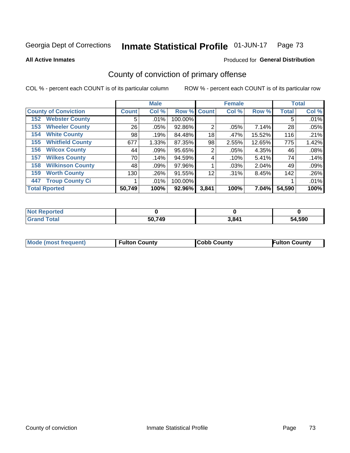### Inmate Statistical Profile 01-JUN-17 Page 73

**All Active Inmates** 

## Produced for General Distribution

# County of conviction of primary offense

COL % - percent each COUNT is of its particular column

|                                |              | <b>Male</b> |         |              | <b>Female</b> |        |              | <b>Total</b> |
|--------------------------------|--------------|-------------|---------|--------------|---------------|--------|--------------|--------------|
| <b>County of Conviction</b>    | <b>Count</b> | Col %       | Row %   | <b>Count</b> | Col %         | Row %  | <b>Total</b> | Col %        |
| <b>Webster County</b><br>152   | 5            | $.01\%$     | 100.00% |              |               |        | 5            | .01%         |
| <b>Wheeler County</b><br>153   | 26           | .05%        | 92.86%  | 2            | .05%          | 7.14%  | 28           | .05%         |
| <b>White County</b><br>154     | 98           | .19%        | 84.48%  | 18           | .47%          | 15.52% | 116          | .21%         |
| <b>Whitfield County</b><br>155 | 677          | 1.33%       | 87.35%  | 98           | 2.55%         | 12.65% | 775          | 1.42%        |
| <b>Wilcox County</b><br>156    | 44           | .09%        | 95.65%  | 2            | .05%          | 4.35%  | 46           | .08%         |
| <b>Wilkes County</b><br>157    | 70           | .14%        | 94.59%  | 4            | .10%          | 5.41%  | 74           | .14%         |
| <b>Wilkinson County</b><br>158 | 48           | $.09\%$     | 97.96%  |              | .03%          | 2.04%  | 49           | .09%         |
| <b>Worth County</b><br>159     | 130          | .26%        | 91.55%  | 12           | .31%          | 8.45%  | 142          | $.26\%$      |
| <b>Troup County Ci</b><br>447  |              | $.01\%$     | 100.00% |              |               |        |              | .01%         |
| <b>Total Rported</b>           | 50,749       | 100%        | 92.96%  | 3,841        | 100%          | 7.04%  | 54,590       | 100%         |

| <b>Not Reported</b> |        |       |        |
|---------------------|--------|-------|--------|
| <b>Grand Total</b>  | 50,749 | 3,841 | 54,590 |

|  | <b>Mode (most frequent)</b> | <b>Fulton County</b> | <b>Cobb County</b> | <b>Fulton County</b> |
|--|-----------------------------|----------------------|--------------------|----------------------|
|--|-----------------------------|----------------------|--------------------|----------------------|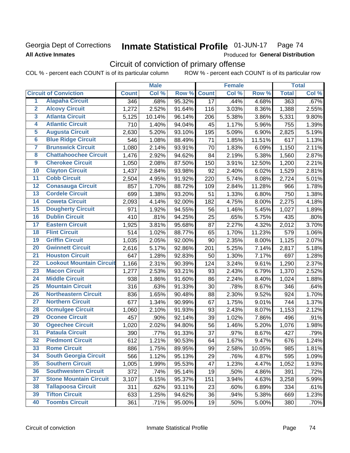## Georgia Dept of Corrections **All Active Inmates**

### **Inmate Statistical Profile 01-JUN-17** Page 74

Produced for General Distribution

# Circuit of conviction of primary offense

COL % - percent each COUNT is of its particular column ROW % - percent each COUNT is of its particular row

|                         |                                 |              | <b>Male</b> |        |                 | <b>Female</b> |        |              | <b>Total</b> |
|-------------------------|---------------------------------|--------------|-------------|--------|-----------------|---------------|--------|--------------|--------------|
|                         | <b>Circuit of Conviction</b>    | <b>Count</b> | Col %       | Row %  | <b>Count</b>    | Col %         | Row %  | <b>Total</b> | Col %        |
| 1                       | <b>Alapaha Circuit</b>          | 346          | .68%        | 95.32% | $\overline{17}$ | .44%          | 4.68%  | 363          | .67%         |
| $\overline{2}$          | <b>Alcovy Circuit</b>           | 1,272        | 2.52%       | 91.64% | 116             | 3.03%         | 8.36%  | 1,388        | 2.55%        |
| $\overline{\mathbf{3}}$ | <b>Atlanta Circuit</b>          | 5,125        | 10.14%      | 96.14% | 206             | 5.38%         | 3.86%  | 5,331        | 9.80%        |
| 4                       | <b>Atlantic Circuit</b>         | 710          | 1.40%       | 94.04% | 45              | 1.17%         | 5.96%  | 755          | 1.39%        |
| $\overline{5}$          | <b>Augusta Circuit</b>          | 2,630        | 5.20%       | 93.10% | 195             | 5.09%         | 6.90%  | 2,825        | 5.19%        |
| $\overline{\bf{6}}$     | <b>Blue Ridge Circuit</b>       | 546          | 1.08%       | 88.49% | 71              | 1.85%         | 11.51% | 617          | 1.13%        |
| 7                       | <b>Brunswick Circuit</b>        | 1,080        | 2.14%       | 93.91% | 70              | 1.83%         | 6.09%  | 1,150        | 2.11%        |
| $\overline{\mathbf{8}}$ | <b>Chattahoochee Circuit</b>    | 1,476        | 2.92%       | 94.62% | 84              | 2.19%         | 5.38%  | 1,560        | 2.87%        |
| $\overline{9}$          | <b>Cherokee Circuit</b>         | 1,050        | 2.08%       | 87.50% | 150             | 3.91%         | 12.50% | 1,200        | 2.21%        |
| 10                      | <b>Clayton Circuit</b>          | 1,437        | 2.84%       | 93.98% | 92              | 2.40%         | 6.02%  | 1,529        | 2.81%        |
| $\overline{11}$         | <b>Cobb Circuit</b>             | 2,504        | 4.95%       | 91.92% | 220             | 5.74%         | 8.08%  | 2,724        | 5.01%        |
| $\overline{12}$         | <b>Conasauga Circuit</b>        | 857          | 1.70%       | 88.72% | 109             | 2.84%         | 11.28% | 966          | 1.78%        |
| 13                      | <b>Cordele Circuit</b>          | 699          | 1.38%       | 93.20% | 51              | 1.33%         | 6.80%  | 750          | 1.38%        |
| $\overline{14}$         | <b>Coweta Circuit</b>           | 2,093        | 4.14%       | 92.00% | 182             | 4.75%         | 8.00%  | 2,275        | 4.18%        |
| 15                      | <b>Dougherty Circuit</b>        | 971          | 1.92%       | 94.55% | 56              | 1.46%         | 5.45%  | 1,027        | 1.89%        |
| 16                      | <b>Dublin Circuit</b>           | 410          | .81%        | 94.25% | 25              | .65%          | 5.75%  | 435          | .80%         |
| 17                      | <b>Eastern Circuit</b>          | 1,925        | 3.81%       | 95.68% | 87              | 2.27%         | 4.32%  | 2,012        | 3.70%        |
| $\overline{18}$         | <b>Flint Circuit</b>            | 514          | 1.02%       | 88.77% | 65              | 1.70%         | 11.23% | 579          | 1.06%        |
| 19                      | <b>Griffin Circuit</b>          | 1,035        | 2.05%       | 92.00% | 90              | 2.35%         | 8.00%  | 1,125        | 2.07%        |
| 20                      | <b>Gwinnett Circuit</b>         | 2,616        | 5.17%       | 92.86% | 201             | 5.25%         | 7.14%  | 2,817        | 5.18%        |
| $\overline{21}$         | <b>Houston Circuit</b>          | 647          | 1.28%       | 92.83% | 50              | 1.30%         | 7.17%  | 697          | 1.28%        |
| $\overline{22}$         | <b>Lookout Mountain Circuit</b> | 1,166        | 2.31%       | 90.39% | 124             | 3.24%         | 9.61%  | 1,290        | 2.37%        |
| 23                      | <b>Macon Circuit</b>            | 1,277        | 2.53%       | 93.21% | 93              | 2.43%         | 6.79%  | 1,370        | 2.52%        |
| $\overline{24}$         | <b>Middle Circuit</b>           | 938          | 1.86%       | 91.60% | 86              | 2.24%         | 8.40%  | 1,024        | 1.88%        |
| $\overline{25}$         | <b>Mountain Circuit</b>         | 316          | .63%        | 91.33% | 30              | .78%          | 8.67%  | 346          | .64%         |
| 26                      | <b>Northeastern Circuit</b>     | 836          | 1.65%       | 90.48% | 88              | 2.30%         | 9.52%  | 924          | 1.70%        |
| $\overline{27}$         | <b>Northern Circuit</b>         | 677          | 1.34%       | 90.99% | 67              | 1.75%         | 9.01%  | 744          | 1.37%        |
| 28                      | <b>Ocmulgee Circuit</b>         | 1,060        | 2.10%       | 91.93% | 93              | 2.43%         | 8.07%  | 1,153        | 2.12%        |
| 29                      | <b>Oconee Circuit</b>           | 457          | .90%        | 92.14% | 39              | 1.02%         | 7.86%  | 496          | .91%         |
| 30                      | <b>Ogeechee Circuit</b>         | 1,020        | 2.02%       | 94.80% | 56              | 1.46%         | 5.20%  | 1,076        | 1.98%        |
| $\overline{31}$         | <b>Pataula Circuit</b>          | 390          | .77%        | 91.33% | 37              | .97%          | 8.67%  | 427          | .79%         |
| 32                      | <b>Piedmont Circuit</b>         | 612          | 1.21%       | 90.53% | 64              | 1.67%         | 9.47%  | 676          | 1.24%        |
| 33                      | <b>Rome Circuit</b>             | 886          | 1.75%       | 89.95% | 99              | 2.58%         | 10.05% | 985          | 1.81%        |
| 34                      | <b>South Georgia Circuit</b>    | 566          | 1.12%       | 95.13% | 29              | .76%          | 4.87%  | 595          | 1.09%        |
| 35                      | <b>Southern Circuit</b>         | 1,005        | 1.99%       | 95.53% | 47              | 1.23%         | 4.47%  | 1,052        | 1.93%        |
| 36                      | <b>Southwestern Circuit</b>     | 372          | .74%        | 95.14% | 19              | .50%          | 4.86%  | 391          | .72%         |
| 37                      | <b>Stone Mountain Circuit</b>   | 3,107        | 6.15%       | 95.37% | 151             | 3.94%         | 4.63%  | 3,258        | 5.99%        |
| 38                      | <b>Tallapoosa Circuit</b>       | 311          | .62%        | 93.11% | 23              | .60%          | 6.89%  | 334          | .61%         |
| 39                      | <b>Tifton Circuit</b>           | 633          | 1.25%       | 94.62% | 36              | .94%          | 5.38%  | 669          | 1.23%        |
| 40                      | <b>Toombs Circuit</b>           | 361          | .71%        | 95.00% | 19              | .50%          | 5.00%  | 380          | .70%         |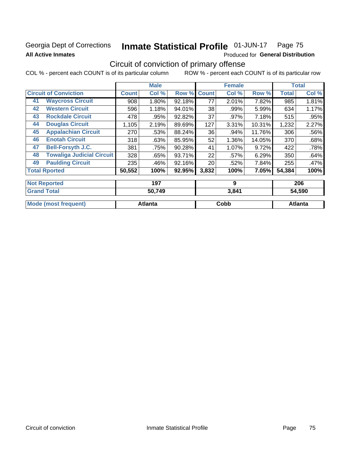# Georgia Dept of Corrections **All Active Inmates**

### **Inmate Statistical Profile 01-JUN-17** Page 75

Produced for General Distribution

# Circuit of conviction of primary offense

COL % - percent each COUNT is of its particular column ROW % - percent each COUNT is of its particular row

|    |                                  |              | <b>Male</b> |        |              | <b>Female</b> |        |              | <b>Total</b> |
|----|----------------------------------|--------------|-------------|--------|--------------|---------------|--------|--------------|--------------|
|    | <b>Circuit of Conviction</b>     | <b>Count</b> | Col %       | Row %  | <b>Count</b> | Col %         | Row %  | <b>Total</b> | Col %        |
| 41 | <b>Waycross Circuit</b>          | 908          | 1.80%       | 92.18% | 77           | 2.01%         | 7.82%  | 985          | 1.81%        |
| 42 | <b>Western Circuit</b>           | 596          | 1.18%       | 94.01% | 38           | .99%          | 5.99%  | 634          | 1.17%        |
| 43 | <b>Rockdale Circuit</b>          | 478          | .95%        | 92.82% | 37           | .97%          | 7.18%  | 515          | .95%         |
| 44 | <b>Douglas Circuit</b>           | 1,105        | 2.19%       | 89.69% | 127          | 3.31%         | 10.31% | 1,232        | 2.27%        |
| 45 | <b>Appalachian Circuit</b>       | 270          | .53%        | 88.24% | 36           | .94%          | 11.76% | 306          | .56%         |
| 46 | <b>Enotah Circuit</b>            | 318          | .63%        | 85.95% | 52           | 1.36%         | 14.05% | 370          | .68%         |
| 47 | <b>Bell-Forsyth J.C.</b>         | 381          | .75%        | 90.28% | 41           | 1.07%         | 9.72%  | 422          | .78%         |
| 48 | <b>Towaliga Judicial Circuit</b> | 328          | .65%        | 93.71% | 22           | .57%          | 6.29%  | 350          | .64%         |
| 49 | <b>Paulding Circuit</b>          | 235          | .46%        | 92.16% | 20           | .52%          | 7.84%  | 255          | .47%         |
|    | <b>Total Rported</b>             | 50,552       | 100%        | 92.95% | 3,832        | 100%          | 7.05%  | 54,384       | 100%         |
|    | <b>Not Reported</b>              |              | 197         |        |              | 9             |        |              | 206          |

| <b>Grand Total</b>   | 50,749  | 3,841 | 54,590  |
|----------------------|---------|-------|---------|
| Mode (most frequent) | Atlanta | Cobb  | Atlanta |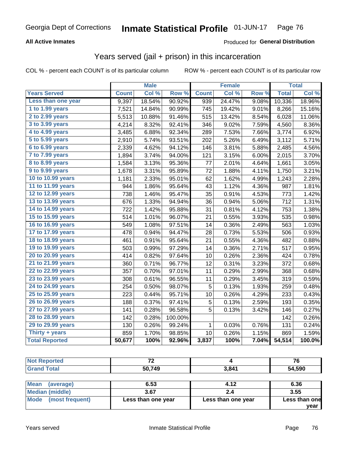### **All Active Inmates**

#### Produced for **General Distribution**

## Years served (jail + prison) in this incarceration

COL % - percent each COUNT is of its particular column ROW % - percent each COUNT is of its particular row

|                              |              | <b>Male</b> |         |              | <b>Female</b> |       |              | <b>Total</b> |
|------------------------------|--------------|-------------|---------|--------------|---------------|-------|--------------|--------------|
| <b>Years Served</b>          | <b>Count</b> | Col %       | Row %   | <b>Count</b> | Col %         | Row % | <b>Total</b> | Col %        |
| Less than one year           | 9,397        | 18.54%      | 90.92%  | 939          | 24.47%        | 9.08% | 10,336       | 18.96%       |
| 1 to 1.99 years              | 7,521        | 14.84%      | 90.99%  | 745          | 19.42%        | 9.01% | 8,266        | 15.16%       |
| 2 to 2.99 years              | 5,513        | 10.88%      | 91.46%  | 515          | 13.42%        | 8.54% | 6,028        | 11.06%       |
| $3$ to $3.99$ years          | 4,214        | 8.32%       | 92.41%  | 346          | 9.02%         | 7.59% | 4,560        | 8.36%        |
| $\overline{4}$ to 4.99 years | 3,485        | 6.88%       | 92.34%  | 289          | 7.53%         | 7.66% | 3,774        | 6.92%        |
| $\overline{5}$ to 5.99 years | 2,910        | 5.74%       | 93.51%  | 202          | 5.26%         | 6.49% | 3,112        | 5.71%        |
| $6$ to $6.99$ years          | 2,339        | 4.62%       | 94.12%  | 146          | 3.81%         | 5.88% | 2,485        | 4.56%        |
| 7 to 7.99 years              | 1,894        | 3.74%       | 94.00%  | 121          | 3.15%         | 6.00% | 2,015        | 3.70%        |
| 8 to 8.99 years              | 1,584        | 3.13%       | 95.36%  | 77           | 2.01%         | 4.64% | 1,661        | 3.05%        |
| 9 to 9.99 years              | 1,678        | 3.31%       | 95.89%  | 72           | 1.88%         | 4.11% | 1,750        | 3.21%        |
| 10 to 10.99 years            | 1,181        | 2.33%       | 95.01%  | 62           | 1.62%         | 4.99% | 1,243        | 2.28%        |
| 11 to 11.99 years            | 944          | 1.86%       | 95.64%  | 43           | 1.12%         | 4.36% | 987          | 1.81%        |
| 12 to 12.99 years            | 738          | 1.46%       | 95.47%  | 35           | 0.91%         | 4.53% | 773          | 1.42%        |
| 13 to 13.99 years            | 676          | 1.33%       | 94.94%  | 36           | 0.94%         | 5.06% | 712          | 1.31%        |
| 14 to 14.99 years            | 722          | 1.42%       | 95.88%  | 31           | 0.81%         | 4.12% | 753          | 1.38%        |
| 15 to 15.99 years            | 514          | 1.01%       | 96.07%  | 21           | 0.55%         | 3.93% | 535          | 0.98%        |
| 16 to 16.99 years            | 549          | 1.08%       | 97.51%  | 14           | 0.36%         | 2.49% | 563          | 1.03%        |
| 17 to 17.99 years            | 478          | 0.94%       | 94.47%  | 28           | 0.73%         | 5.53% | 506          | 0.93%        |
| 18 to 18.99 years            | 461          | 0.91%       | 95.64%  | 21           | 0.55%         | 4.36% | 482          | 0.88%        |
| 19 to 19.99 years            | 503          | 0.99%       | 97.29%  | 14           | 0.36%         | 2.71% | 517          | 0.95%        |
| 20 to 20.99 years            | 414          | 0.82%       | 97.64%  | 10           | 0.26%         | 2.36% | 424          | 0.78%        |
| 21 to 21.99 years            | 360          | 0.71%       | 96.77%  | 12           | 0.31%         | 3.23% | 372          | 0.68%        |
| 22 to 22.99 years            | 357          | 0.70%       | 97.01%  | 11           | 0.29%         | 2.99% | 368          | 0.68%        |
| 23 to 23.99 years            | 308          | 0.61%       | 96.55%  | 11           | 0.29%         | 3.45% | 319          | 0.59%        |
| 24 to 24.99 years            | 254          | 0.50%       | 98.07%  | 5            | 0.13%         | 1.93% | 259          | 0.48%        |
| 25 to 25.99 years            | 223          | 0.44%       | 95.71%  | 10           | 0.26%         | 4.29% | 233          | 0.43%        |
| 26 to 26.99 years            | 188          | 0.37%       | 97.41%  | 5            | 0.13%         | 2.59% | 193          | 0.35%        |
| 27 to 27.99 years            | 141          | 0.28%       | 96.58%  | 5            | 0.13%         | 3.42% | 146          | 0.27%        |
| 28 to 28.99 years            | 142          | 0.28%       | 100.00% |              |               |       | 142          | 0.26%        |
| 29 to 29.99 years            | 130          | 0.26%       | 99.24%  | $\mathbf{1}$ | 0.03%         | 0.76% | 131          | 0.24%        |
| Thirty + years               | 859          | 1.70%       | 98.85%  | 10           | 0.26%         | 1.15% | 869          | 1.59%        |
| <b>Total Reported</b>        | 50,677       | 100%        | 92.96%  | 3,837        | 100%          | 7.04% | 54,514       | 100.0%       |

| <b>Not Reported</b>     | 72                 |                    | 76            |
|-------------------------|--------------------|--------------------|---------------|
| <b>Grand Total</b>      | 50,749             | 3,841              | 54,590        |
| Mean<br>(average)       | 6.53               | 4.12               | 6.36          |
| <b>Median (middle)</b>  | 3.67               |                    | 3.55          |
| Mode<br>(most frequent) | Less than one year | Less than one year | Less than one |

**year**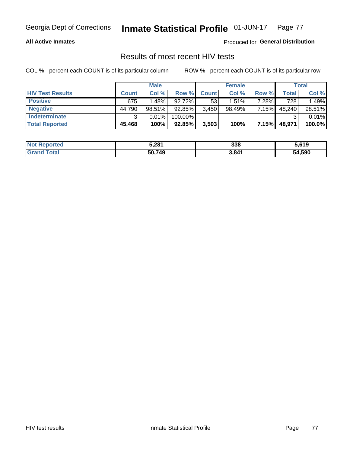#### **All Active Inmates**

Produced for **General Distribution**

## Results of most recent HIV tests

|                         |              | <b>Male</b> |         |              | <b>Female</b> |       |        | <b>Total</b> |
|-------------------------|--------------|-------------|---------|--------------|---------------|-------|--------|--------------|
| <b>HIV Test Results</b> | <b>Count</b> | Col %       | Row %I  | <b>Count</b> | Col %         | Row % | Total  | Col %        |
| <b>Positive</b>         | 675          | 1.48%       | 92.72%  | 53           | 1.51%         | 7.28% | 728    | 1.49%        |
| <b>Negative</b>         | 44,790       | $98.51\%$   | 92.85%  | 3,450        | 98.49%        | 7.15% | 48,240 | 98.51%       |
| <b>Indeterminate</b>    | ີ            | 0.01%       | 100.00% |              |               |       |        | 0.01%        |
| <b>Total Reported</b>   | 45,468       | 100%        | 92.85%  | 3,503        | 100%          | 7.15% | 48,971 | 100.0%       |

| <b>Not Reported</b>   | 5,281  | 338   | 5,619  |
|-----------------------|--------|-------|--------|
| Total<br><b>Grand</b> | 50,749 | 3,841 | 54,590 |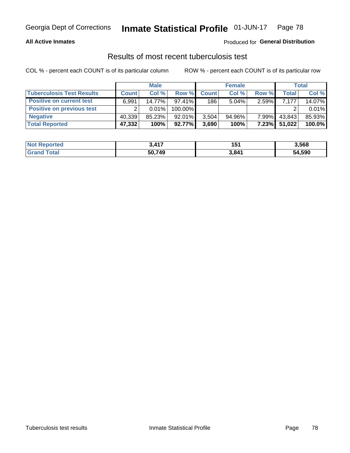#### **All Active Inmates**

#### Produced for **General Distribution**

### Results of most recent tuberculosis test

|                                  | <b>Male</b>  |          |           | <b>Female</b> |          |          | Total  |        |
|----------------------------------|--------------|----------|-----------|---------------|----------|----------|--------|--------|
| <b>Tuberculosis Test Results</b> | <b>Count</b> | Col%     | Row %     | <b>Count</b>  | Col %    | Row %    | Total  | Col %  |
| <b>Positive on current test</b>  | 6,991        | 14.77%   | $97.41\%$ | 186           | $5.04\%$ | $2.59\%$ | 7.177  | 14.07% |
| <b>Positive on previous test</b> | ົ            | $0.01\%$ | 100.00%   |               |          |          |        | 0.01%  |
| <b>Negative</b>                  | 40.339       | 85.23%   | $92.01\%$ | 3.504         | 94.96%   | $7.99\%$ | 43,843 | 85.93% |
| <b>Total Reported</b>            | 47,332       | 100%     | $92.77\%$ | 3,690         | 100%     | $7.23\%$ | 51,022 | 100.0% |

| <b>Not Reported</b> | <b>417</b><br><b>TII</b> | 151   | 3,568  |
|---------------------|--------------------------|-------|--------|
| Total<br>Gran       | 50,749                   | 3,841 | 54,590 |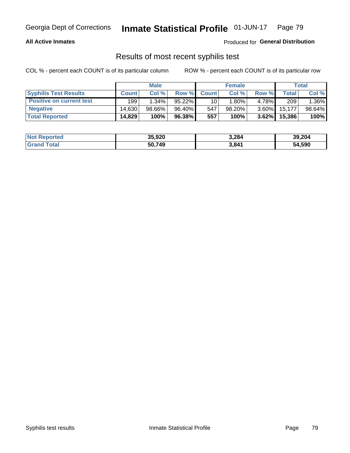#### **All Active Inmates**

Produced for **General Distribution**

### Results of most recent syphilis test

|                                 | <b>Male</b>  |           |        | <b>Female</b> |          |          | Total  |        |
|---------------------------------|--------------|-----------|--------|---------------|----------|----------|--------|--------|
| <b>Syphilis Test Results</b>    | <b>Count</b> | Col%      | Row %I | <b>Count</b>  | Col %    | Row %    | Total  | Col %  |
| <b>Positive on current test</b> | 199          | $1.34\%$  | 95.22% | 10            | $1.80\%$ | 4.78%    | 209    | 1.36%  |
| <b>Negative</b>                 | 14.630       | $98.66\%$ | 96.40% | 547           | 98.20%   | $3.60\%$ | 15,177 | 98.64% |
| <b>Total Reported</b>           | 14,829       | 100%      | 96.38% | 557           | 100%     | 3.62%    | 15,386 | 100%   |

| <b>Not Reported</b> | 35,920 | 3,284 | 39,204 |
|---------------------|--------|-------|--------|
| <b>Grand Total</b>  | 50.749 | 3,841 | 54,590 |